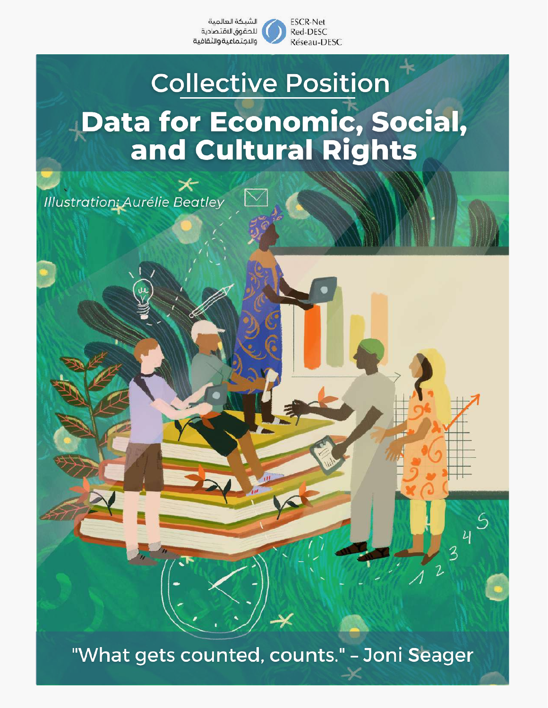

# **Collective Position Data for Economic, Social,<br>and Cultural Rights**

Illustration: Aurélie Beatley

✕

"What gets counted, counts." - Joni Seager

45

 $\overline{3}$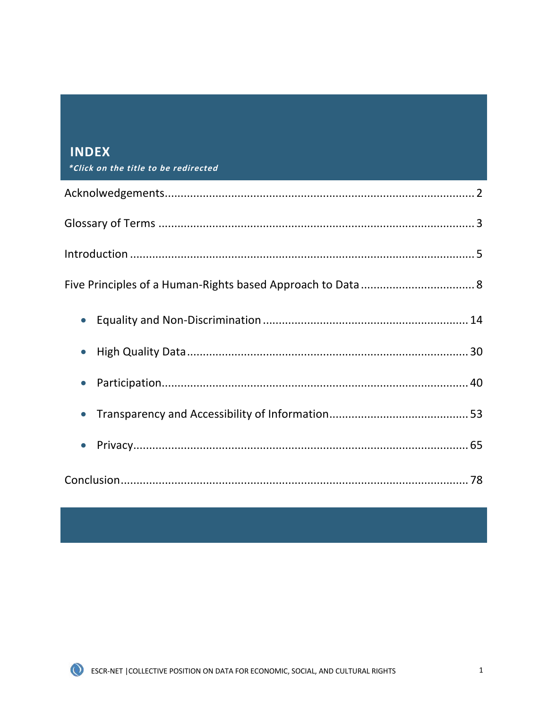| <b>INDEX</b><br>*Click on the title to be redirected |
|------------------------------------------------------|
|                                                      |
|                                                      |
|                                                      |
|                                                      |
| $\bullet$                                            |
|                                                      |
| $\bullet$                                            |
|                                                      |
|                                                      |
|                                                      |

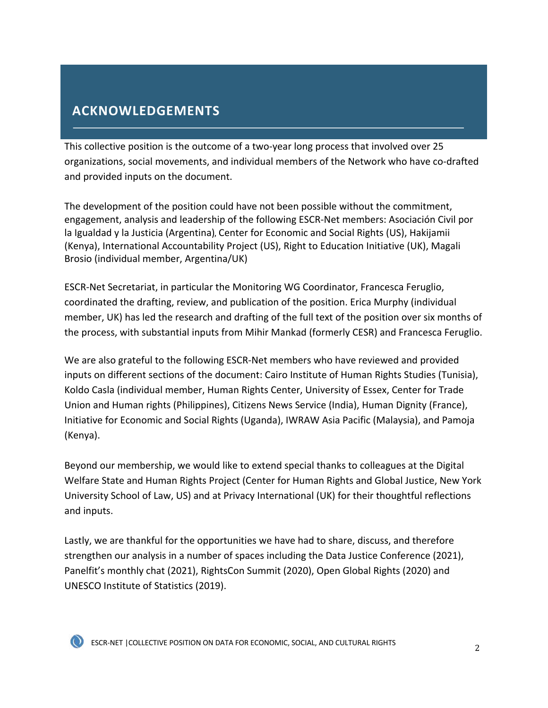# <span id="page-2-0"></span> **ACKNOWLEDGEMENTS**

This collective position is the outcome of a two-year long process that involved over 25 organizations, social movements, and individual members of the Network who have co-drafted and provided inputs on the document.

The development of the position could have not been possible without the commitment, engagement, analysis and leadership of the following ESCR-Net members: Asociación Civil por la Igualdad y la Justicia (Argentina), Center for Economic and Social Rights (US), Hakijamii (Kenya), International Accountability Project (US), Right to Education Initiative (UK), Magali Brosio (individual member, Argentina/UK)

ESCR-Net Secretariat, in particular the Monitoring WG Coordinator, Francesca Feruglio, coordinated the drafting, review, and publication of the position. Erica Murphy (individual member, UK) has led the research and drafting of the full text of the position over six months of the process, with substantial inputs from Mihir Mankad (formerly CESR) and Francesca Feruglio.

We are also grateful to the following ESCR-Net members who have reviewed and provided inputs on different sections of the document: Cairo Institute of Human Rights Studies (Tunisia), Koldo Casla (individual member, Human Rights Center, University of Essex, Center for Trade Union and Human rights (Philippines), Citizens News Service (India), Human Dignity (France), Initiative for Economic and Social Rights (Uganda), IWRAW Asia Pacific (Malaysia), and Pamoja (Kenya).

Beyond our membership, we would like to extend special thanks to colleagues at the Digital Welfare State and Human Rights Project (Center for Human Rights and Global Justice, New York University School of Law, US) and at Privacy International (UK) for their thoughtful reflections and inputs.

Lastly, we are thankful for the opportunities we have had to share, discuss, and therefore strengthen our analysis in a number of spaces including the Data Justice Conference (2021), Panelfit's monthly chat (2021), RightsCon Summit (2020), Open Global Rights (2020) and UNESCO Institute of Statistics (2019).

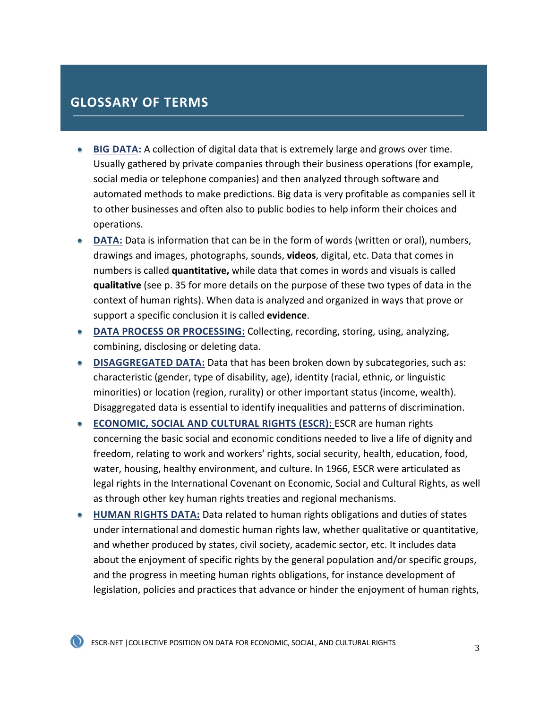# <span id="page-3-0"></span> **GLOSSARY OF TERMS**

- **BIG DATA:** A collection of digital data that is extremely large and grows over time. Usually gathered by private companies through their business operations (for example, social media or telephone companies) and then analyzed through software and automated methods to make predictions. Big data is very profitable as companies sell it to other businesses and often also to public bodies to help inform their choices and operations.
- **DATA:** Data is information that can be in the form of words (written or oral), numbers, drawings and images, photographs, sounds, **videos**, digital, etc. Data that comes in numbers is called **quantitative,** while data that comes in words and visuals is called **qualitative** (see p. 35 for more details on the purpose of these two types of data in the context of human rights). When data is analyzed and organized in ways that prove or support a specific conclusion it is called **evidence**.
- **DATA PROCESS OR PROCESSING:** Collecting, recording, storing, using, analyzing, combining, disclosing or deleting data.
- **DISAGGREGATED DATA:** Data that has been broken down by subcategories, such as: characteristic (gender, type of disability, age), identity (racial, ethnic, or linguistic minorities) or location (region, rurality) or other important status (income, wealth). Disaggregated data is essential to identify inequalities and patterns of discrimination.
- **ECONOMIC, SOCIAL AND CULTURAL RIGHTS (ESCR):** ESCR are human rights concerning the basic social and economic conditions needed to live a life of dignity and freedom, relating to work and workers' rights, social security, health, education, food, water, housing, healthy environment, and culture. In 1966, ESCR were articulated as legal rights in the International Covenant on Economic, Social and Cultural Rights, as well as through other key human rights treaties and regional mechanisms.
- **HUMAN RIGHTS DATA:** Data related to human rights obligations and duties of states under international and domestic human rights law, whether qualitative or quantitative, and whether produced by states, civil society, academic sector, etc. It includes data about the enjoyment of specific rights by the general population and/or specific groups, and the progress in meeting human rights obligations, for instance development of legislation, policies and practices that advance or hinder the enjoyment of human rights,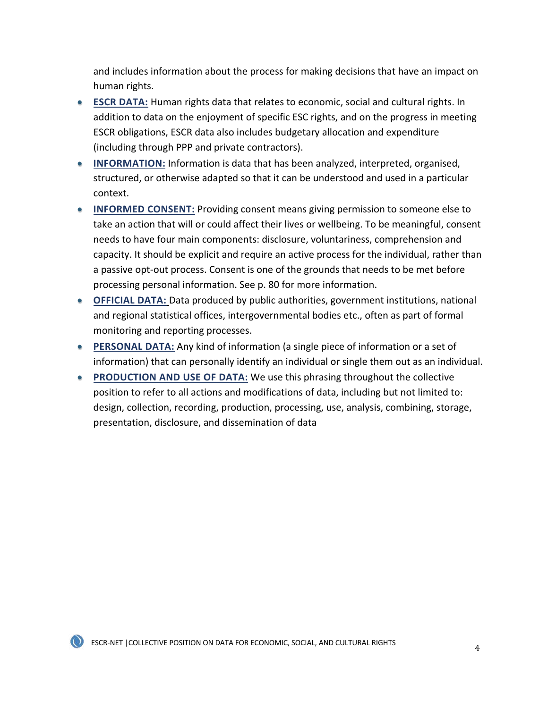and includes information about the process for making decisions that have an impact on human rights.

- **ESCR DATA:** Human rights data that relates to economic, social and cultural rights. In addition to data on the enjoyment of specific ESC rights, and on the progress in meeting ESCR obligations, ESCR data also includes budgetary allocation and expenditure (including through PPP and private contractors).
- **INFORMATION:** Information is data that has been analyzed, interpreted, organised, structured, or otherwise adapted so that it can be understood and used in a particular context.
- **INFORMED CONSENT:** Providing consent means giving permission to someone else to take an action that will or could affect their lives or wellbeing. To be meaningful, consent needs to have four main components: disclosure, voluntariness, comprehension and capacity. It should be explicit and require an active process for the individual, rather than a passive opt-out process. Consent is one of the grounds that needs to be met before processing personal information. See p. 80 for more information.
- **OFFICIAL DATA:** Data produced by public authorities, government institutions, national and regional statistical offices, intergovernmental bodies etc., often as part of formal monitoring and reporting processes.
- **PERSONAL DATA:** Any kind of information (a single piece of information or a set of information) that can personally identify an individual or single them out as an individual.
- **PRODUCTION AND USE OF DATA:** We use this phrasing throughout the collective position to refer to all actions and modifications of data, including but not limited to: design, collection, recording, production, processing, use, analysis, combining, storage, presentation, disclosure, and dissemination of data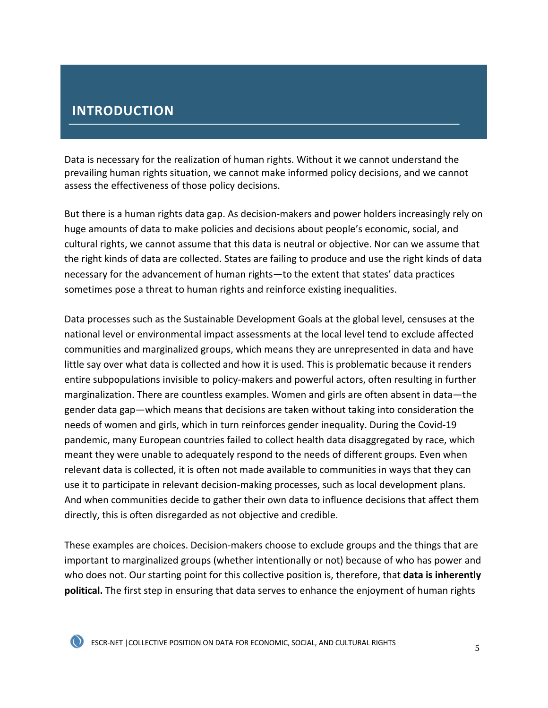## <span id="page-5-0"></span> **INTRODUCTION**

Data is necessary for the realization of human rights. Without it we cannot understand the prevailing human rights situation, we cannot make informed policy decisions, and we cannot assess the effectiveness of those policy decisions.

But there is a human rights data gap. As decision-makers and power holders increasingly rely on huge amounts of data to make policies and decisions about people's economic, social, and cultural rights, we cannot assume that this data is neutral or objective. Nor can we assume that the right kinds of data are collected. States are failing to produce and use the right kinds of data necessary for the advancement of human rights—to the extent that states' data practices sometimes pose a threat to human rights and reinforce existing inequalities.

Data processes such as the Sustainable Development Goals at the global level, censuses at the national level or environmental impact assessments at the local level tend to exclude affected communities and marginalized groups, which means they are unrepresented in data and have little say over what data is collected and how it is used. This is problematic because it renders entire subpopulations invisible to policy-makers and powerful actors, often resulting in further marginalization. There are countless examples. Women and girls are often absent in data—the gender data gap—which means that decisions are taken without taking into consideration the needs of women and girls, which in turn reinforces gender inequality. During the Covid-19 pandemic, many European countries failed to collect health data disaggregated by race, which meant they were unable to adequately respond to the needs of different groups. Even when relevant data is collected, it is often not made available to communities in ways that they can use it to participate in relevant decision-making processes, such as local development plans. And when communities decide to gather their own data to influence decisions that affect them directly, this is often disregarded as not objective and credible.

These examples are choices. Decision-makers choose to exclude groups and the things that are important to marginalized groups (whether intentionally or not) because of who has power and who does not. Our starting point for this collective position is, therefore, that **data is inherently political.** The first step in ensuring that data serves to enhance the enjoyment of human rights

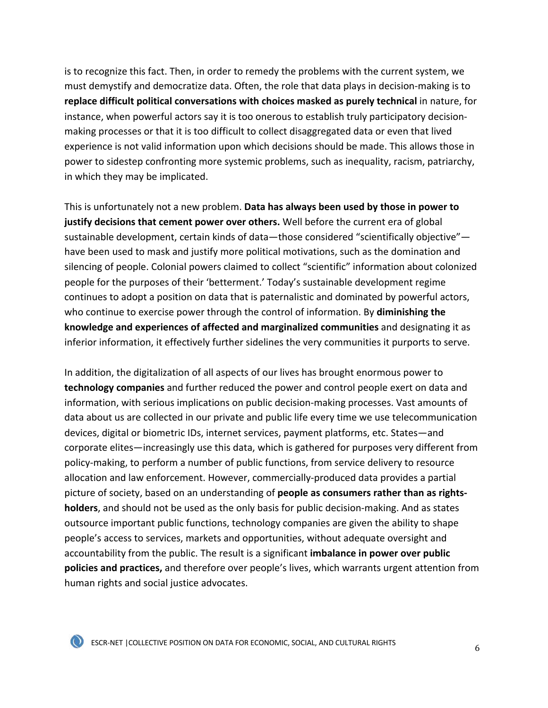is to recognize this fact. Then, in order to remedy the problems with the current system, we must demystify and democratize data. Often, the role that data plays in decision-making is to **replace difficult political conversations with choices masked as purely technical** in nature, for instance, when powerful actors say it is too onerous to establish truly participatory decisionmaking processes or that it is too difficult to collect disaggregated data or even that lived experience is not valid information upon which decisions should be made. This allows those in power to sidestep confronting more systemic problems, such as inequality, racism, patriarchy, in which they may be implicated.

This is unfortunately not a new problem. **Data has always been used by those in power to justify decisions that cement power over others.** Well before the current era of global sustainable development, certain kinds of data—those considered "scientifically objective" have been used to mask and justify more political motivations, such as the domination and silencing of people. Colonial powers claimed to collect "scientific" information about colonized people for the purposes of their 'betterment.' Today's sustainable development regime continues to adopt a position on data that is paternalistic and dominated by powerful actors, who continue to exercise power through the control of information. By **diminishing the knowledge and experiences of affected and marginalized communities** and designating it as inferior information, it effectively further sidelines the very communities it purports to serve.

In addition, the digitalization of all aspects of our lives has brought enormous power to **technology companies** and further reduced the power and control people exert on data and information, with serious implications on public decision-making processes. Vast amounts of data about us are collected in our private and public life every time we use telecommunication devices, digital or biometric IDs, internet services, payment platforms, etc. States—and corporate elites—increasingly use this data, which is gathered for purposes very different from policy-making, to perform a number of public functions, from service delivery to resource allocation and law enforcement. However, commercially-produced data provides a partial picture of society, based on an understanding of **people as consumers rather than as rightsholders**, and should not be used as the only basis for public decision-making. And as states outsource important public functions, technology companies are given the ability to shape people's access to services, markets and opportunities, without adequate oversight and accountability from the public. The result is a significant **imbalance in power over public policies and practices,** and therefore over people's lives, which warrants urgent attention from human rights and social justice advocates.

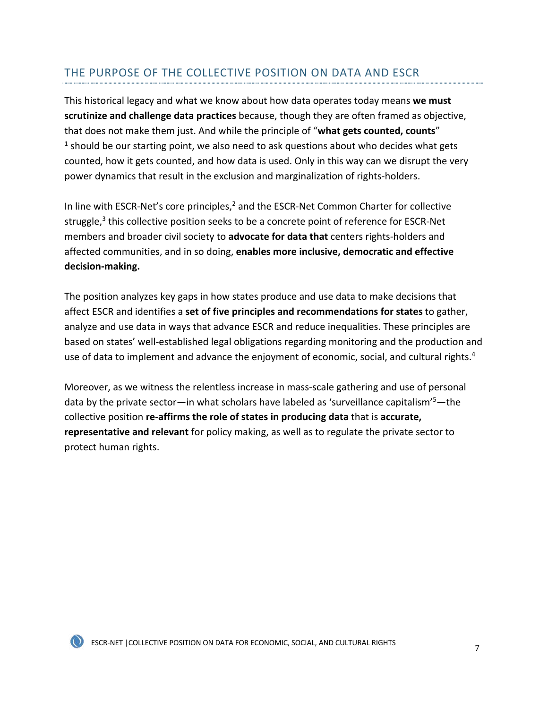## THE PURPOSE OF THE COLLECTIVE POSITION ON DATA AND ESCR

This historical legacy and what we know about how data operates today means **we must scrutinize and challenge data practices** because, though they are often framed as objective, that does not make them just. And while the principle of "**what gets counted, counts**"  $<sup>1</sup>$  should be our starting point, we also need to ask questions about who decides what gets</sup> counted, how it gets counted, and how data is used. Only in this way can we disrupt the very power dynamics that result in the exclusion and marginalization of rights-holders.

In line with ESCR-Net's core principles, $<sup>2</sup>$  and the ESCR-Net Common Charter for collective</sup> struggle, $3$  this collective position seeks to be a concrete point of reference for ESCR-Net members and broader civil society to **advocate for data that** centers rights-holders and affected communities, and in so doing, **enables more inclusive, democratic and effective decision-making.** 

The position analyzes key gaps in how states produce and use data to make decisions that affect ESCR and identifies a **set of five principles and recommendations for states** to gather, analyze and use data in ways that advance ESCR and reduce inequalities. These principles are based on states' well-established legal obligations regarding monitoring and the production and use of data to implement and advance the enjoyment of economic, social, and cultural rights.<sup>4</sup>

Moreover, as we witness the relentless increase in mass-scale gathering and use of personal data by the private sector—in what scholars have labeled as 'surveillance capitalism'<sup>5</sup>—the collective position **re-affirms the role of states in producing data** that is **accurate, representative and relevant** for policy making, as well as to regulate the private sector to protect human rights.

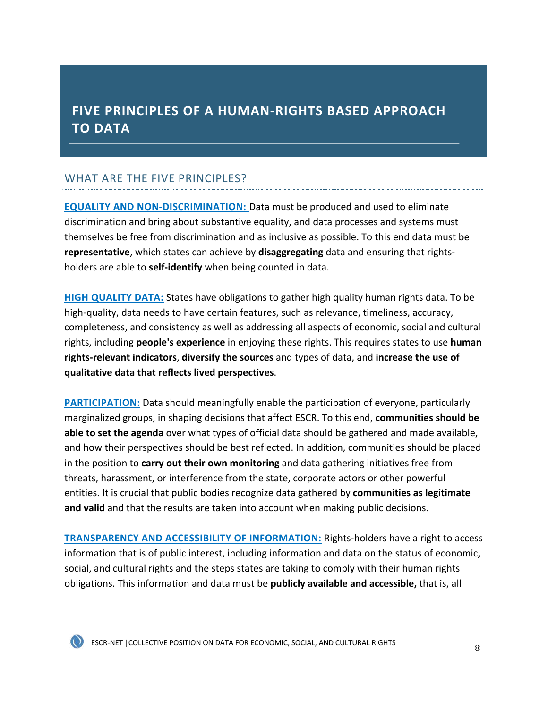# <span id="page-8-0"></span> **FIVE PRINCIPLES OF A HUMAN-RIGHTS BASED APPROACH TO DATA**

# WHAT ARE THE FIVE PRINCIPLES?

**[EQUALITY AND NON-DISCRIMINATION:](#page-11-0)** Data must be produced and used to eliminate discrimination and bring about substantive equality, and data processes and systems must themselves be free from discrimination and as inclusive as possible. To this end data must be **representative**, which states can achieve by **disaggregating** data and ensuring that rightsholders are able to **self-identify** when being counted in data.

**[HIGH QUALITY DATA:](#page-30-0)** States have obligations to gather high quality human rights data. To be high-quality, data needs to have certain features, such as relevance, timeliness, accuracy, completeness, and consistency as well as addressing all aspects of economic, social and cultural rights, including **people's experience** in enjoying these rights. This requires states to use **human rights-relevant indicators**, **diversify the sources** and types of data, and **increase the use of qualitative data that reflects lived perspectives**.

**[PARTICIPATION:](#page-40-0)** Data should meaningfully enable the participation of everyone, particularly marginalized groups, in shaping decisions that affect ESCR. To this end, **communities should be able to set the agenda** over what types of official data should be gathered and made available, and how their perspectives should be best reflected. In addition, communities should be placed in the position to **carry out their own monitoring** and data gathering initiatives free from threats, harassment, or interference from the state, corporate actors or other powerful entities. It is crucial that public bodies recognize data gathered by **communities as legitimate and valid** and that the results are taken into account when making public decisions.

**[TRANSPARENCY AND ACCESSIBILITY OF INFORMATION:](#page-54-0)** Rights-holders have a right to access information that is of public interest, including information and data on the status of economic, social, and cultural rights and the steps states are taking to comply with their human rights obligations. This information and data must be **publicly available and accessible,** that is, all

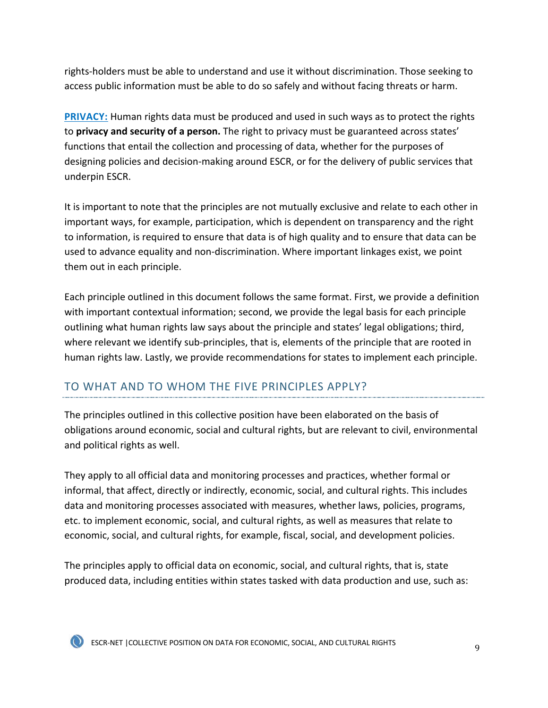rights-holders must be able to understand and use it without discrimination. Those seeking to access public information must be able to do so safely and without facing threats or harm.

**[PRIVACY:](#page-65-0)** Human rights data must be produced and used in such ways as to protect the rights to **privacy and security of a person.** The right to privacy must be guaranteed across states' functions that entail the collection and processing of data, whether for the purposes of designing policies and decision-making around ESCR, or for the delivery of public services that underpin ESCR.

It is important to note that the principles are not mutually exclusive and relate to each other in important ways, for example, participation, which is dependent on transparency and the right to information, is required to ensure that data is of high quality and to ensure that data can be used to advance equality and non-discrimination. Where important linkages exist, we point them out in each principle.

Each principle outlined in this document follows the same format. First, we provide a definition with important contextual information; second, we provide the legal basis for each principle outlining what human rights law says about the principle and states' legal obligations; third, where relevant we identify sub-principles, that is, elements of the principle that are rooted in human rights law. Lastly, we provide recommendations for states to implement each principle.

# TO WHAT AND TO WHOM THE FIVE PRINCIPLES APPLY?

The principles outlined in this collective position have been elaborated on the basis of obligations around economic, social and cultural rights, but are relevant to civil, environmental and political rights as well.

They apply to all official data and monitoring processes and practices, whether formal or informal, that affect, directly or indirectly, economic, social, and cultural rights. This includes data and monitoring processes associated with measures, whether laws, policies, programs, etc. to implement economic, social, and cultural rights, as well as measures that relate to economic, social, and cultural rights, for example, fiscal, social, and development policies.

The principles apply to official data on economic, social, and cultural rights, that is, state produced data, including entities within states tasked with data production and use, such as:

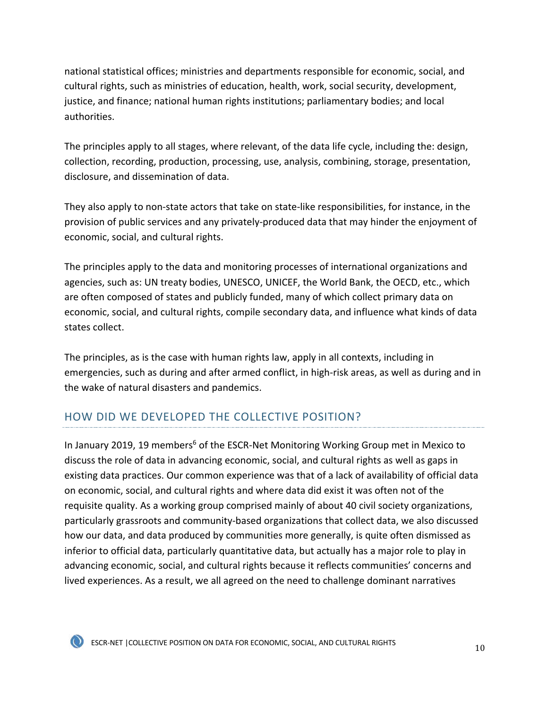national statistical offices; ministries and departments responsible for economic, social, and cultural rights, such as ministries of education, health, work, social security, development, justice, and finance; national human rights institutions; parliamentary bodies; and local authorities.

The principles apply to all stages, where relevant, of the data life cycle, including the: design, collection, recording, production, processing, use, analysis, combining, storage, presentation, disclosure, and dissemination of data.

They also apply to non-state actors that take on state-like responsibilities, for instance, in the provision of public services and any privately-produced data that may hinder the enjoyment of economic, social, and cultural rights.

The principles apply to the data and monitoring processes of international organizations and agencies, such as: UN treaty bodies, UNESCO, UNICEF, the World Bank, the OECD, etc., which are often composed of states and publicly funded, many of which collect primary data on economic, social, and cultural rights, compile secondary data, and influence what kinds of data states collect.

The principles, as is the case with human rights law, apply in all contexts, including in emergencies, such as during and after armed conflict, in high-risk areas, as well as during and in the wake of natural disasters and pandemics.

# HOW DID WE DEVELOPED THE COLLECTIVE POSITION?

In January 2019, 19 members<sup>6</sup> of the ESCR-Net Monitoring Working Group met in Mexico to discuss the role of data in advancing economic, social, and cultural rights as well as gaps in existing data practices. Our common experience was that of a lack of availability of official data on economic, social, and cultural rights and where data did exist it was often not of the requisite quality. As a working group comprised mainly of about 40 civil society organizations, particularly grassroots and community-based organizations that collect data, we also discussed how our data, and data produced by communities more generally, is quite often dismissed as inferior to official data, particularly quantitative data, but actually has a major role to play in advancing economic, social, and cultural rights because it reflects communities' concerns and lived experiences. As a result, we all agreed on the need to challenge dominant narratives

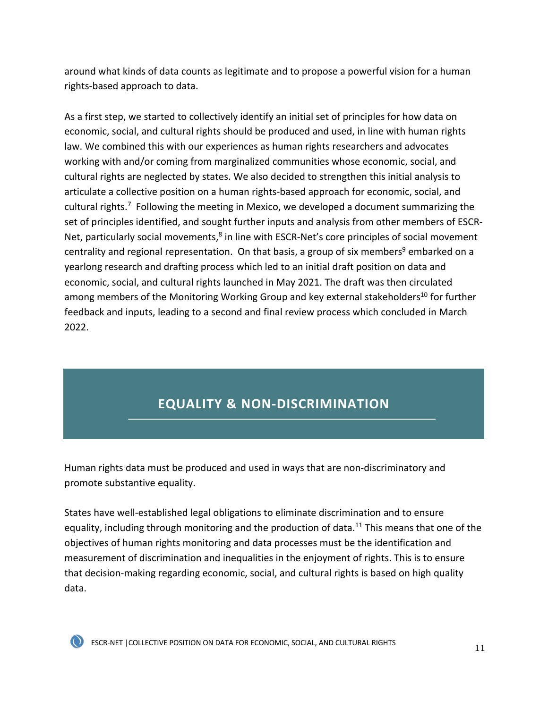<span id="page-11-0"></span>around what kinds of data counts as legitimate and to propose a powerful vision for a human rights-based approach to data.

As a first step, we started to collectively identify an initial set of principles for how data on economic, social, and cultural rights should be produced and used, in line with human rights law. We combined this with our experiences as human rights researchers and advocates working with and/or coming from marginalized communities whose economic, social, and cultural rights are neglected by states. We also decided to strengthen this initial analysis to articulate a collective position on a human rights-based approach for economic, social, and cultural rights.<sup>7</sup> Following the meeting in Mexico, we developed a document summarizing the set of principles identified, and sought further inputs and analysis from other members of ESCR-Net, particularly social movements, $8$  in line with ESCR-Net's core principles of social movement centrality and regional representation. On that basis, a group of six members<sup>9</sup> embarked on a yearlong research and drafting process which led to an initial draft position on data and economic, social, and cultural rights launched in May 2021. The draft was then circulated among members of the Monitoring Working Group and key external stakeholders<sup>10</sup> for further feedback and inputs, leading to a second and final review process which concluded in March 2022.

# **EQUALITY & NON-DISCRIMINATION**

Human rights data must be produced and used in ways that are non-discriminatory and promote substantive equality.

States have well-established legal obligations to eliminate discrimination and to ensure equality, including through monitoring and the production of data.<sup>11</sup> This means that one of the objectives of human rights monitoring and data processes must be the identification and measurement of discrimination and inequalities in the enjoyment of rights. This is to ensure that decision-making regarding economic, social, and cultural rights is based on high quality data.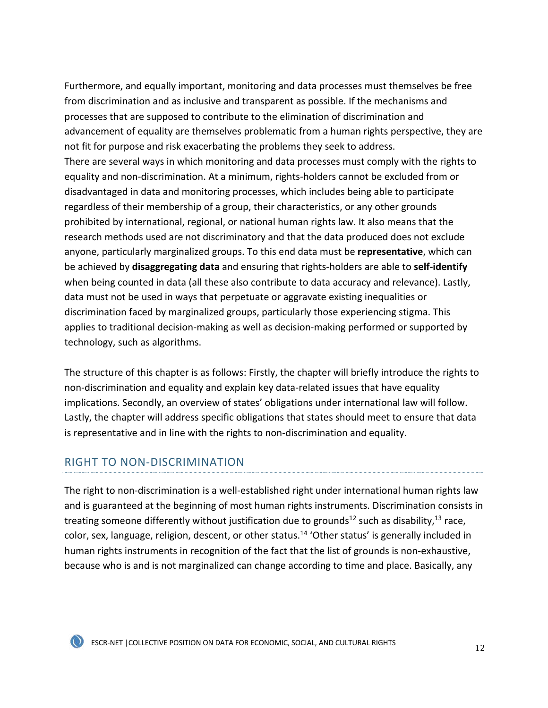Furthermore, and equally important, monitoring and data processes must themselves be free from discrimination and as inclusive and transparent as possible. If the mechanisms and processes that are supposed to contribute to the elimination of discrimination and advancement of equality are themselves problematic from a human rights perspective, they are not fit for purpose and risk exacerbating the problems they seek to address. There are several ways in which monitoring and data processes must comply with the rights to equality and non-discrimination. At a minimum, rights-holders cannot be excluded from or disadvantaged in data and monitoring processes, which includes being able to participate regardless of their membership of a group, their characteristics, or any other grounds prohibited by international, regional, or national human rights law. It also means that the research methods used are not discriminatory and that the data produced does not exclude anyone, particularly marginalized groups. To this end data must be **representative**, which can be achieved by **disaggregating data** and ensuring that rights-holders are able to **self-identify** when being counted in data (all these also contribute to data accuracy and relevance). Lastly, data must not be used in ways that perpetuate or aggravate existing inequalities or discrimination faced by marginalized groups, particularly those experiencing stigma. This applies to traditional decision-making as well as decision-making performed or supported by technology, such as algorithms.

The structure of this chapter is as follows: Firstly, the chapter will briefly introduce the rights to non-discrimination and equality and explain key data-related issues that have equality implications. Secondly, an overview of states' obligations under international law will follow. Lastly, the chapter will address specific obligations that states should meet to ensure that data is representative and in line with the rights to non-discrimination and equality.

## RIGHT TO NON-DISCRIMINATION

The right to non-discrimination is a well-established right under international human rights law and is guaranteed at the beginning of most human rights instruments. Discrimination consists in treating someone differently without justification due to grounds<sup>12</sup> such as disability,<sup>13</sup> race, color, sex, language, religion, descent, or other status.<sup>14</sup> 'Other status' is generally included in human rights instruments in recognition of the fact that the list of grounds is non-exhaustive, because who is and is not marginalized can change according to time and place. Basically, any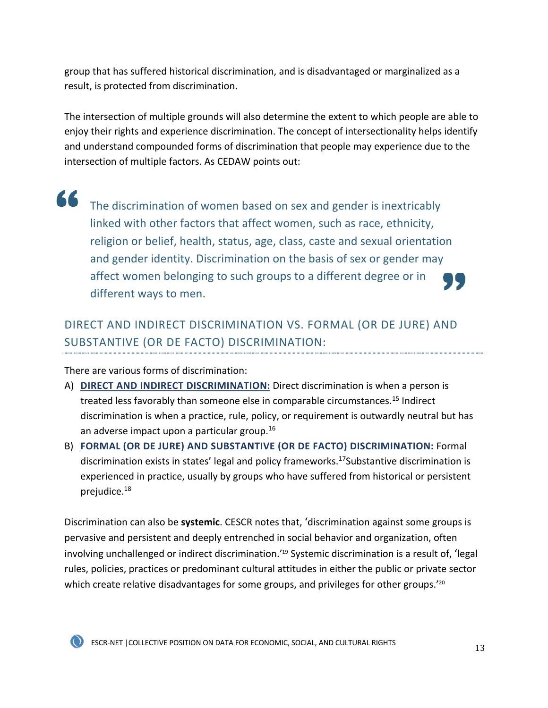group that has suffered historical discrimination, and is disadvantaged or marginalized as a result, is protected from discrimination.

The intersection of multiple grounds will also determine the extent to which people are able to enjoy their rights and experience discrimination. The concept of intersectionality helps identify and understand compounded forms of discrimination that people may experience due to the intersection of multiple factors. As CEDAW points out:

66 The discrimination of women based on sex and gender is inextricably linked with other factors that affect women, such as race, ethnicity, religion or belief, health, status, age, class, caste and sexual orientation and gender identity. Discrimination on the basis of sex or gender may affect women belonging to such groups to a different degree or in different ways to men.

# DIRECT AND INDIRECT DISCRIMINATION VS. FORMAL (OR DE JURE) AND SUBSTANTIVE (OR DE FACTO) DISCRIMINATION:

There are various forms of discrimination:

- A) **DIRECT AND INDIRECT DISCRIMINATION:** Direct discrimination is when a person is treated less favorably than someone else in comparable circumstances.<sup>15</sup> Indirect discrimination is when a practice, rule, policy, or requirement is outwardly neutral but has an adverse impact upon a particular group.<sup>16</sup>
- B) **FORMAL (OR DE JURE) AND SUBSTANTIVE (OR DE FACTO) DISCRIMINATION:** Formal discrimination exists in states' legal and policy frameworks.<sup>17</sup>Substantive discrimination is experienced in practice, usually by groups who have suffered from historical or persistent prejudice.18

Discrimination can also be **systemic**. CESCR notes that, 'discrimination against some groups is pervasive and persistent and deeply entrenched in social behavior and organization, often involving unchallenged or indirect discrimination.'19 Systemic discrimination is a result of, 'legal rules, policies, practices or predominant cultural attitudes in either the public or private sector which create relative disadvantages for some groups, and privileges for other groups.<sup>'20</sup>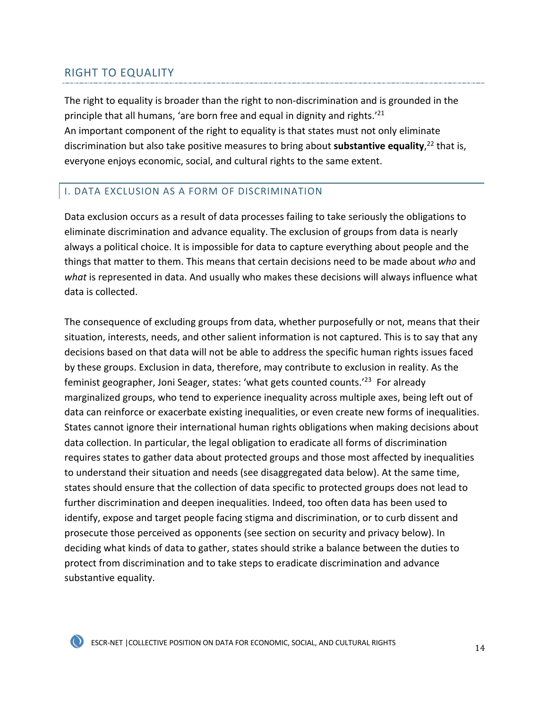## RIGHT TO EQUALITY

The right to equality is broader than the right to non-discrimination and is grounded in the principle that all humans, 'are born free and equal in dignity and rights.'21 An important component of the right to equality is that states must not only eliminate discrimination but also take positive measures to bring about **substantive equality**, <sup>22</sup> that is, everyone enjoys economic, social, and cultural rights to the same extent.

## I. DATA EXCLUSION AS A FORM OF DISCRIMINATION

Data exclusion occurs as a result of data processes failing to take seriously the obligations to eliminate discrimination and advance equality. The exclusion of groups from data is nearly always a political choice. It is impossible for data to capture everything about people and the things that matter to them. This means that certain decisions need to be made about *who* and *what* is represented in data. And usually who makes these decisions will always influence what data is collected.

The consequence of excluding groups from data, whether purposefully or not, means that their situation, interests, needs, and other salient information is not captured. This is to say that any decisions based on that data will not be able to address the specific human rights issues faced by these groups. Exclusion in data, therefore, may contribute to exclusion in reality. As the feminist geographer, Joni Seager, states: 'what gets counted counts.'23 For already marginalized groups, who tend to experience inequality across multiple axes, being left out of data can reinforce or exacerbate existing inequalities, or even create new forms of inequalities. States cannot ignore their international human rights obligations when making decisions about data collection. In particular, the legal obligation to eradicate all forms of discrimination requires states to gather data about protected groups and those most affected by inequalities to understand their situation and needs (see disaggregated data below). At the same time, states should ensure that the collection of data specific to protected groups does not lead to further discrimination and deepen inequalities. Indeed, too often data has been used to identify, expose and target people facing stigma and discrimination, or to curb dissent and prosecute those perceived as opponents (see section on security and privacy below). In deciding what kinds of data to gather, states should strike a balance between the duties to protect from discrimination and to take steps to eradicate discrimination and advance substantive equality.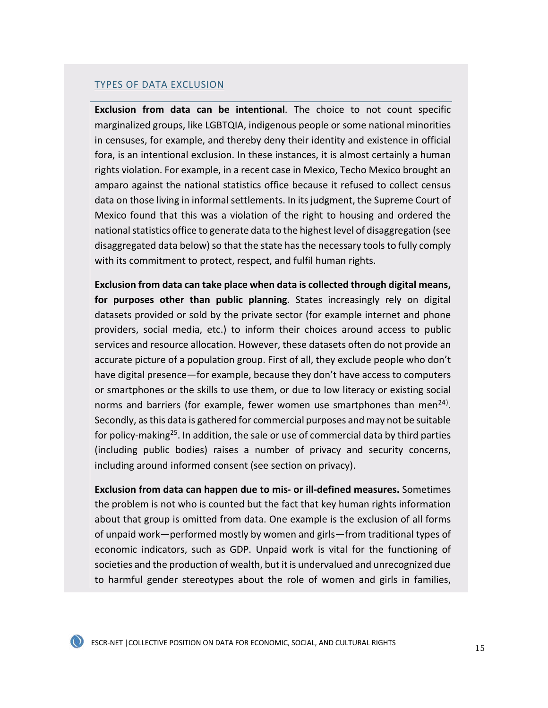#### TYPES OF DATA EXCLUSION

**Exclusion from data can be intentional**. The choice to not count specific marginalized groups, like LGBTQIA, indigenous people or some national minorities in censuses, for example, and thereby deny their identity and existence in official fora, is an intentional exclusion. In these instances, it is almost certainly a human rights violation. For example, in a recent case in Mexico, Techo Mexico brought an amparo against the national statistics office because it refused to collect census data on those living in informal settlements. In its judgment, the Supreme Court of Mexico found that this was a violation of the right to housing and ordered the national statistics office to generate data to the highest level of disaggregation (see disaggregated data below) so that the state has the necessary tools to fully comply with its commitment to protect, respect, and fulfil human rights.

**Exclusion from data can take place when data is collected through digital means, for purposes other than public planning**. States increasingly rely on digital datasets provided or sold by the private sector (for example internet and phone providers, social media, etc.) to inform their choices around access to public services and resource allocation. However, these datasets often do not provide an accurate picture of a population group. First of all, they exclude people who don't have digital presence—for example, because they don't have access to computers or smartphones or the skills to use them, or due to low literacy or existing social norms and barriers (for example, fewer women use smartphones than men<sup>24)</sup>. Secondly, as this data is gathered for commercial purposes and may not be suitable for policy-making<sup>25</sup>. In addition, the sale or use of commercial data by third parties (including public bodies) raises a number of privacy and security concerns, including around informed consent (see section on privacy).

**Exclusion from data can happen due to mis- or ill-defined measures.** Sometimes the problem is not who is counted but the fact that key human rights information about that group is omitted from data. One example is the exclusion of all forms of unpaid work—performed mostly by women and girls—from traditional types of economic indicators, such as GDP. Unpaid work is vital for the functioning of societies and the production of wealth, but it is undervalued and unrecognized due to harmful gender stereotypes about the role of women and girls in families,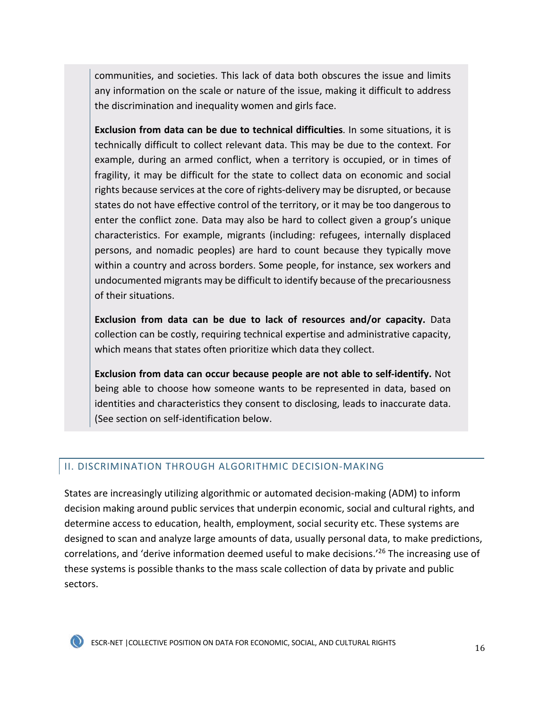communities, and societies. This lack of data both obscures the issue and limits any information on the scale or nature of the issue, making it difficult to address the discrimination and inequality women and girls face.

**Exclusion from data can be due to technical difficulties**. In some situations, it is technically difficult to collect relevant data. This may be due to the context. For example, during an armed conflict, when a territory is occupied, or in times of fragility, it may be difficult for the state to collect data on economic and social rights because services at the core of rights-delivery may be disrupted, or because states do not have effective control of the territory, or it may be too dangerous to enter the conflict zone. Data may also be hard to collect given a group's unique characteristics. For example, migrants (including: refugees, internally displaced persons, and nomadic peoples) are hard to count because they typically move within a country and across borders. Some people, for instance, sex workers and undocumented migrants may be difficult to identify because of the precariousness of their situations.

**Exclusion from data can be due to lack of resources and/or capacity.** Data collection can be costly, requiring technical expertise and administrative capacity, which means that states often prioritize which data they collect.

**Exclusion from data can occur because people are not able to self-identify.** Not being able to choose how someone wants to be represented in data, based on identities and characteristics they consent to disclosing, leads to inaccurate data. (See section on self-identification below.

#### II. DISCRIMINATION THROUGH ALGORITHMIC DECISION-MAKING

States are increasingly utilizing algorithmic or automated decision-making (ADM) to inform decision making around public services that underpin economic, social and cultural rights, and determine access to education, health, employment, social security etc. These systems are designed to scan and analyze large amounts of data, usually personal data, to make predictions, correlations, and 'derive information deemed useful to make decisions.<sup>'26</sup> The increasing use of these systems is possible thanks to the mass scale collection of data by private and public sectors.

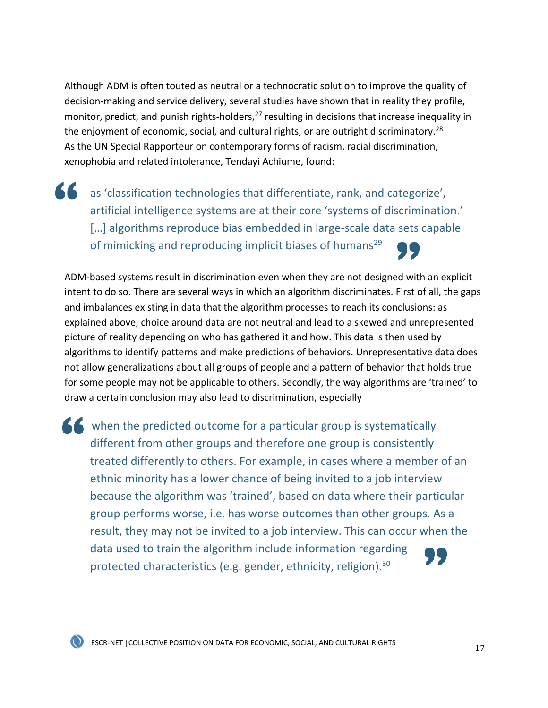Although ADM is often touted as neutral or a technocratic solution to improve the quality of decision-making and service delivery, several studies have shown that in reality they profile, monitor, predict, and punish rights-holders,  $27$  resulting in decisions that increase inequality in the enjoyment of economic, social, and cultural rights, or are outright discriminatory.<sup>28</sup> As the UN Special Rapporteur on contemporary forms of racism, racial discrimination, xenophobia and related intolerance, Tendayi Achiume, found:

as 'classification technologies that differentiate, rank, and categorize', artificial intelligence systems are at their core 'systems of discrimination.' [...] algorithms reproduce bias embedded in large-scale data sets capable of mimicking and reproducing implicit biases of humans<sup>29</sup>

ADM-based systems result in discrimination even when they are not designed with an explicit intent to do so. There are several ways in which an algorithm discriminates. First of all, the gaps and imbalances existing in data that the algorithm processes to reach its conclusions: as explained above, choice around data are not neutral and lead to a skewed and unrepresented picture of reality depending on who has gathered it and how. This data is then used by algorithms to identify patterns and make predictions of behaviors. Unrepresentative data does not allow generalizations about all groups of people and a pattern of behavior that holds true for some people may not be applicable to others. Secondly, the way algorithms are 'trained' to draw a certain conclusion may also lead to discrimination, especially

K when the predicted outcome for a particular group is systematically different from other groups and therefore one group is consistently treated differently to others. For example, in cases where a member of an ethnic minority has a lower chance of being invited to a job interview because the algorithm was 'trained', based on data where their particular group performs worse, i.e. has worse outcomes than other groups. As a result, they may not be invited to a job interview. This can occur when the data used to train the algorithm include information regarding protected characteristics (e.g. gender, ethnicity, religion).<sup>30</sup>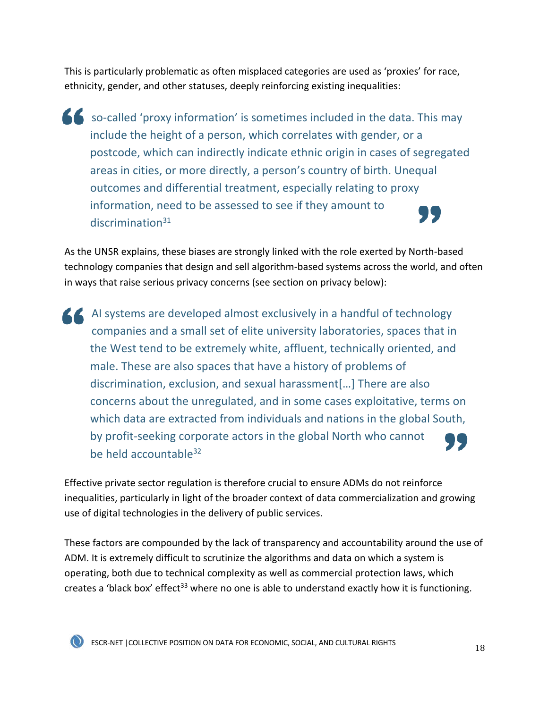This is particularly problematic as often misplaced categories are used as 'proxies' for race, ethnicity, gender, and other statuses, deeply reinforcing existing inequalities:

so-called 'proxy information' is sometimes included in the data. This may include the height of a person, which correlates with gender, or a postcode, which can indirectly indicate ethnic origin in cases of segregated areas in cities, or more directly, a person's country of birth. Unequal outcomes and differential treatment, especially relating to proxy information, need to be assessed to see if they amount to discrimination<sup>31</sup>

As the UNSR explains, these biases are strongly linked with the role exerted by North-based technology companies that design and sell algorithm-based systems across the world, and often in ways that raise serious privacy concerns (see section on privacy below):

AI systems are developed almost exclusively in a handful of technology companies and a small set of elite university laboratories, spaces that in the West tend to be extremely white, affluent, technically oriented, and male. These are also spaces that have a history of problems of discrimination, exclusion, and sexual harassment[…] There are also concerns about the unregulated, and in some cases exploitative, terms on which data are extracted from individuals and nations in the global South, by profit-seeking corporate actors in the global North who cannot be held accountable<sup>32</sup>

Effective private sector regulation is therefore crucial to ensure ADMs do not reinforce inequalities, particularly in light of the broader context of data commercialization and growing use of digital technologies in the delivery of public services.

These factors are compounded by the lack of transparency and accountability around the use of ADM. It is extremely difficult to scrutinize the algorithms and data on which a system is operating, both due to technical complexity as well as commercial protection laws, which creates a 'black box' effect<sup>33</sup> where no one is able to understand exactly how it is functioning.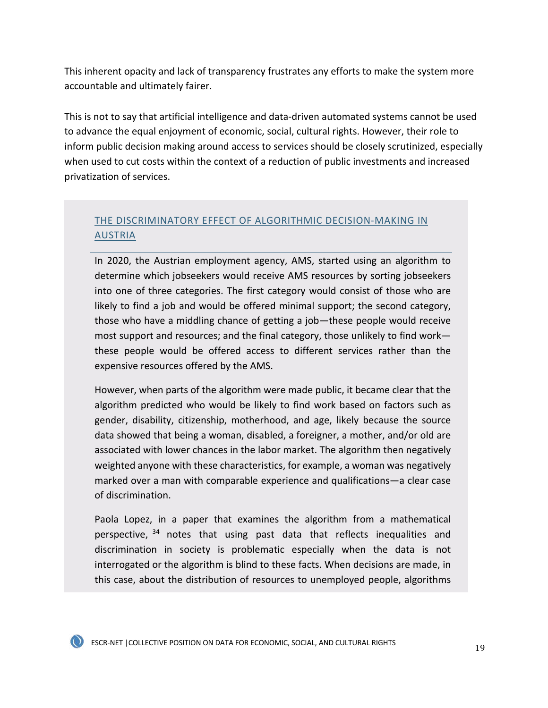This inherent opacity and lack of transparency frustrates any efforts to make the system more accountable and ultimately fairer.

This is not to say that artificial intelligence and data-driven automated systems cannot be used to advance the equal enjoyment of economic, social, cultural rights. However, their role to inform public decision making around access to services should be closely scrutinized, especially when used to cut costs within the context of a reduction of public investments and increased privatization of services.

## THE DISCRIMINATORY EFFECT OF ALGORITHMIC DECISION-MAKING IN AUSTRIA

In 2020, the Austrian employment agency, AMS, started using an algorithm to determine which jobseekers would receive AMS resources by sorting jobseekers into one of three categories. The first category would consist of those who are likely to find a job and would be offered minimal support; the second category, those who have a middling chance of getting a job—these people would receive most support and resources; and the final category, those unlikely to find work these people would be offered access to different services rather than the expensive resources offered by the AMS.

However, when parts of the algorithm were made public, it became clear that the algorithm predicted who would be likely to find work based on factors such as gender, disability, citizenship, motherhood, and age, likely because the source data showed that being a woman, disabled, a foreigner, a mother, and/or old are associated with lower chances in the labor market. The algorithm then negatively weighted anyone with these characteristics, for example, a woman was negatively marked over a man with comparable experience and qualifications—a clear case of discrimination.

Paola Lopez, in a paper that examines the algorithm from a mathematical perspective, <sup>34</sup> notes that using past data that reflects inequalities and discrimination in society is problematic especially when the data is not interrogated or the algorithm is blind to these facts. When decisions are made, in this case, about the distribution of resources to unemployed people, algorithms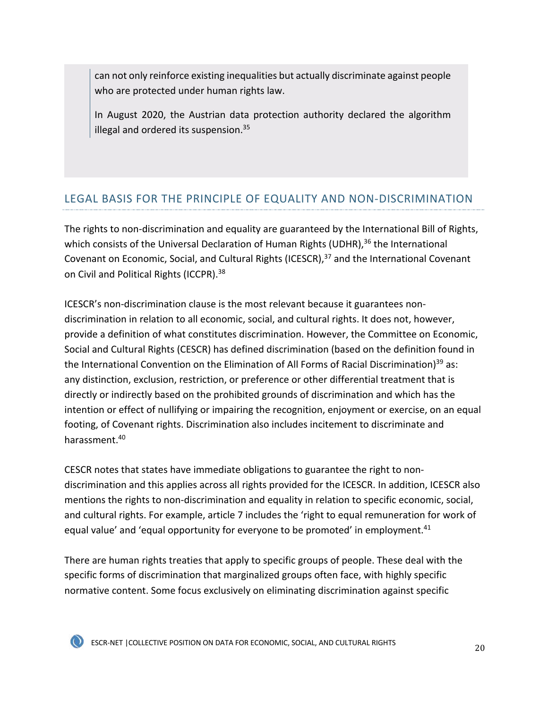can not only reinforce existing inequalities but actually discriminate against people who are protected under human rights law.

In August 2020, the Austrian data protection authority declared the algorithm illegal and ordered its suspension.<sup>35</sup>

# LEGAL BASIS FOR THE PRINCIPLE OF EQUALITY AND NON-DISCRIMINATION

The rights to non-discrimination and equality are guaranteed by the International Bill of Rights, which consists of the Universal Declaration of Human Rights (UDHR), $36$  the International Covenant on Economic, Social, and Cultural Rights (ICESCR),<sup>37</sup> and the International Covenant on Civil and Political Rights (ICCPR).38

ICESCR's non-discrimination clause is the most relevant because it guarantees nondiscrimination in relation to all economic, social, and cultural rights. It does not, however, provide a definition of what constitutes discrimination. However, the Committee on Economic, Social and Cultural Rights (CESCR) has defined discrimination (based on the definition found in the International Convention on the Elimination of All Forms of Racial Discrimination)<sup>39</sup> as: any distinction, exclusion, restriction, or preference or other differential treatment that is directly or indirectly based on the prohibited grounds of discrimination and which has the intention or effect of nullifying or impairing the recognition, enjoyment or exercise, on an equal footing, of Covenant rights. Discrimination also includes incitement to discriminate and harassment. 40

CESCR notes that states have immediate obligations to guarantee the right to nondiscrimination and this applies across all rights provided for the ICESCR. In addition, ICESCR also mentions the rights to non-discrimination and equality in relation to specific economic, social, and cultural rights. For example, article 7 includes the 'right to equal remuneration for work of equal value' and 'equal opportunity for everyone to be promoted' in employment.<sup>41</sup>

There are human rights treaties that apply to specific groups of people. These deal with the specific forms of discrimination that marginalized groups often face, with highly specific normative content. Some focus exclusively on eliminating discrimination against specific

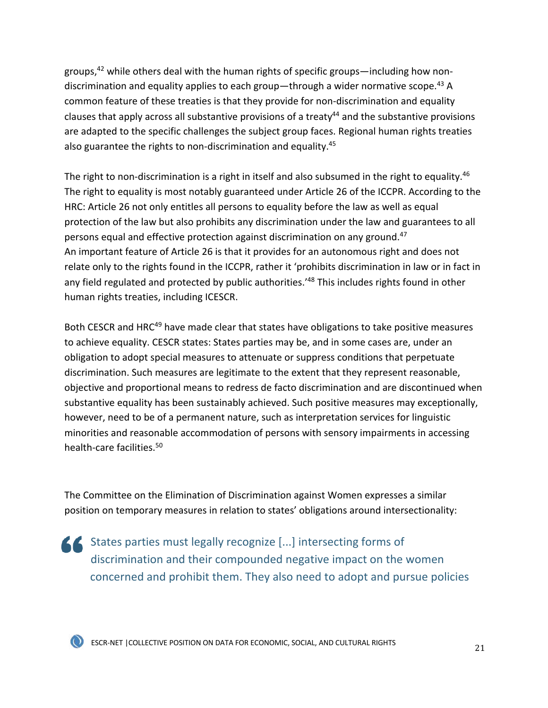groups, $42$  while others deal with the human rights of specific groups—including how nondiscrimination and equality applies to each group—through a wider normative scope.<sup>43</sup> A common feature of these treaties is that they provide for non-discrimination and equality clauses that apply across all substantive provisions of a treaty<sup>44</sup> and the substantive provisions are adapted to the specific challenges the subject group faces. Regional human rights treaties also guarantee the rights to non-discrimination and equality.45

The right to non-discrimination is a right in itself and also subsumed in the right to equality.<sup>46</sup> The right to equality is most notably guaranteed under Article 26 of the ICCPR. According to the HRC: Article 26 not only entitles all persons to equality before the law as well as equal protection of the law but also prohibits any discrimination under the law and guarantees to all persons equal and effective protection against discrimination on any ground.<sup>47</sup> An important feature of Article 26 is that it provides for an autonomous right and does not relate only to the rights found in the ICCPR, rather it 'prohibits discrimination in law or in fact in any field regulated and protected by public authorities.<sup>148</sup> This includes rights found in other human rights treaties, including ICESCR.

Both CESCR and HRC<sup>49</sup> have made clear that states have obligations to take positive measures to achieve equality. CESCR states: States parties may be, and in some cases are, under an obligation to adopt special measures to attenuate or suppress conditions that perpetuate discrimination. Such measures are legitimate to the extent that they represent reasonable, objective and proportional means to redress de facto discrimination and are discontinued when substantive equality has been sustainably achieved. Such positive measures may exceptionally, however, need to be of a permanent nature, such as interpretation services for linguistic minorities and reasonable accommodation of persons with sensory impairments in accessing health-care facilities.50

The Committee on the Elimination of Discrimination against Women expresses a similar position on temporary measures in relation to states' obligations around intersectionality:

States parties must legally recognize [...] intersecting forms of discrimination and their compounded negative impact on the women concerned and prohibit them. They also need to adopt and pursue policies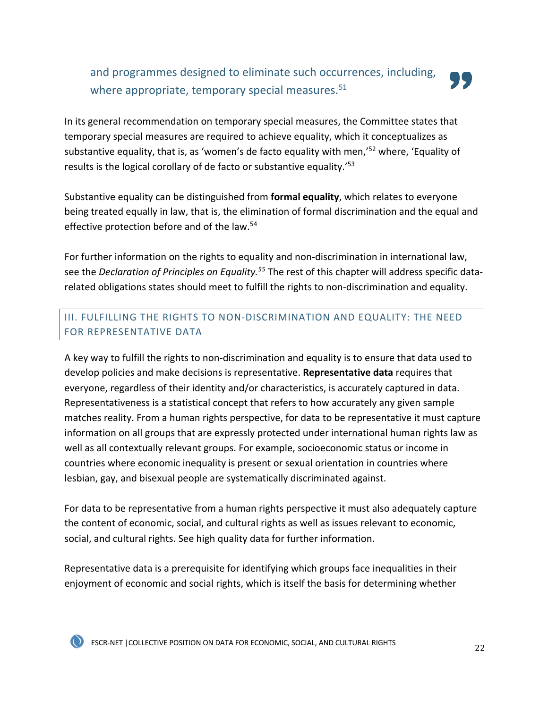# and programmes designed to eliminate such occurrences, including, where appropriate, temporary special measures.<sup>51</sup>



In its general recommendation on temporary special measures, the Committee states that temporary special measures are required to achieve equality, which it conceptualizes as substantive equality, that is, as 'women's de facto equality with men,<sup>'52</sup> where, 'Equality of results is the logical corollary of de facto or substantive equality.<sup>'53</sup>

Substantive equality can be distinguished from **formal equality**, which relates to everyone being treated equally in law, that is, the elimination of formal discrimination and the equal and effective protection before and of the law.<sup>54</sup>

For further information on the rights to equality and non-discrimination in international law, see the *Declaration of Principles on Equality.55* The rest of this chapter will address specific datarelated obligations states should meet to fulfill the rights to non-discrimination and equality.

## III. FULFILLING THE RIGHTS TO NON-DISCRIMINATION AND EQUALITY: THE NEED FOR REPRESENTATIVE DATA

A key way to fulfill the rights to non-discrimination and equality is to ensure that data used to develop policies and make decisions is representative. **Representative data** requires that everyone, regardless of their identity and/or characteristics, is accurately captured in data. Representativeness is a statistical concept that refers to how accurately any given sample matches reality. From a human rights perspective, for data to be representative it must capture information on all groups that are expressly protected under international human rights law as well as all contextually relevant groups. For example, socioeconomic status or income in countries where economic inequality is present or sexual orientation in countries where lesbian, gay, and bisexual people are systematically discriminated against.

For data to be representative from a human rights perspective it must also adequately capture the content of economic, social, and cultural rights as well as issues relevant to economic, social, and cultural rights. See high quality data for further information.

Representative data is a prerequisite for identifying which groups face inequalities in their enjoyment of economic and social rights, which is itself the basis for determining whether

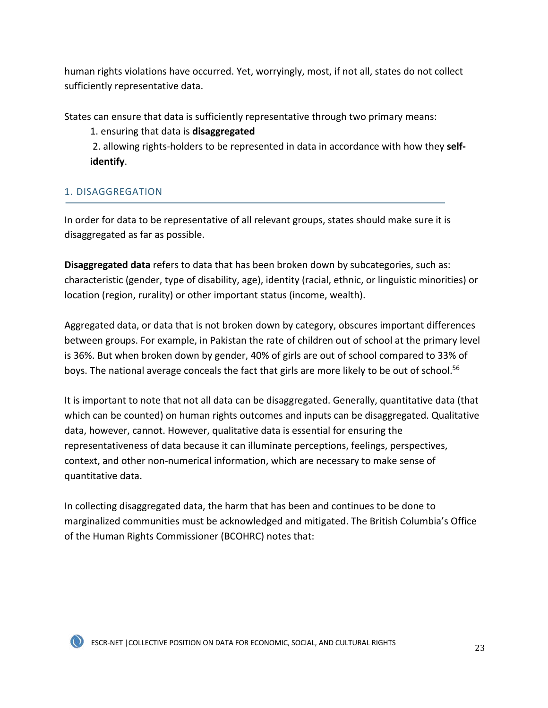human rights violations have occurred. Yet, worryingly, most, if not all, states do not collect sufficiently representative data.

States can ensure that data is sufficiently representative through two primary means:

1. ensuring that data is **disaggregated**

2. allowing rights-holders to be represented in data in accordance with how they **selfidentify**.

## 1. DISAGGREGATION

In order for data to be representative of all relevant groups, states should make sure it is disaggregated as far as possible.

**Disaggregated data** refers to data that has been broken down by subcategories, such as: characteristic (gender, type of disability, age), identity (racial, ethnic, or linguistic minorities) or location (region, rurality) or other important status (income, wealth).

Aggregated data, or data that is not broken down by category, obscures important differences between groups. For example, in Pakistan the rate of children out of school at the primary level is 36%. But when broken down by gender, 40% of girls are out of school compared to 33% of boys. The national average conceals the fact that girls are more likely to be out of school.<sup>56</sup>

It is important to note that not all data can be disaggregated. Generally, quantitative data (that which can be counted) on human rights outcomes and inputs can be disaggregated. Qualitative data, however, cannot. However, qualitative data is essential for ensuring the representativeness of data because it can illuminate perceptions, feelings, perspectives, context, and other non-numerical information, which are necessary to make sense of quantitative data.

In collecting disaggregated data, the harm that has been and continues to be done to marginalized communities must be acknowledged and mitigated. The British Columbia's Office of the Human Rights Commissioner (BCOHRC) notes that: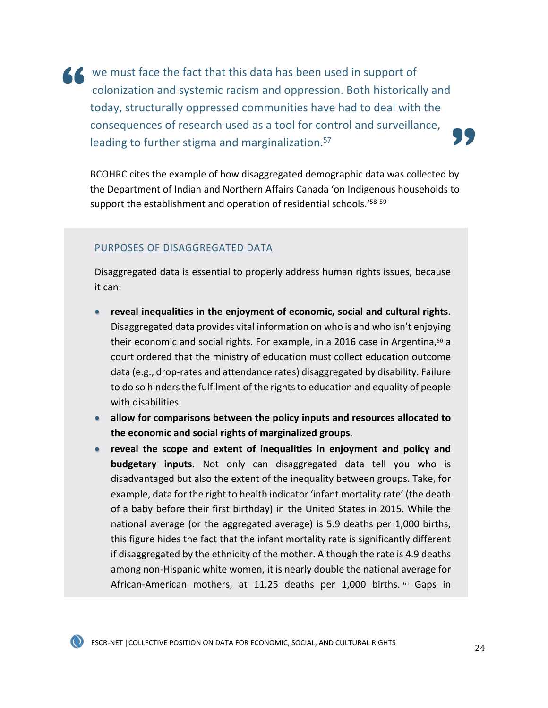K we must face the fact that this data has been used in support of colonization and systemic racism and oppression. Both historically and today, structurally oppressed communities have had to deal with the consequences of research used as a tool for control and surveillance, leading to further stigma and marginalization.<sup>57</sup>

BCOHRC cites the example of how disaggregated demographic data was collected by the Department of Indian and Northern Affairs Canada 'on Indigenous households to support the establishment and operation of residential schools.'<sup>58 59</sup>

#### PURPOSES OF DISAGGREGATED DATA

Disaggregated data is essential to properly address human rights issues, because it can:

- **reveal inequalities in the enjoyment of economic, social and cultural rights**. Disaggregated data provides vital information on who is and who isn't enjoying their economic and social rights. For example, in a 2016 case in Argentina, $60$  a court ordered that the ministry of education must collect education outcome data (e.g., drop-rates and attendance rates) disaggregated by disability. Failure to do so hinders the fulfilment of the rights to education and equality of people with disabilities.
- **allow for comparisons between the policy inputs and resources allocated to the economic and social rights of marginalized groups**.
- **reveal the scope and extent of inequalities in enjoyment and policy and budgetary inputs.** Not only can disaggregated data tell you who is disadvantaged but also the extent of the inequality between groups. Take, for example, data for the right to health indicator 'infant mortality rate' (the death of a baby before their first birthday) in the United States in 2015. While the national average (or the aggregated average) is 5.9 deaths per 1,000 births, this figure hides the fact that the infant mortality rate is significantly different if disaggregated by the ethnicity of the mother. Although the rate is 4.9 deaths among non-Hispanic white women, it is nearly double the national average for African-American mothers, at 11.25 deaths per 1,000 births. <sup>61</sup> Gaps in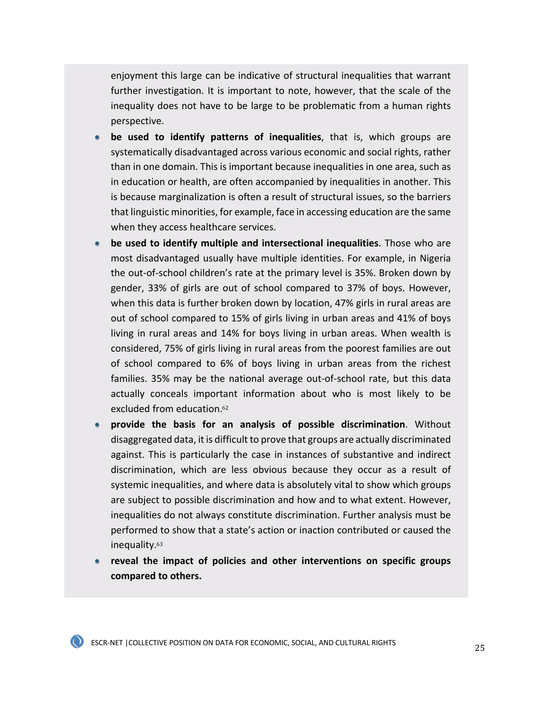enjoyment this large can be indicative of structural inequalities that warrant further investigation. It is important to note, however, that the scale of the inequality does not have to be large to be problematic from a human rights perspective.

- **be used to identify patterns of inequalities**, that is, which groups are systematically disadvantaged across various economic and social rights, rather than in one domain. This is important because inequalities in one area, such as in education or health, are often accompanied by inequalities in another. This is because marginalization is often a result of structural issues, so the barriers that linguistic minorities, for example, face in accessing education are the same when they access healthcare services.
- **be used to identify multiple and intersectional inequalities**. Those who are most disadvantaged usually have multiple identities. For example, in Nigeria the out-of-school children's rate at the primary level is 35%. Broken down by gender, 33% of girls are out of school compared to 37% of boys. However, when this data is further broken down by location, 47% girls in rural areas are out of school compared to 15% of girls living in urban areas and 41% of boys living in rural areas and 14% for boys living in urban areas. When wealth is considered, 75% of girls living in rural areas from the poorest families are out of school compared to 6% of boys living in urban areas from the richest families. 35% may be the national average out-of-school rate, but this data actually conceals important information about who is most likely to be excluded from education.<sup>62</sup>
- **provide the basis for an analysis of possible discrimination**. Without disaggregated data, it is difficult to prove that groups are actually discriminated against. This is particularly the case in instances of substantive and indirect discrimination, which are less obvious because they occur as a result of systemic inequalities, and where data is absolutely vital to show which groups are subject to possible discrimination and how and to what extent. However, inequalities do not always constitute discrimination. Further analysis must be performed to show that a state's action or inaction contributed or caused the inequality.<sup>63</sup>
- **reveal the impact of policies and other interventions on specific groups compared to others.**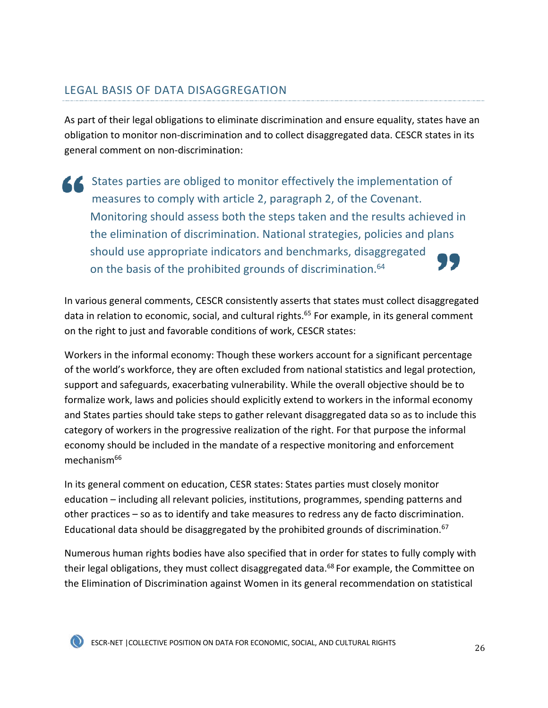# LEGAL BASIS OF DATA DISAGGREGATION

As part of their legal obligations to eliminate discrimination and ensure equality, states have an obligation to monitor non-discrimination and to collect disaggregated data. CESCR states in its general comment on non-discrimination:

States parties are obliged to monitor effectively the implementation of measures to comply with article 2, paragraph 2, of the Covenant. Monitoring should assess both the steps taken and the results achieved in the elimination of discrimination. National strategies, policies and plans should use appropriate indicators and benchmarks, disaggregated on the basis of the prohibited grounds of discrimination.<sup>64</sup>

In various general comments, CESCR consistently asserts that states must collect disaggregated data in relation to economic, social, and cultural rights.<sup>65</sup> For example, in its general comment on the right to just and favorable conditions of work, CESCR states:

Workers in the informal economy: Though these workers account for a significant percentage of the world's workforce, they are often excluded from national statistics and legal protection, support and safeguards, exacerbating vulnerability. While the overall objective should be to formalize work, laws and policies should explicitly extend to workers in the informal economy and States parties should take steps to gather relevant disaggregated data so as to include this category of workers in the progressive realization of the right. For that purpose the informal economy should be included in the mandate of a respective monitoring and enforcement mechanism $66$ 

In its general comment on education, CESR states: States parties must closely monitor education – including all relevant policies, institutions, programmes, spending patterns and other practices – so as to identify and take measures to redress any de facto discrimination. Educational data should be disaggregated by the prohibited grounds of discrimination.<sup>67</sup>

Numerous human rights bodies have also specified that in order for states to fully comply with their legal obligations, they must collect disaggregated data.<sup>68</sup> For example, the Committee on the Elimination of Discrimination against Women in its general recommendation on statistical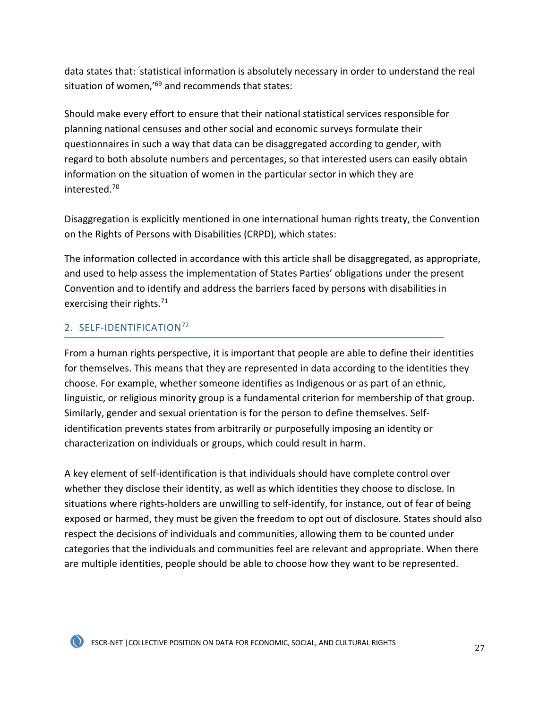data states that: 'statistical information is absolutely necessary in order to understand the real situation of women,<sup>169</sup> and recommends that states:

Should make every effort to ensure that their national statistical services responsible for planning national censuses and other social and economic surveys formulate their questionnaires in such a way that data can be disaggregated according to gender, with regard to both absolute numbers and percentages, so that interested users can easily obtain information on the situation of women in the particular sector in which they are interested.70

Disaggregation is explicitly mentioned in one international human rights treaty, the Convention on the Rights of Persons with Disabilities (CRPD), which states:

The information collected in accordance with this article shall be disaggregated, as appropriate, and used to help assess the implementation of States Parties' obligations under the present Convention and to identify and address the barriers faced by persons with disabilities in exercising their rights.<sup>71</sup>

## 2. SELF-IDENTIFICATION72

From a human rights perspective, it is important that people are able to define their identities for themselves. This means that they are represented in data according to the identities they choose. For example, whether someone identifies as Indigenous or as part of an ethnic, linguistic, or religious minority group is a fundamental criterion for membership of that group. Similarly, gender and sexual orientation is for the person to define themselves. Selfidentification prevents states from arbitrarily or purposefully imposing an identity or characterization on individuals or groups, which could result in harm.

A key element of self-identification is that individuals should have complete control over whether they disclose their identity, as well as which identities they choose to disclose. In situations where rights-holders are unwilling to self-identify, for instance, out of fear of being exposed or harmed, they must be given the freedom to opt out of disclosure. States should also respect the decisions of individuals and communities, allowing them to be counted under categories that the individuals and communities feel are relevant and appropriate. When there are multiple identities, people should be able to choose how they want to be represented.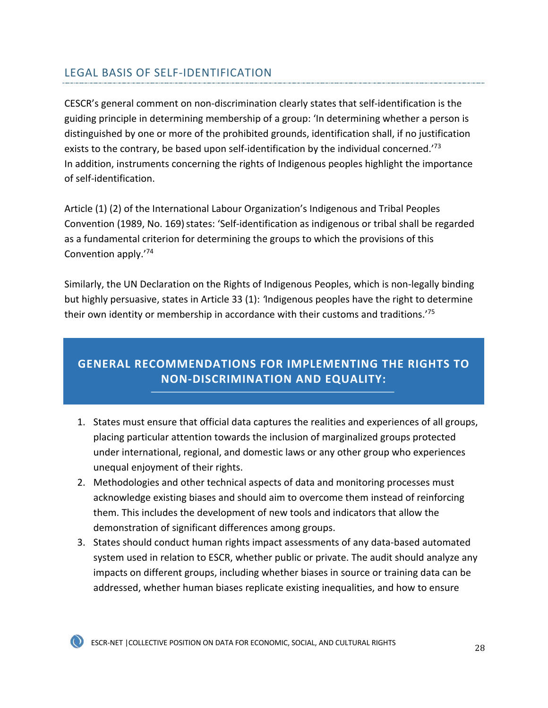# LEGAL BASIS OF SELF-IDENTIFICATION

CESCR's general comment on non-discrimination clearly states that self-identification is the guiding principle in determining membership of a group: 'In determining whether a person is distinguished by one or more of the prohibited grounds, identification shall, if no justification exists to the contrary, be based upon self-identification by the individual concerned.<sup> $73$ </sup> In addition, instruments concerning the rights of Indigenous peoples highlight the importance of self-identification.

Article (1) (2) of the International Labour Organization's Indigenous and Tribal Peoples Convention (1989, No. 169) states: 'Self-identification as indigenous or tribal shall be regarded as a fundamental criterion for determining the groups to which the provisions of this Convention apply.'74

Similarly, the UN Declaration on the Rights of Indigenous Peoples, which is non-legally binding but highly persuasive, states in Article 33 (1): *'*Indigenous peoples have the right to determine their own identity or membership in accordance with their customs and traditions.'75

# **GENERAL RECOMMENDATIONS FOR IMPLEMENTING THE RIGHTS TO NON-DISCRIMINATION AND EQUALITY:**

- 1. States must ensure that official data captures the realities and experiences of all groups, placing particular attention towards the inclusion of marginalized groups protected under international, regional, and domestic laws or any other group who experiences unequal enjoyment of their rights.
- 2. Methodologies and other technical aspects of data and monitoring processes must acknowledge existing biases and should aim to overcome them instead of reinforcing them. This includes the development of new tools and indicators that allow the demonstration of significant differences among groups.
- 3. States should conduct human rights impact assessments of any data-based automated system used in relation to ESCR, whether public or private. The audit should analyze any impacts on different groups, including whether biases in source or training data can be addressed, whether human biases replicate existing inequalities, and how to ensure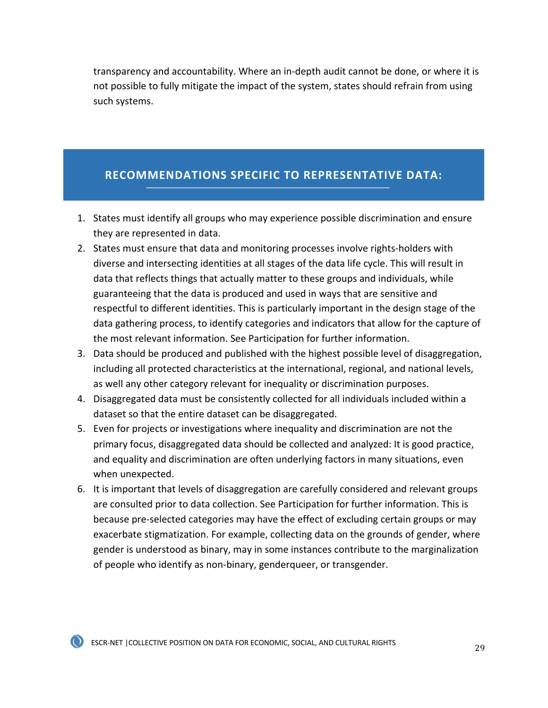transparency and accountability. Where an in-depth audit cannot be done, or where it is not possible to fully mitigate the impact of the system, states should refrain from using such systems.

## **RECOMMENDATIONS SPECIFIC TO REPRESENTATIVE DATA:**

- 1. States must identify all groups who may experience possible discrimination and ensure they are represented in data.
- 2. States must ensure that data and monitoring processes involve rights-holders with diverse and intersecting identities at all stages of the data life cycle. This will result in data that reflects things that actually matter to these groups and individuals, while guaranteeing that the data is produced and used in ways that are sensitive and respectful to different identities. This is particularly important in the design stage of the data gathering process, to identify categories and indicators that allow for the capture of the most relevant information. See Participation for further information.
- 3. Data should be produced and published with the highest possible level of disaggregation, including all protected characteristics at the international, regional, and national levels, as well any other category relevant for inequality or discrimination purposes.
- 4. Disaggregated data must be consistently collected for all individuals included within a dataset so that the entire dataset can be disaggregated.
- 5. Even for projects or investigations where inequality and discrimination are not the primary focus, disaggregated data should be collected and analyzed: It is good practice, and equality and discrimination are often underlying factors in many situations, even when unexpected.
- 6. It is important that levels of disaggregation are carefully considered and relevant groups are consulted prior to data collection. See Participation for further information. This is because pre-selected categories may have the effect of excluding certain groups or may exacerbate stigmatization. For example, collecting data on the grounds of gender, where gender is understood as binary, may in some instances contribute to the marginalization of people who identify as non-binary, genderqueer, or transgender.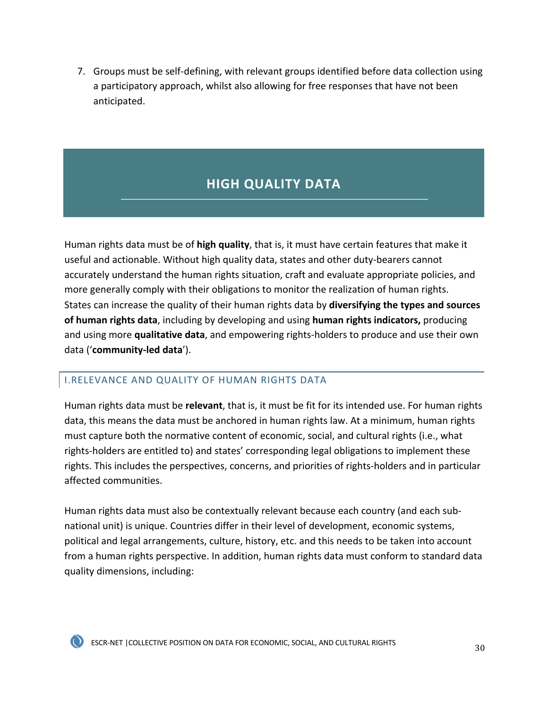<span id="page-30-0"></span>7. Groups must be self-defining, with relevant groups identified before data collection using a participatory approach, whilst also allowing for free responses that have not been anticipated.

# **HIGH QUALITY DATA**

Human rights data must be of **high quality**, that is, it must have certain features that make it useful and actionable. Without high quality data, states and other duty-bearers cannot accurately understand the human rights situation, craft and evaluate appropriate policies, and more generally comply with their obligations to monitor the realization of human rights. States can increase the quality of their human rights data by **diversifying the types and sources of human rights data**, including by developing and using **human rights indicators,** producing and using more **qualitative data**, and empowering rights-holders to produce and use their own data ('**community-led data**').

## I.RELEVANCE AND QUALITY OF HUMAN RIGHTS DATA

Human rights data must be **relevant**, that is, it must be fit for its intended use. For human rights data, this means the data must be anchored in human rights law. At a minimum, human rights must capture both the normative content of economic, social, and cultural rights (i.e., what rights-holders are entitled to) and states' corresponding legal obligations to implement these rights. This includes the perspectives, concerns, and priorities of rights-holders and in particular affected communities.

Human rights data must also be contextually relevant because each country (and each subnational unit) is unique. Countries differ in their level of development, economic systems, political and legal arrangements, culture, history, etc. and this needs to be taken into account from a human rights perspective. In addition, human rights data must conform to standard data quality dimensions, including:

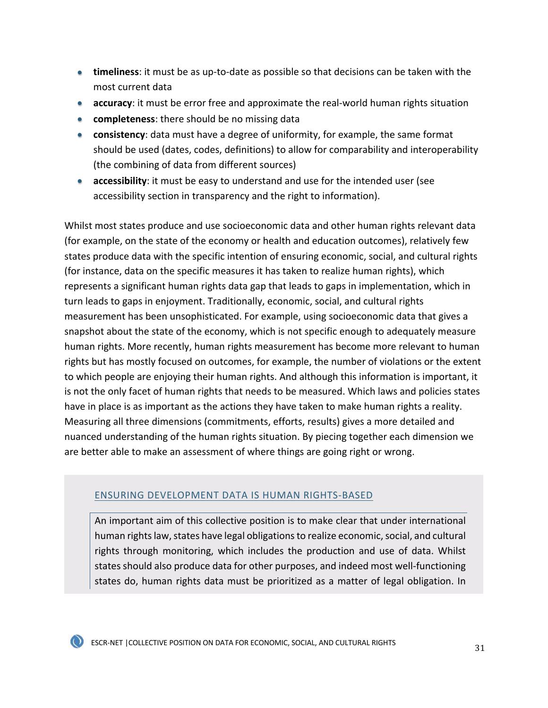- **timeliness**: it must be as up-to-date as possible so that decisions can be taken with the most current data
- **accuracy**: it must be error free and approximate the real-world human rights situation
- **completeness**: there should be no missing data
- **consistency**: data must have a degree of uniformity, for example, the same format should be used (dates, codes, definitions) to allow for comparability and interoperability (the combining of data from different sources)
- **accessibility**: it must be easy to understand and use for the intended user (see accessibility section in transparency and the right to information).

Whilst most states produce and use socioeconomic data and other human rights relevant data (for example, on the state of the economy or health and education outcomes), relatively few states produce data with the specific intention of ensuring economic, social, and cultural rights (for instance, data on the specific measures it has taken to realize human rights), which represents a significant human rights data gap that leads to gaps in implementation, which in turn leads to gaps in enjoyment. Traditionally, economic, social, and cultural rights measurement has been unsophisticated. For example, using socioeconomic data that gives a snapshot about the state of the economy, which is not specific enough to adequately measure human rights. More recently, human rights measurement has become more relevant to human rights but has mostly focused on outcomes, for example, the number of violations or the extent to which people are enjoying their human rights. And although this information is important, it is not the only facet of human rights that needs to be measured. Which laws and policies states have in place is as important as the actions they have taken to make human rights a reality. Measuring all three dimensions (commitments, efforts, results) gives a more detailed and nuanced understanding of the human rights situation. By piecing together each dimension we are better able to make an assessment of where things are going right or wrong.

## ENSURING DEVELOPMENT DATA IS HUMAN RIGHTS-BASED

An important aim of this collective position is to make clear that under international human rights law, states have legal obligations to realize economic, social, and cultural rights through monitoring, which includes the production and use of data. Whilst states should also produce data for other purposes, and indeed most well-functioning states do, human rights data must be prioritized as a matter of legal obligation. In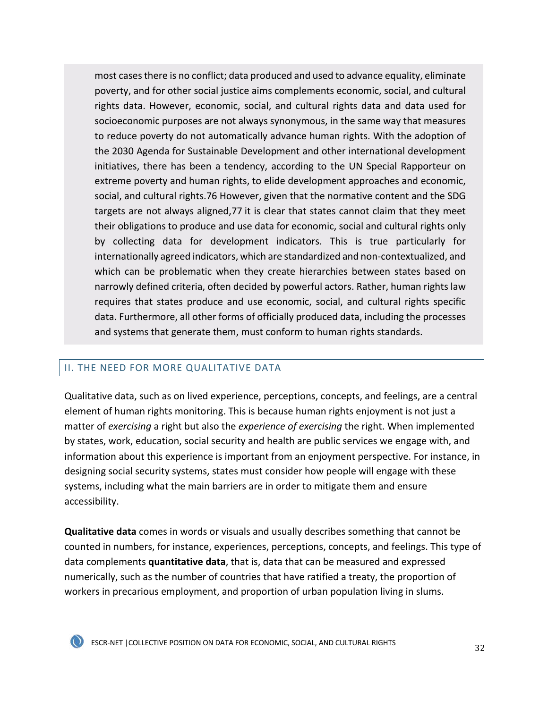most cases there is no conflict; data produced and used to advance equality, eliminate poverty, and for other social justice aims complements economic, social, and cultural rights data. However, economic, social, and cultural rights data and data used for socioeconomic purposes are not always synonymous, in the same way that measures to reduce poverty do not automatically advance human rights. With the adoption of the 2030 Agenda for Sustainable Development and other international development initiatives, there has been a tendency, according to the UN Special Rapporteur on extreme poverty and human rights, to elide development approaches and economic, social, and cultural rights.76 However, given that the normative content and the SDG targets are not always aligned,77 it is clear that states cannot claim that they meet their obligations to produce and use data for economic, social and cultural rights only by collecting data for development indicators. This is true particularly for internationally agreed indicators, which are standardized and non-contextualized, and which can be problematic when they create hierarchies between states based on narrowly defined criteria, often decided by powerful actors. Rather, human rights law requires that states produce and use economic, social, and cultural rights specific data. Furthermore, all other forms of officially produced data, including the processes and systems that generate them, must conform to human rights standards.

## II. THE NEED FOR MORE QUALITATIVE DATA

Qualitative data, such as on lived experience, perceptions, concepts, and feelings, are a central element of human rights monitoring. This is because human rights enjoyment is not just a matter of *exercising* a right but also the *experience of exercising* the right. When implemented by states, work, education, social security and health are public services we engage with, and information about this experience is important from an enjoyment perspective. For instance, in designing social security systems, states must consider how people will engage with these systems, including what the main barriers are in order to mitigate them and ensure accessibility.

**Qualitative data** comes in words or visuals and usually describes something that cannot be counted in numbers, for instance, experiences, perceptions, concepts, and feelings. This type of data complements **quantitative data**, that is, data that can be measured and expressed numerically, such as the number of countries that have ratified a treaty, the proportion of workers in precarious employment, and proportion of urban population living in slums.

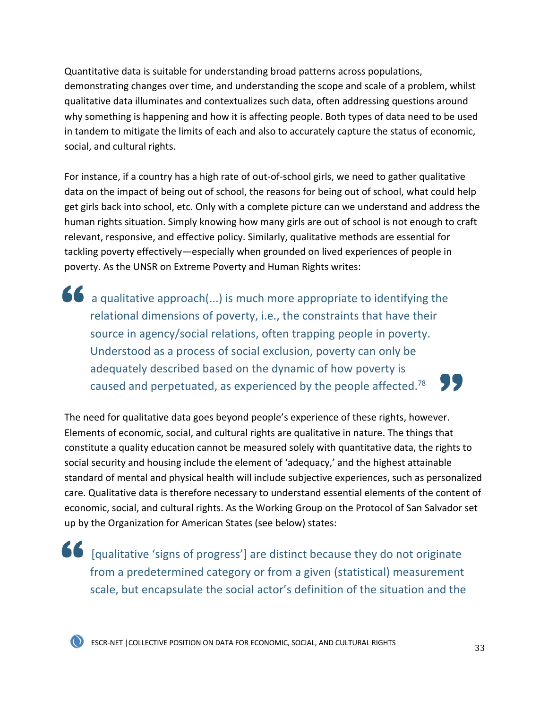Quantitative data is suitable for understanding broad patterns across populations, demonstrating changes over time, and understanding the scope and scale of a problem, whilst qualitative data illuminates and contextualizes such data, often addressing questions around why something is happening and how it is affecting people. Both types of data need to be used in tandem to mitigate the limits of each and also to accurately capture the status of economic, social, and cultural rights.

For instance, if a country has a high rate of out-of-school girls, we need to gather qualitative data on the impact of being out of school, the reasons for being out of school, what could help get girls back into school, etc. Only with a complete picture can we understand and address the human rights situation. Simply knowing how many girls are out of school is not enough to craft relevant, responsive, and effective policy. Similarly, qualitative methods are essential for tackling poverty effectively—especially when grounded on lived experiences of people in poverty. As the UNSR on Extreme Poverty and Human Rights writes:

a qualitative approach(...) is much more appropriate to identifying the relational dimensions of poverty, i.e., the constraints that have their source in agency/social relations, often trapping people in poverty. Understood as a process of social exclusion, poverty can only be adequately described based on the dynamic of how poverty is 77 caused and perpetuated, as experienced by the people affected.<sup>78</sup>

The need for qualitative data goes beyond people's experience of these rights, however. Elements of economic, social, and cultural rights are qualitative in nature. The things that constitute a quality education cannot be measured solely with quantitative data, the rights to social security and housing include the element of 'adequacy,' and the highest attainable standard of mental and physical health will include subjective experiences, such as personalized care. Qualitative data is therefore necessary to understand essential elements of the content of economic, social, and cultural rights. As the Working Group on the Protocol of San Salvador set up by the Organization for American States (see below) states:

[qualitative 'signs of progress'] are distinct because they do not originate from a predetermined category or from a given (statistical) measurement scale, but encapsulate the social actor's definition of the situation and the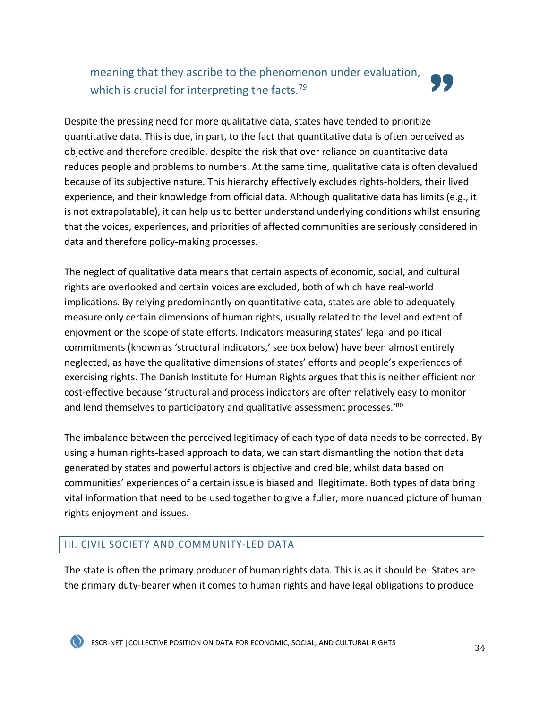meaning that they ascribe to the phenomenon under evaluation, which is crucial for interpreting the facts.<sup>79</sup>



Despite the pressing need for more qualitative data, states have tended to prioritize quantitative data. This is due, in part, to the fact that quantitative data is often perceived as objective and therefore credible, despite the risk that over reliance on quantitative data reduces people and problems to numbers. At the same time, qualitative data is often devalued because of its subjective nature. This hierarchy effectively excludes rights-holders, their lived experience, and their knowledge from official data. Although qualitative data has limits (e.g., it is not extrapolatable), it can help us to better understand underlying conditions whilst ensuring that the voices, experiences, and priorities of affected communities are seriously considered in data and therefore policy-making processes.

The neglect of qualitative data means that certain aspects of economic, social, and cultural rights are overlooked and certain voices are excluded, both of which have real-world implications. By relying predominantly on quantitative data, states are able to adequately measure only certain dimensions of human rights, usually related to the level and extent of enjoyment or the scope of state efforts. Indicators measuring states' legal and political commitments (known as 'structural indicators,' see box below) have been almost entirely neglected, as have the qualitative dimensions of states' efforts and people's experiences of exercising rights. The Danish Institute for Human Rights argues that this is neither efficient nor cost-effective because 'structural and process indicators are often relatively easy to monitor and lend themselves to participatory and qualitative assessment processes.<sup>'80</sup>

The imbalance between the perceived legitimacy of each type of data needs to be corrected. By using a human rights-based approach to data, we can start dismantling the notion that data generated by states and powerful actors is objective and credible, whilst data based on communities' experiences of a certain issue is biased and illegitimate. Both types of data bring vital information that need to be used together to give a fuller, more nuanced picture of human rights enjoyment and issues.

## III. CIVIL SOCIETY AND COMMUNITY-LED DATA

The state is often the primary producer of human rights data. This is as it should be: States are the primary duty-bearer when it comes to human rights and have legal obligations to produce

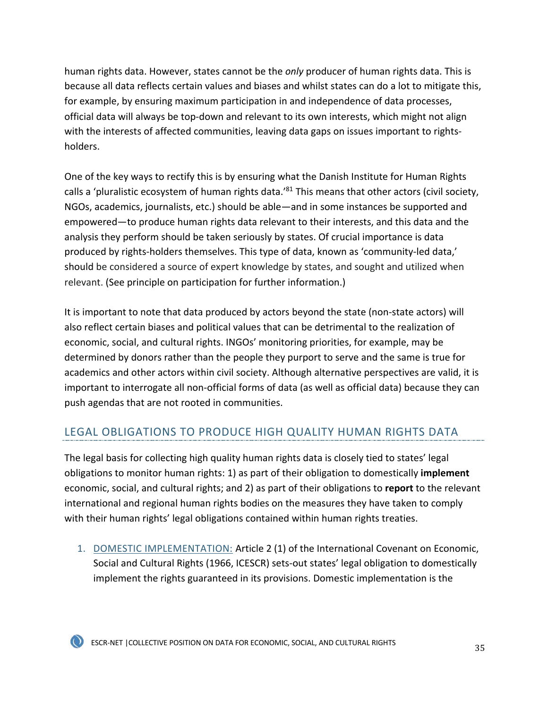human rights data. However, states cannot be the *only* producer of human rights data. This is because all data reflects certain values and biases and whilst states can do a lot to mitigate this, for example, by ensuring maximum participation in and independence of data processes, official data will always be top-down and relevant to its own interests, which might not align with the interests of affected communities, leaving data gaps on issues important to rightsholders.

One of the key ways to rectify this is by ensuring what the Danish Institute for Human Rights calls a 'pluralistic ecosystem of human rights data.'<sup>81</sup> This means that other actors (civil society, NGOs, academics, journalists, etc.) should be able—and in some instances be supported and empowered—to produce human rights data relevant to their interests, and this data and the analysis they perform should be taken seriously by states. Of crucial importance is data produced by rights-holders themselves. This type of data, known as 'community-led data,' should be considered a source of expert knowledge by states, and sought and utilized when relevant. (See principle on participation for further information.)

It is important to note that data produced by actors beyond the state (non-state actors) will also reflect certain biases and political values that can be detrimental to the realization of economic, social, and cultural rights. INGOs' monitoring priorities, for example, may be determined by donors rather than the people they purport to serve and the same is true for academics and other actors within civil society. Although alternative perspectives are valid, it is important to interrogate all non-official forms of data (as well as official data) because they can push agendas that are not rooted in communities.

## LEGAL OBLIGATIONS TO PRODUCE HIGH QUALITY HUMAN RIGHTS DATA

The legal basis for collecting high quality human rights data is closely tied to states' legal obligations to monitor human rights: 1) as part of their obligation to domestically **implement** economic, social, and cultural rights; and 2) as part of their obligations to **report** to the relevant international and regional human rights bodies on the measures they have taken to comply with their human rights' legal obligations contained within human rights treaties.

1. DOMESTIC IMPLEMENTATION: Article 2 (1) of the International Covenant on Economic, Social and Cultural Rights (1966, ICESCR) sets-out states' legal obligation to domestically implement the rights guaranteed in its provisions. Domestic implementation is the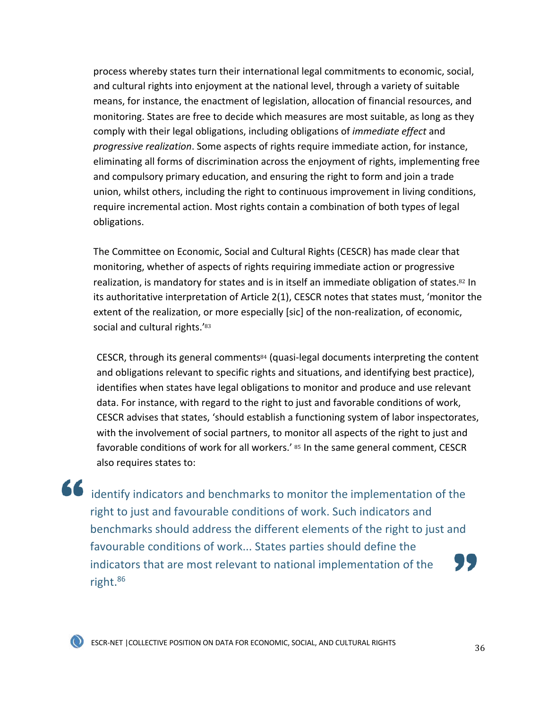process whereby states turn their international legal commitments to economic, social, and cultural rights into enjoyment at the national level, through a variety of suitable means, for instance, the enactment of legislation, allocation of financial resources, and monitoring. States are free to decide which measures are most suitable, as long as they comply with their legal obligations, including obligations of *immediate effect* and *progressive realization*. Some aspects of rights require immediate action, for instance, eliminating all forms of discrimination across the enjoyment of rights, implementing free and compulsory primary education, and ensuring the right to form and join a trade union, whilst others, including the right to continuous improvement in living conditions, require incremental action. Most rights contain a combination of both types of legal obligations.

The Committee on Economic, Social and Cultural Rights (CESCR) has made clear that monitoring, whether of aspects of rights requiring immediate action or progressive realization, is mandatory for states and is in itself an immediate obligation of states.<sup>82</sup> In its authoritative interpretation of Article 2(1), CESCR notes that states must, 'monitor the extent of the realization, or more especially [sic] of the non-realization, of economic, social and cultural rights.'83

CESCR, through its general comments $84$  (quasi-legal documents interpreting the content and obligations relevant to specific rights and situations, and identifying best practice), identifies when states have legal obligations to monitor and produce and use relevant data. For instance, with regard to the right to just and favorable conditions of work, CESCR advises that states, 'should establish a functioning system of labor inspectorates, with the involvement of social partners, to monitor all aspects of the right to just and favorable conditions of work for all workers.' 85 In the same general comment, CESCR also requires states to:

identify indicators and benchmarks to monitor the implementation of the right to just and favourable conditions of work. Such indicators and benchmarks should address the different elements of the right to just and favourable conditions of work... States parties should define the " indicators that are most relevant to national implementation of the right.86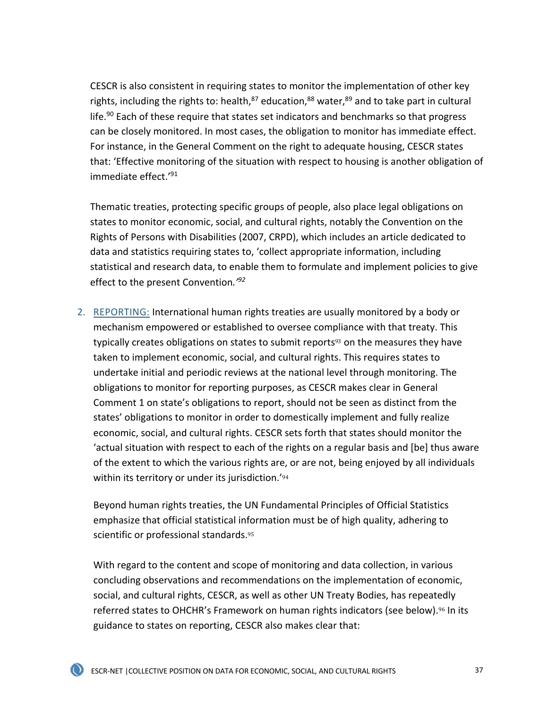CESCR is also consistent in requiring states to monitor the implementation of other key rights, including the rights to: health, $87$  education, $88$  water, $89$  and to take part in cultural life.<sup>90</sup> Each of these require that states set indicators and benchmarks so that progress can be closely monitored. In most cases, the obligation to monitor has immediate effect. For instance, in the General Comment on the right to adequate housing, CESCR states that: 'Effective monitoring of the situation with respect to housing is another obligation of immediate effect.'91

Thematic treaties, protecting specific groups of people, also place legal obligations on states to monitor economic, social, and cultural rights, notably the Convention on the Rights of Persons with Disabilities (2007, CRPD), which includes an article dedicated to data and statistics requiring states to, 'collect appropriate information, including statistical and research data, to enable them to formulate and implement policies to give effect to the present Convention*.'92*

2. REPORTING: International human rights treaties are usually monitored by a body or mechanism empowered or established to oversee compliance with that treaty. This typically creates obligations on states to submit reports<sup>93</sup> on the measures they have taken to implement economic, social, and cultural rights. This requires states to undertake initial and periodic reviews at the national level through monitoring. The obligations to monitor for reporting purposes, as CESCR makes clear in General Comment 1 on state's obligations to report, should not be seen as distinct from the states' obligations to monitor in order to domestically implement and fully realize economic, social, and cultural rights. CESCR sets forth that states should monitor the 'actual situation with respect to each of the rights on a regular basis and [be] thus aware of the extent to which the various rights are, or are not, being enjoyed by all individuals within its territory or under its jurisdiction.<sup>'94</sup>

Beyond human rights treaties, the UN Fundamental Principles of Official Statistics emphasize that official statistical information must be of high quality, adhering to scientific or professional standards.<sup>95</sup>

With regard to the content and scope of monitoring and data collection, in various concluding observations and recommendations on the implementation of economic, social, and cultural rights, CESCR, as well as other UN Treaty Bodies, has repeatedly referred states to OHCHR's Framework on human rights indicators (see below).<sup>96</sup> In its guidance to states on reporting, CESCR also makes clear that: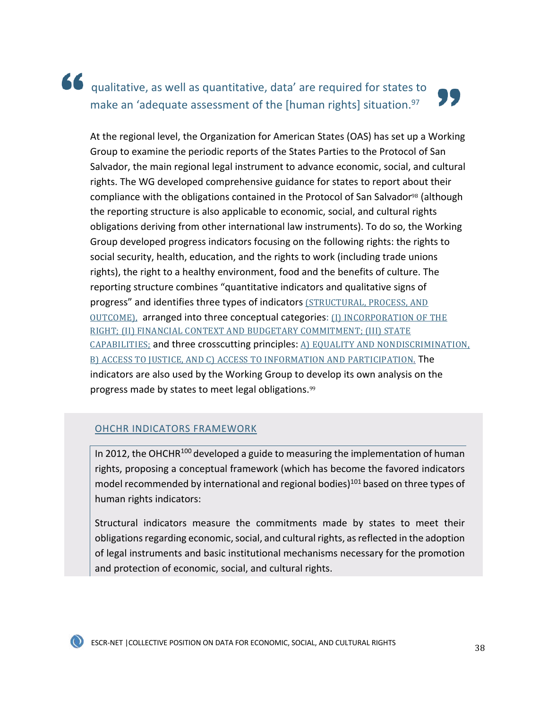## 66 qualitative, as well as quantitative, data' are required for states to make an 'adequate assessment of the [human rights] situation.<sup>97</sup>

At the regional level, the Organization for American States (OAS) has set up a Working Group to examine the periodic reports of the States Parties to the Protocol of San Salvador, the main regional legal instrument to advance economic, social, and cultural rights. The WG developed comprehensive guidance for states to report about their compliance with the obligations contained in the Protocol of San Salvador<sup>98</sup> (although the reporting structure is also applicable to economic, social, and cultural rights obligations deriving from other international law instruments). To do so, the Working Group developed progress indicators focusing on the following rights: the rights to social security, health, education, and the rights to work (including trade unions rights), the right to a healthy environment, food and the benefits of culture. The reporting structure combines "quantitative indicators and qualitative signs of progress" and identifies three types of indicators (STRUCTURAL, PROCESS, AND OUTCOME), arranged into three conceptual categories: (I) INCORPORATION OF THE RIGHT; (II) FINANCIAL CONTEXT AND BUDGETARY COMMITMENT; (III) STATE CAPABILITIES; and three crosscutting principles: A) EQUALITY AND NONDISCRIMINATION, B) ACCESS TO JUSTICE, AND C) ACCESS TO INFORMATION AND PARTICIPATION. The indicators are also used by the Working Group to develop its own analysis on the progress made by states to meet legal obligations.<sup>99</sup>

### OHCHR INDICATORS FRAMEWORK

In 2012, the OHCHR $100$  developed a guide to measuring the implementation of human rights, proposing a conceptual framework (which has become the favored indicators model recommended by international and regional bodies)<sup>101</sup> based on three types of human rights indicators:

Structural indicators measure the commitments made by states to meet their obligations regarding economic, social, and cultural rights, as reflected in the adoption of legal instruments and basic institutional mechanisms necessary for the promotion and protection of economic, social, and cultural rights.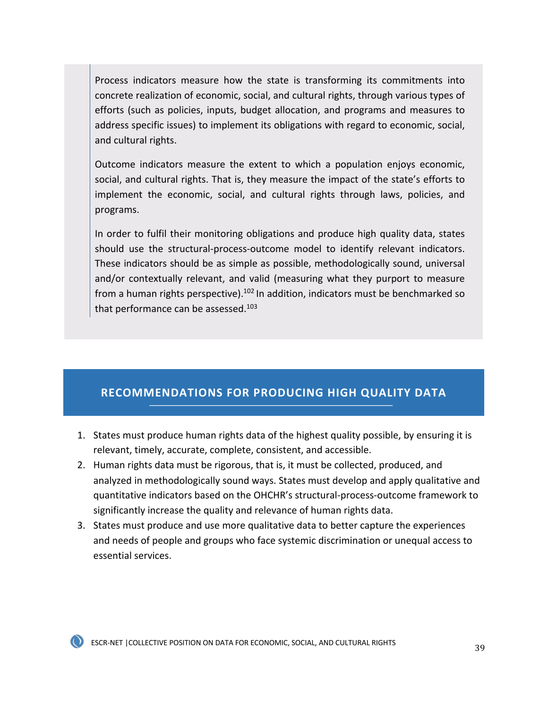Process indicators measure how the state is transforming its commitments into concrete realization of economic, social, and cultural rights, through various types of efforts (such as policies, inputs, budget allocation, and programs and measures to address specific issues) to implement its obligations with regard to economic, social, and cultural rights.

Outcome indicators measure the extent to which a population enjoys economic, social, and cultural rights. That is, they measure the impact of the state's efforts to implement the economic, social, and cultural rights through laws, policies, and programs.

In order to fulfil their monitoring obligations and produce high quality data, states should use the structural-process-outcome model to identify relevant indicators. These indicators should be as simple as possible, methodologically sound, universal and/or contextually relevant, and valid (measuring what they purport to measure from a human rights perspective).<sup>102</sup> In addition, indicators must be benchmarked so that performance can be assessed.<sup>103</sup>

## **RECOMMENDATIONS FOR PRODUCING HIGH QUALITY DATA**

- 1. States must produce human rights data of the highest quality possible, by ensuring it is relevant, timely, accurate, complete, consistent, and accessible.
- 2. Human rights data must be rigorous, that is, it must be collected, produced, and analyzed in methodologically sound ways. States must develop and apply qualitative and quantitative indicators based on the OHCHR's structural-process-outcome framework to significantly increase the quality and relevance of human rights data.
- 3. States must produce and use more qualitative data to better capture the experiences and needs of people and groups who face systemic discrimination or unequal access to essential services.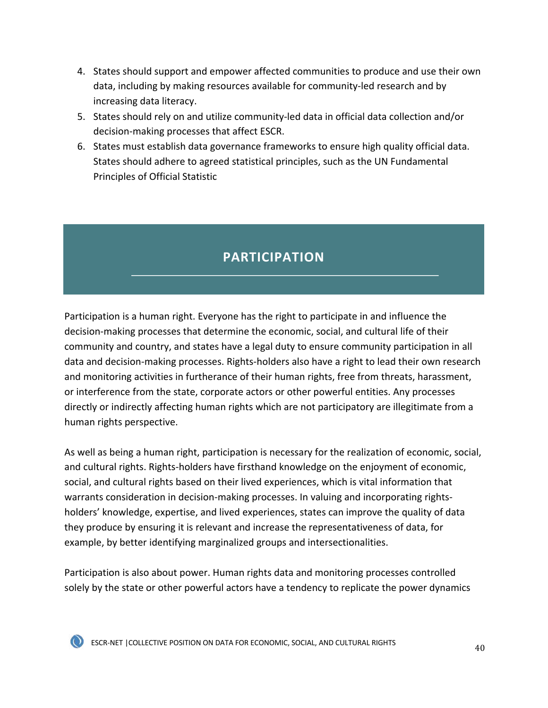- 4. States should support and empower affected communities to produce and use their own data, including by making resources available for community-led research and by increasing data literacy.
- 5. States should rely on and utilize community-led data in official data collection and/or decision-making processes that affect ESCR.
- 6. States must establish data governance frameworks to ensure high quality official data. States should adhere to agreed statistical principles, such as the UN Fundamental Principles of Official Statistic

# **PARTICIPATION**

Participation is a human right. Everyone has the right to participate in and influence the decision-making processes that determine the economic, social, and cultural life of their community and country, and states have a legal duty to ensure community participation in all data and decision-making processes. Rights-holders also have a right to lead their own research and monitoring activities in furtherance of their human rights, free from threats, harassment, or interference from the state, corporate actors or other powerful entities. Any processes directly or indirectly affecting human rights which are not participatory are illegitimate from a human rights perspective.

As well as being a human right, participation is necessary for the realization of economic, social, and cultural rights. Rights-holders have firsthand knowledge on the enjoyment of economic, social, and cultural rights based on their lived experiences, which is vital information that warrants consideration in decision-making processes. In valuing and incorporating rightsholders' knowledge, expertise, and lived experiences, states can improve the quality of data they produce by ensuring it is relevant and increase the representativeness of data, for example, by better identifying marginalized groups and intersectionalities.

Participation is also about power. Human rights data and monitoring processes controlled solely by the state or other powerful actors have a tendency to replicate the power dynamics



ESCR-NET | COLLECTIVE POSITION ON DATA FOR ECONOMIC, SOCIAL, AND CULTURAL RIGHTS  $\,40\,$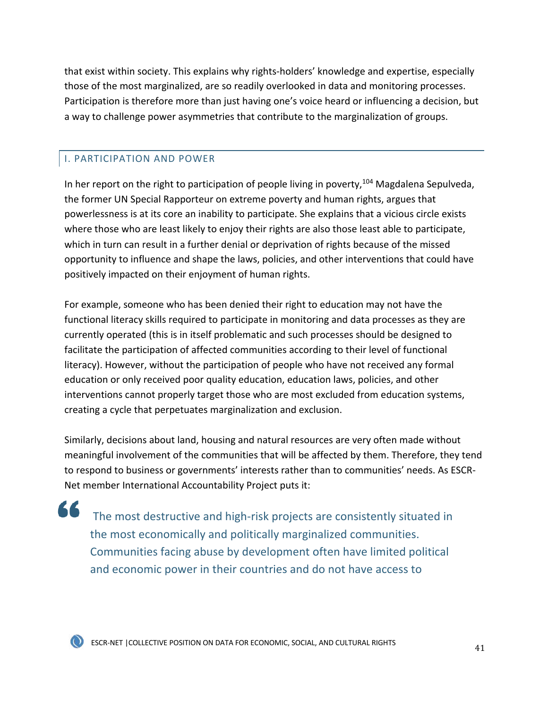that exist within society. This explains why rights-holders' knowledge and expertise, especially those of the most marginalized, are so readily overlooked in data and monitoring processes. Participation is therefore more than just having one's voice heard or influencing a decision, but a way to challenge power asymmetries that contribute to the marginalization of groups.

### I. PARTICIPATION AND POWER

In her report on the right to participation of people living in poverty,<sup>104</sup> Magdalena Sepulveda, the former UN Special Rapporteur on extreme poverty and human rights, argues that powerlessness is at its core an inability to participate. She explains that a vicious circle exists where those who are least likely to enjoy their rights are also those least able to participate, which in turn can result in a further denial or deprivation of rights because of the missed opportunity to influence and shape the laws, policies, and other interventions that could have positively impacted on their enjoyment of human rights.

For example, someone who has been denied their right to education may not have the functional literacy skills required to participate in monitoring and data processes as they are currently operated (this is in itself problematic and such processes should be designed to facilitate the participation of affected communities according to their level of functional literacy). However, without the participation of people who have not received any formal education or only received poor quality education, education laws, policies, and other interventions cannot properly target those who are most excluded from education systems, creating a cycle that perpetuates marginalization and exclusion.

Similarly, decisions about land, housing and natural resources are very often made without meaningful involvement of the communities that will be affected by them. Therefore, they tend to respond to business or governments' interests rather than to communities' needs. As ESCR-Net member International Accountability Project puts it:

" The most destructive and high-risk projects are consistently situated in the most economically and politically marginalized communities. Communities facing abuse by development often have limited political and economic power in their countries and do not have access to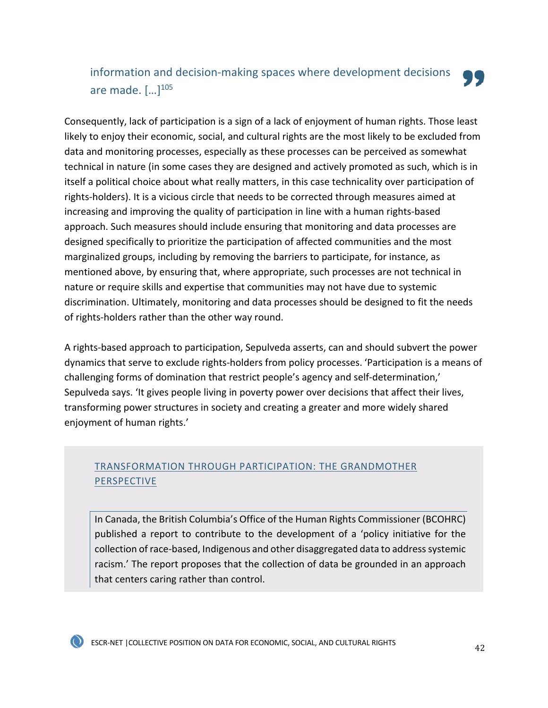## information and decision-making spaces where development decisions are made.  $[...]^{105}$

Consequently, lack of participation is a sign of a lack of enjoyment of human rights. Those least likely to enjoy their economic, social, and cultural rights are the most likely to be excluded from data and monitoring processes, especially as these processes can be perceived as somewhat technical in nature (in some cases they are designed and actively promoted as such, which is in itself a political choice about what really matters, in this case technicality over participation of rights-holders). It is a vicious circle that needs to be corrected through measures aimed at increasing and improving the quality of participation in line with a human rights-based approach. Such measures should include ensuring that monitoring and data processes are designed specifically to prioritize the participation of affected communities and the most marginalized groups, including by removing the barriers to participate, for instance, as mentioned above, by ensuring that, where appropriate, such processes are not technical in nature or require skills and expertise that communities may not have due to systemic discrimination. Ultimately, monitoring and data processes should be designed to fit the needs of rights-holders rather than the other way round.

A rights-based approach to participation, Sepulveda asserts, can and should subvert the power dynamics that serve to exclude rights-holders from policy processes. 'Participation is a means of challenging forms of domination that restrict people's agency and self-determination,' Sepulveda says. 'It gives people living in poverty power over decisions that affect their lives, transforming power structures in society and creating a greater and more widely shared enjoyment of human rights.'

## TRANSFORMATION THROUGH PARTICIPATION: THE GRANDMOTHER PERSPECTIVE

In Canada, the British Columbia's Office of the Human Rights Commissioner (BCOHRC) published a report to contribute to the development of a 'policy initiative for the collection of race-based, Indigenous and other disaggregated data to address systemic racism.' The report proposes that the collection of data be grounded in an approach that centers caring rather than control.

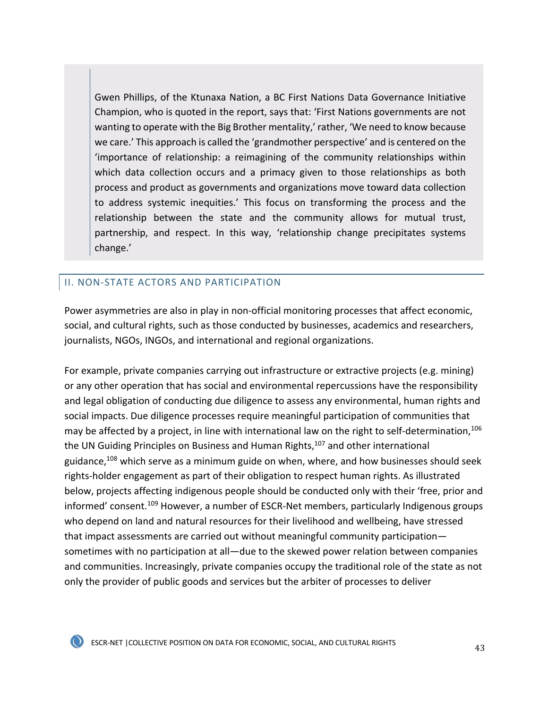Gwen Phillips, of the Ktunaxa Nation, a BC First Nations Data Governance Initiative Champion, who is quoted in the report, says that: 'First Nations governments are not wanting to operate with the Big Brother mentality,' rather, 'We need to know because we care.' This approach is called the 'grandmother perspective' and is centered on the 'importance of relationship: a reimagining of the community relationships within which data collection occurs and a primacy given to those relationships as both process and product as governments and organizations move toward data collection to address systemic inequities.' This focus on transforming the process and the relationship between the state and the community allows for mutual trust, partnership, and respect. In this way, 'relationship change precipitates systems change.'

### II. NON-STATE ACTORS AND PARTICIPATION

Power asymmetries are also in play in non-official monitoring processes that affect economic, social, and cultural rights, such as those conducted by businesses, academics and researchers, journalists, NGOs, INGOs, and international and regional organizations.

For example, private companies carrying out infrastructure or extractive projects (e.g. mining) or any other operation that has social and environmental repercussions have the responsibility and legal obligation of conducting due diligence to assess any environmental, human rights and social impacts. Due diligence processes require meaningful participation of communities that may be affected by a project, in line with international law on the right to self-determination,<sup>106</sup> the UN Guiding Principles on Business and Human Rights,<sup>107</sup> and other international guidance, $108$  which serve as a minimum guide on when, where, and how businesses should seek rights-holder engagement as part of their obligation to respect human rights. As illustrated below, projects affecting indigenous people should be conducted only with their 'free, prior and informed' consent.<sup>109</sup> However, a number of ESCR-Net members, particularly Indigenous groups who depend on land and natural resources for their livelihood and wellbeing, have stressed that impact assessments are carried out without meaningful community participation sometimes with no participation at all—due to the skewed power relation between companies and communities. Increasingly, private companies occupy the traditional role of the state as not only the provider of public goods and services but the arbiter of processes to deliver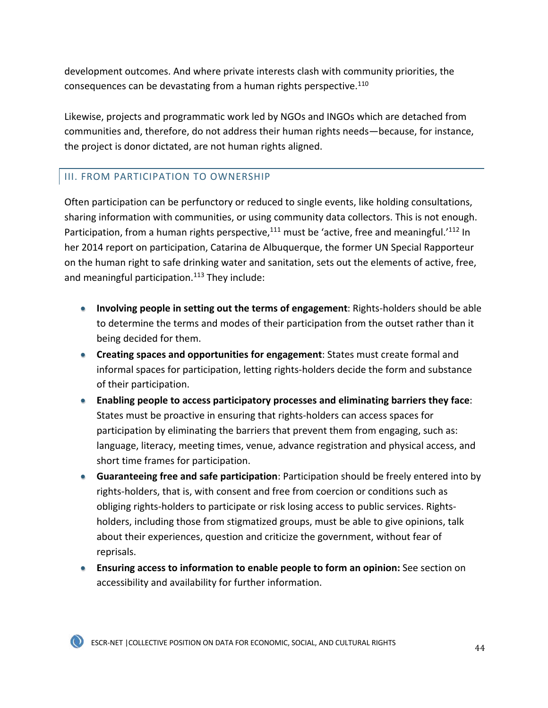development outcomes. And where private interests clash with community priorities, the consequences can be devastating from a human rights perspective.<sup>110</sup>

Likewise, projects and programmatic work led by NGOs and INGOs which are detached from communities and, therefore, do not address their human rights needs—because, for instance, the project is donor dictated, are not human rights aligned.

### III. FROM PARTICIPATION TO OWNERSHIP

Often participation can be perfunctory or reduced to single events, like holding consultations, sharing information with communities, or using community data collectors. This is not enough. Participation, from a human rights perspective, $111$  must be 'active, free and meaningful.' $112$  In her 2014 report on participation, Catarina de Albuquerque, the former UN Special Rapporteur on the human right to safe drinking water and sanitation, sets out the elements of active, free, and meaningful participation. $113$  They include:

- **Involving people in setting out the terms of engagement**: Rights-holders should be able to determine the terms and modes of their participation from the outset rather than it being decided for them.
- **Creating spaces and opportunities for engagement**: States must create formal and informal spaces for participation, letting rights-holders decide the form and substance of their participation.
- **Enabling people to access participatory processes and eliminating barriers they face**: States must be proactive in ensuring that rights-holders can access spaces for participation by eliminating the barriers that prevent them from engaging, such as: language, literacy, meeting times, venue, advance registration and physical access, and short time frames for participation.
- **Guaranteeing free and safe participation**: Participation should be freely entered into by rights-holders, that is, with consent and free from coercion or conditions such as obliging rights-holders to participate or risk losing access to public services. Rightsholders, including those from stigmatized groups, must be able to give opinions, talk about their experiences, question and criticize the government, without fear of reprisals.
- **Ensuring access to information to enable people to form an opinion:** See section on accessibility and availability for further information.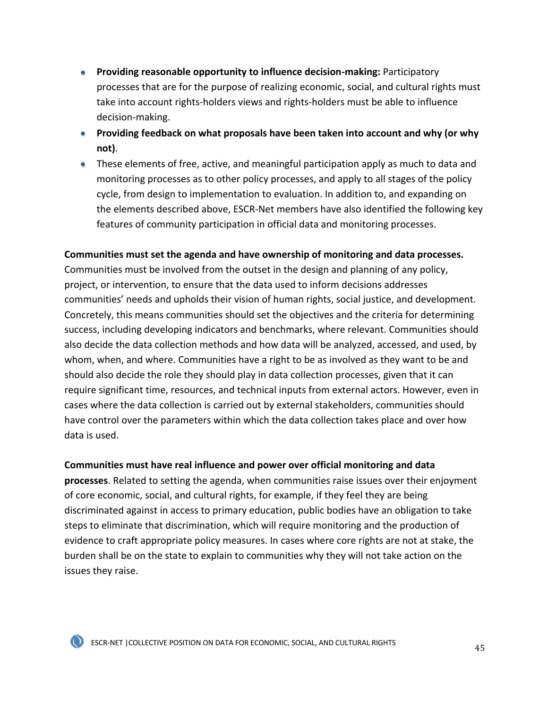- **Providing reasonable opportunity to influence decision-making:** Participatory processes that are for the purpose of realizing economic, social, and cultural rights must take into account rights-holders views and rights-holders must be able to influence decision-making.
- **Providing feedback on what proposals have been taken into account and why (or why not)**.
- These elements of free, active, and meaningful participation apply as much to data and monitoring processes as to other policy processes, and apply to all stages of the policy cycle, from design to implementation to evaluation. In addition to, and expanding on the elements described above, ESCR-Net members have also identified the following key features of community participation in official data and monitoring processes.

#### **Communities must set the agenda and have ownership of monitoring and data processes.**

Communities must be involved from the outset in the design and planning of any policy, project, or intervention, to ensure that the data used to inform decisions addresses communities' needs and upholds their vision of human rights, social justice, and development. Concretely, this means communities should set the objectives and the criteria for determining success, including developing indicators and benchmarks, where relevant. Communities should also decide the data collection methods and how data will be analyzed, accessed, and used, by whom, when, and where. Communities have a right to be as involved as they want to be and should also decide the role they should play in data collection processes, given that it can require significant time, resources, and technical inputs from external actors. However, even in cases where the data collection is carried out by external stakeholders, communities should have control over the parameters within which the data collection takes place and over how data is used.

#### **Communities must have real influence and power over official monitoring and data**

**processes**. Related to setting the agenda, when communities raise issues over their enjoyment of core economic, social, and cultural rights, for example, if they feel they are being discriminated against in access to primary education, public bodies have an obligation to take steps to eliminate that discrimination, which will require monitoring and the production of evidence to craft appropriate policy measures. In cases where core rights are not at stake, the burden shall be on the state to explain to communities why they will not take action on the issues they raise.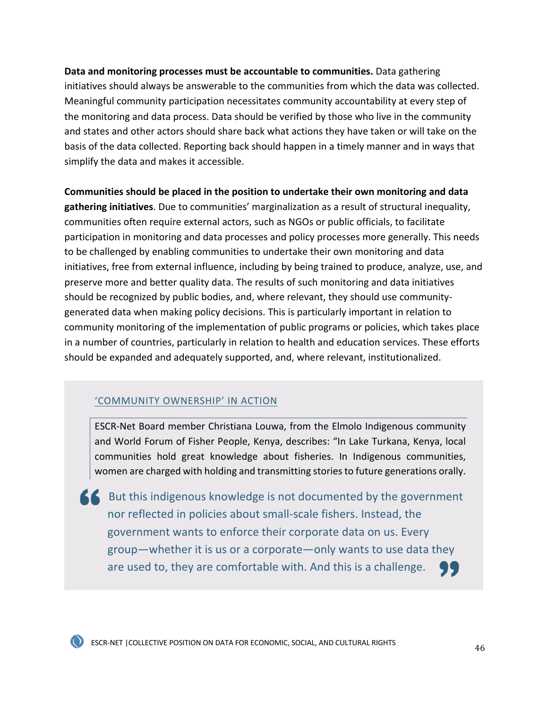**Data and monitoring processes must be accountable to communities.** Data gathering initiatives should always be answerable to the communities from which the data was collected. Meaningful community participation necessitates community accountability at every step of the monitoring and data process. Data should be verified by those who live in the community and states and other actors should share back what actions they have taken or will take on the basis of the data collected. Reporting back should happen in a timely manner and in ways that simplify the data and makes it accessible.

**Communities should be placed in the position to undertake their own monitoring and data gathering initiatives**. Due to communities' marginalization as a result of structural inequality, communities often require external actors, such as NGOs or public officials, to facilitate participation in monitoring and data processes and policy processes more generally. This needs to be challenged by enabling communities to undertake their own monitoring and data initiatives, free from external influence, including by being trained to produce, analyze, use, and preserve more and better quality data. The results of such monitoring and data initiatives should be recognized by public bodies, and, where relevant, they should use communitygenerated data when making policy decisions. This is particularly important in relation to community monitoring of the implementation of public programs or policies, which takes place in a number of countries, particularly in relation to health and education services. These efforts should be expanded and adequately supported, and, where relevant, institutionalized.

### 'COMMUNITY OWNERSHIP' IN ACTION

ESCR-Net Board member Christiana Louwa, from the Elmolo Indigenous community and World Forum of Fisher People, Kenya, describes: "In Lake Turkana, Kenya, local communities hold great knowledge about fisheries. In Indigenous communities, women are charged with holding and transmitting stories to future generations orally.

 $\blacksquare$  But this indigenous knowledge is not documented by the government nor reflected in policies about small-scale fishers. Instead, the government wants to enforce their corporate data on us. Every group—whether it is us or a corporate—only wants to use data they are used to, they are comfortable with. And this is a challenge.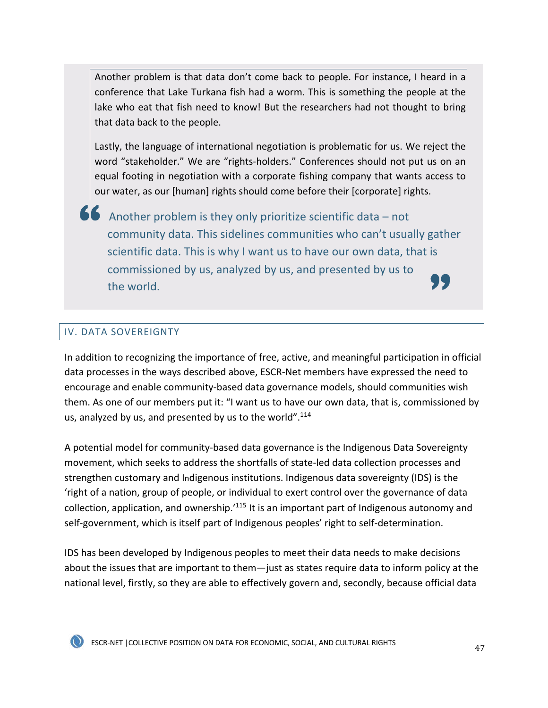Another problem is that data don't come back to people. For instance, I heard in a conference that Lake Turkana fish had a worm. This is something the people at the lake who eat that fish need to know! But the researchers had not thought to bring that data back to the people.

Lastly, the language of international negotiation is problematic for us. We reject the word "stakeholder." We are "rights-holders." Conferences should not put us on an equal footing in negotiation with a corporate fishing company that wants access to our water, as our [human] rights should come before their [corporate] rights.

Another problem is they only prioritize scientific data – not community data. This sidelines communities who can't usually gather scientific data. This is why I want us to have our own data, that is commissioned by us, analyzed by us, and presented by us to . J. J the world.

### IV. DATA SOVEREIGNTY

In addition to recognizing the importance of free, active, and meaningful participation in official data processes in the ways described above, ESCR-Net members have expressed the need to encourage and enable community-based data governance models, should communities wish them. As one of our members put it: "I want us to have our own data, that is, commissioned by us, analyzed by us, and presented by us to the world".<sup>114</sup>

A potential model for community-based data governance is the Indigenous Data Sovereignty movement, which seeks to address the shortfalls of state-led data collection processes and strengthen customary and Indigenous institutions. Indigenous data sovereignty (IDS) is the 'right of a nation, group of people, or individual to exert control over the governance of data collection, application, and ownership.'115 It is an important part of Indigenous autonomy and self-government, which is itself part of Indigenous peoples' right to self-determination.

IDS has been developed by Indigenous peoples to meet their data needs to make decisions about the issues that are important to them—just as states require data to inform policy at the national level, firstly, so they are able to effectively govern and, secondly, because official data



ESCR-NET |COLLECTIVE POSITION ON DATA FOR ECONOMIC, SOCIAL, AND CULTURAL RIGHTS <sup>47</sup>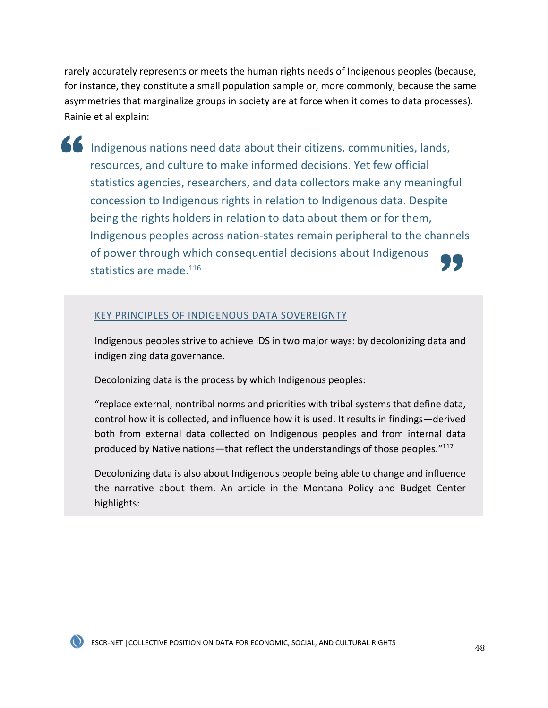rarely accurately represents or meets the human rights needs of Indigenous peoples (because, for instance, they constitute a small population sample or, more commonly, because the same asymmetries that marginalize groups in society are at force when it comes to data processes). Rainie et al explain:

Indigenous nations need data about their citizens, communities, lands, resources, and culture to make informed decisions. Yet few official statistics agencies, researchers, and data collectors make any meaningful concession to Indigenous rights in relation to Indigenous data. Despite being the rights holders in relation to data about them or for them, Indigenous peoples across nation-states remain peripheral to the channels of power through which consequential decisions about Indigenous statistics are made.<sup>116</sup>

#### KEY PRINCIPLES OF INDIGENOUS DATA SOVEREIGNTY

Indigenous peoples strive to achieve IDS in two major ways: by decolonizing data and indigenizing data governance.

Decolonizing data is the process by which Indigenous peoples:

"replace external, nontribal norms and priorities with tribal systems that define data, control how it is collected, and influence how it is used. It results in findings—derived both from external data collected on Indigenous peoples and from internal data produced by Native nations—that reflect the understandings of those peoples."117

Decolonizing data is also about Indigenous people being able to change and influence the narrative about them. An article in the Montana Policy and Budget Center highlights: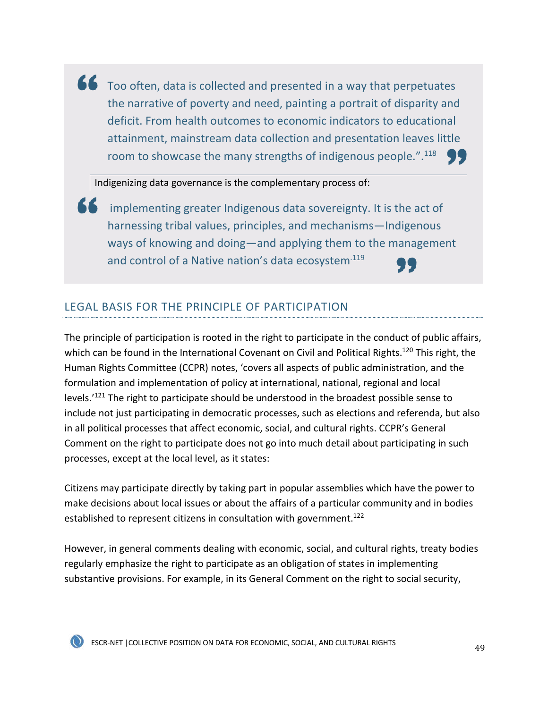Too often, data is collected and presented in a way that perpetuates the narrative of poverty and need, painting a portrait of disparity and deficit. From health outcomes to economic indicators to educational attainment, mainstream data collection and presentation leaves little room to showcase the many strengths of indigenous people.".<sup>118</sup>

Indigenizing data governance is the complementary process of:

implementing greater Indigenous data sovereignty. It is the act of harnessing tribal values, principles, and mechanisms—Indigenous ways of knowing and doing—and applying them to the management and control of a Native nation's data ecosystem<sup>.119</sup>

### LEGAL BASIS FOR THE PRINCIPLE OF PARTICIPATION

The principle of participation is rooted in the right to participate in the conduct of public affairs, which can be found in the International Covenant on Civil and Political Rights.<sup>120</sup> This right, the Human Rights Committee (CCPR) notes, 'covers all aspects of public administration, and the formulation and implementation of policy at international, national, regional and local levels.'<sup>121</sup> The right to participate should be understood in the broadest possible sense to include not just participating in democratic processes, such as elections and referenda, but also in all political processes that affect economic, social, and cultural rights. CCPR's General Comment on the right to participate does not go into much detail about participating in such processes, except at the local level, as it states:

Citizens may participate directly by taking part in popular assemblies which have the power to make decisions about local issues or about the affairs of a particular community and in bodies established to represent citizens in consultation with government.<sup>122</sup>

However, in general comments dealing with economic, social, and cultural rights, treaty bodies regularly emphasize the right to participate as an obligation of states in implementing substantive provisions. For example, in its General Comment on the right to social security,

ESCR-NET |COLLECTIVE POSITION ON DATA FOR ECONOMIC, SOCIAL, AND CULTURAL RIGHTS <sup>49</sup>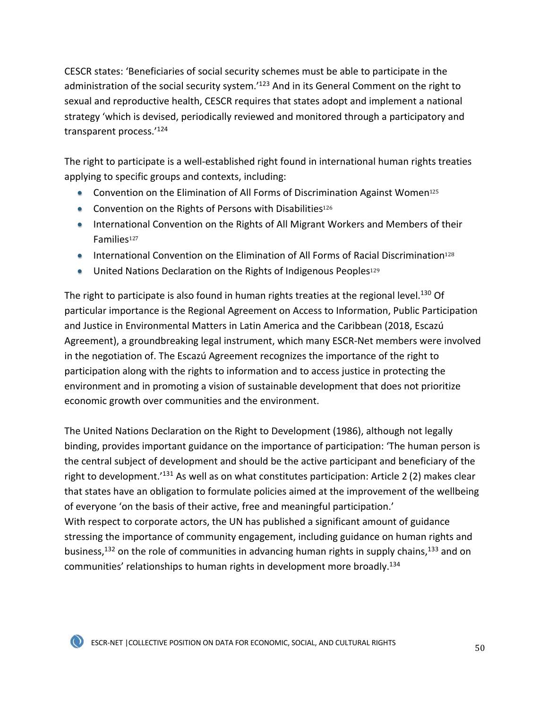CESCR states: 'Beneficiaries of social security schemes must be able to participate in the administration of the social security system.<sup>'123</sup> And in its General Comment on the right to sexual and reproductive health, CESCR requires that states adopt and implement a national strategy 'which is devised, periodically reviewed and monitored through a participatory and transparent process.'124

The right to participate is a well-established right found in international human rights treaties applying to specific groups and contexts, including:

- Convention on the Elimination of All Forms of Discrimination Against Women<sup>125</sup>
- Convention on the Rights of Persons with Disabilities<sup>126</sup>
- International Convention on the Rights of All Migrant Workers and Members of their Families<sup>127</sup>
- International Convention on the Elimination of All Forms of Racial Discrimination<sup>128</sup>
- United Nations Declaration on the Rights of Indigenous Peoples<sup>129</sup>

The right to participate is also found in human rights treaties at the regional level.<sup>130</sup> Of particular importance is the Regional Agreement on Access to Information, Public Participation and Justice in Environmental Matters in Latin America and the Caribbean (2018, Escazú Agreement), a groundbreaking legal instrument, which many ESCR-Net members were involved in the negotiation of. The Escazú Agreement recognizes the importance of the right to participation along with the rights to information and to access justice in protecting the environment and in promoting a vision of sustainable development that does not prioritize economic growth over communities and the environment.

The United Nations Declaration on the Right to Development (1986), although not legally binding, provides important guidance on the importance of participation: 'The human person is the central subject of development and should be the active participant and beneficiary of the right to development.'131 As well as on what constitutes participation: Article 2 (2) makes clear that states have an obligation to formulate policies aimed at the improvement of the wellbeing of everyone 'on the basis of their active, free and meaningful participation.' With respect to corporate actors, the UN has published a significant amount of guidance stressing the importance of community engagement, including guidance on human rights and business,<sup>132</sup> on the role of communities in advancing human rights in supply chains,<sup>133</sup> and on communities' relationships to human rights in development more broadly.134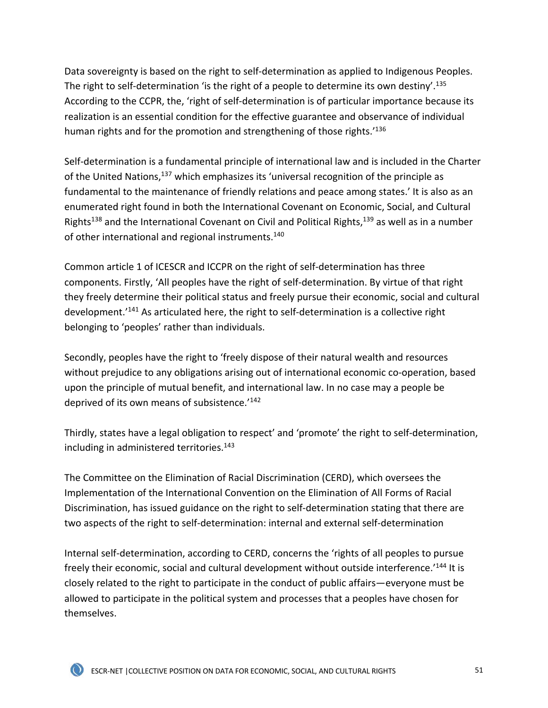Data sovereignty is based on the right to self-determination as applied to Indigenous Peoples. The right to self-determination 'is the right of a people to determine its own destiny'.<sup>135</sup> According to the CCPR, the, 'right of self-determination is of particular importance because its realization is an essential condition for the effective guarantee and observance of individual human rights and for the promotion and strengthening of those rights.<sup>'136</sup>

Self-determination is a fundamental principle of international law and is included in the Charter of the United Nations,<sup>137</sup> which emphasizes its 'universal recognition of the principle as fundamental to the maintenance of friendly relations and peace among states.' It is also as an enumerated right found in both the International Covenant on Economic, Social, and Cultural Rights<sup>138</sup> and the International Covenant on Civil and Political Rights,<sup>139</sup> as well as in a number of other international and regional instruments.140

Common article 1 of ICESCR and ICCPR on the right of self-determination has three components. Firstly, 'All peoples have the right of self-determination. By virtue of that right they freely determine their political status and freely pursue their economic, social and cultural development.'141 As articulated here, the right to self-determination is a collective right belonging to 'peoples' rather than individuals.

Secondly, peoples have the right to 'freely dispose of their natural wealth and resources without prejudice to any obligations arising out of international economic co-operation, based upon the principle of mutual benefit, and international law. In no case may a people be deprived of its own means of subsistence.'142

Thirdly, states have a legal obligation to respect' and 'promote' the right to self-determination, including in administered territories.<sup>143</sup>

The Committee on the Elimination of Racial Discrimination (CERD), which oversees the Implementation of the International Convention on the Elimination of All Forms of Racial Discrimination, has issued guidance on the right to self-determination stating that there are two aspects of the right to self-determination: internal and external self-determination

Internal self-determination, according to CERD, concerns the 'rights of all peoples to pursue freely their economic, social and cultural development without outside interference.<sup>'144</sup> It is closely related to the right to participate in the conduct of public affairs—everyone must be allowed to participate in the political system and processes that a peoples have chosen for themselves.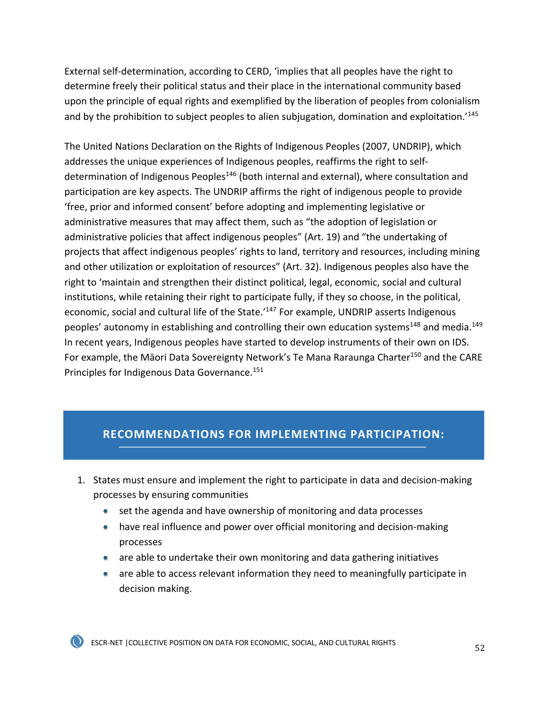External self-determination, according to CERD, 'implies that all peoples have the right to determine freely their political status and their place in the international community based upon the principle of equal rights and exemplified by the liberation of peoples from colonialism and by the prohibition to subject peoples to alien subjugation, domination and exploitation.<sup>145</sup>

The United Nations Declaration on the Rights of Indigenous Peoples (2007, UNDRIP), which addresses the unique experiences of Indigenous peoples, reaffirms the right to selfdetermination of Indigenous Peoples<sup>146</sup> (both internal and external), where consultation and participation are key aspects. The UNDRIP affirms the right of indigenous people to provide 'free, prior and informed consent' before adopting and implementing legislative or administrative measures that may affect them, such as "the adoption of legislation or administrative policies that affect indigenous peoples" (Art. 19) and "the undertaking of projects that affect indigenous peoples' rights to land, territory and resources, including mining and other utilization or exploitation of resources" (Art. 32). Indigenous peoples also have the right to 'maintain and strengthen their distinct political, legal, economic, social and cultural institutions, while retaining their right to participate fully, if they so choose, in the political, economic, social and cultural life of the State.'<sup>147</sup> For example, UNDRIP asserts Indigenous peoples' autonomy in establishing and controlling their own education systems<sup>148</sup> and media.<sup>149</sup> In recent years, Indigenous peoples have started to develop instruments of their own on IDS. For example, the Māori Data Sovereignty Network's Te Mana Raraunga Charter<sup>150</sup> and the CARE Principles for Indigenous Data Governance.<sup>151</sup>

## **RECOMMENDATIONS FOR IMPLEMENTING PARTICIPATION:**

- 1. States must ensure and implement the right to participate in data and decision-making processes by ensuring communities
	- set the agenda and have ownership of monitoring and data processes
	- have real influence and power over official monitoring and decision-making processes
	- are able to undertake their own monitoring and data gathering initiatives
	- are able to access relevant information they need to meaningfully participate in decision making.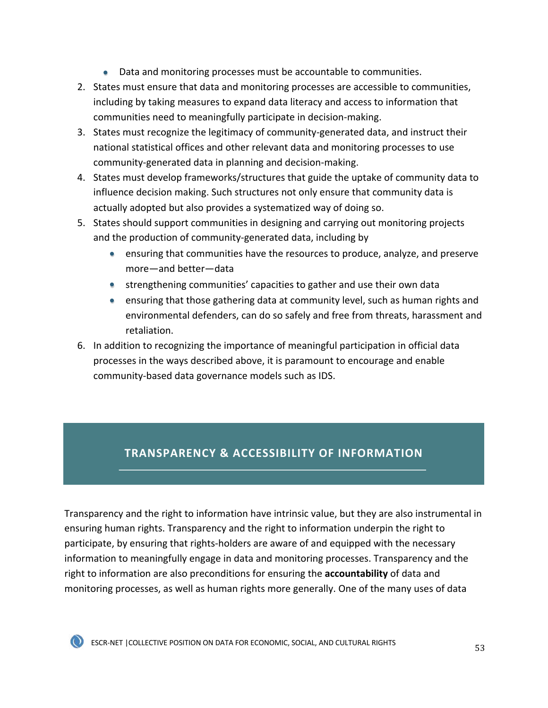- Data and monitoring processes must be accountable to communities.
- 2. States must ensure that data and monitoring processes are accessible to communities, including by taking measures to expand data literacy and access to information that communities need to meaningfully participate in decision-making.
- 3. States must recognize the legitimacy of community-generated data, and instruct their national statistical offices and other relevant data and monitoring processes to use community-generated data in planning and decision-making.
- 4. States must develop frameworks/structures that guide the uptake of community data to influence decision making. Such structures not only ensure that community data is actually adopted but also provides a systematized way of doing so.
- 5. States should support communities in designing and carrying out monitoring projects and the production of community-generated data, including by
	- ensuring that communities have the resources to produce, analyze, and preserve more—and better—data
	- strengthening communities' capacities to gather and use their own data
	- ensuring that those gathering data at community level, such as human rights and environmental defenders, can do so safely and free from threats, harassment and retaliation.
- 6. In addition to recognizing the importance of meaningful participation in official data processes in the ways described above, it is paramount to encourage and enable community-based data governance models such as IDS.

## **TRANSPARENCY & ACCESSIBILITY OF INFORMATION**

Transparency and the right to information have intrinsic value, but they are also instrumental in ensuring human rights. Transparency and the right to information underpin the right to participate, by ensuring that rights-holders are aware of and equipped with the necessary information to meaningfully engage in data and monitoring processes. Transparency and the right to information are also preconditions for ensuring the **accountability** of data and monitoring processes, as well as human rights more generally. One of the many uses of data



ESCR-NET | COLLECTIVE POSITION ON DATA FOR ECONOMIC, SOCIAL, AND CULTURAL RIGHTS 53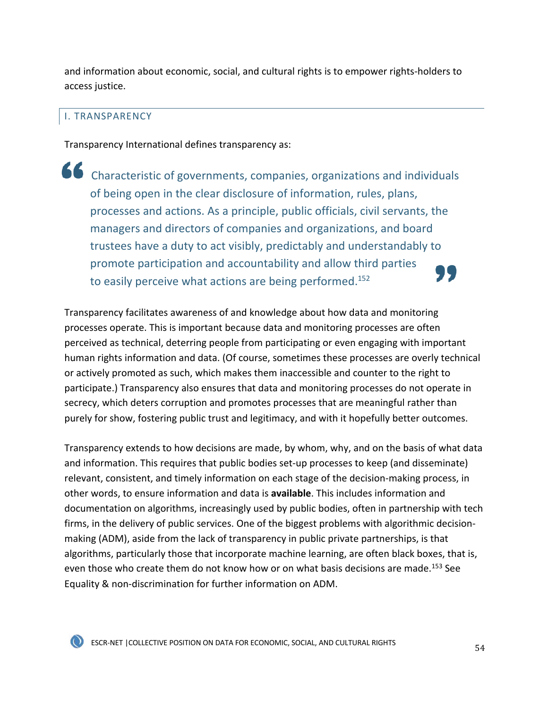and information about economic, social, and cultural rights is to empower rights-holders to access justice.

#### I. TRANSPARENCY

Transparency International defines transparency as:

Characteristic of governments, companies, organizations and individuals of being open in the clear disclosure of information, rules, plans, processes and actions. As a principle, public officials, civil servants, the managers and directors of companies and organizations, and board trustees have a duty to act visibly, predictably and understandably to promote participation and accountability and allow third parties to easily perceive what actions are being performed.<sup>152</sup>

Transparency facilitates awareness of and knowledge about how data and monitoring processes operate. This is important because data and monitoring processes are often perceived as technical, deterring people from participating or even engaging with important human rights information and data. (Of course, sometimes these processes are overly technical or actively promoted as such, which makes them inaccessible and counter to the right to participate.) Transparency also ensures that data and monitoring processes do not operate in secrecy, which deters corruption and promotes processes that are meaningful rather than purely for show, fostering public trust and legitimacy, and with it hopefully better outcomes.

Transparency extends to how decisions are made, by whom, why, and on the basis of what data and information. This requires that public bodies set-up processes to keep (and disseminate) relevant, consistent, and timely information on each stage of the decision-making process, in other words, to ensure information and data is **available**. This includes information and documentation on algorithms, increasingly used by public bodies, often in partnership with tech firms, in the delivery of public services. One of the biggest problems with algorithmic decisionmaking (ADM), aside from the lack of transparency in public private partnerships, is that algorithms, particularly those that incorporate machine learning, are often black boxes, that is, even those who create them do not know how or on what basis decisions are made.<sup>153</sup> See Equality & non-discrimination for further information on ADM.

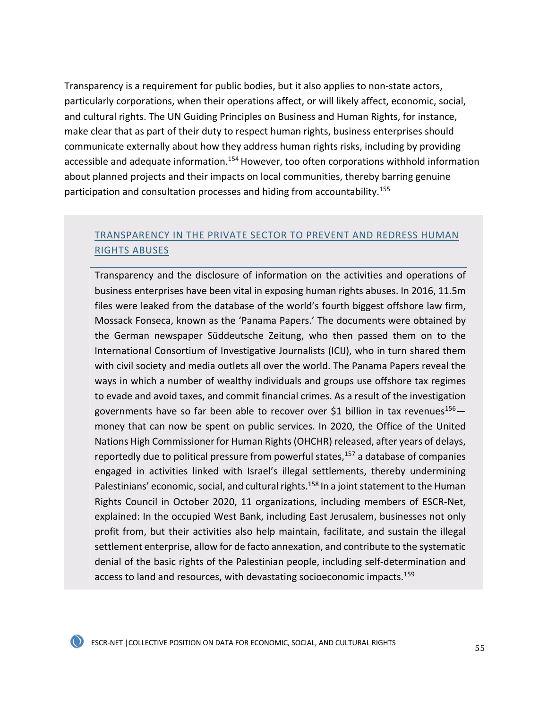Transparency is a requirement for public bodies, but it also applies to non-state actors, particularly corporations, when their operations affect, or will likely affect, economic, social, and cultural rights. The UN Guiding Principles on Business and Human Rights, for instance, make clear that as part of their duty to respect human rights, business enterprises should communicate externally about how they address human rights risks, including by providing accessible and adequate information.<sup>154</sup> However, too often corporations withhold information about planned projects and their impacts on local communities, thereby barring genuine participation and consultation processes and hiding from accountability.<sup>155</sup>

### TRANSPARENCY IN THE PRIVATE SECTOR TO PREVENT AND REDRESS HUMAN RIGHTS ABUSES

Transparency and the disclosure of information on the activities and operations of business enterprises have been vital in exposing human rights abuses. In 2016, 11.5m files were leaked from the database of the world's fourth biggest offshore law firm, Mossack Fonseca, known as the 'Panama Papers.' The documents were obtained by the German newspaper Süddeutsche Zeitung, who then passed them on to the International Consortium of Investigative Journalists (ICIJ), who in turn shared them with civil society and media outlets all over the world. The Panama Papers reveal the ways in which a number of wealthy individuals and groups use offshore tax regimes to evade and avoid taxes, and commit financial crimes. As a result of the investigation governments have so far been able to recover over \$1 billion in tax revenues<sup>156</sup> $$ money that can now be spent on public services. In 2020, the Office of the United Nations High Commissioner for Human Rights (OHCHR) released, after years of delays, reportedly due to political pressure from powerful states, $157$  a database of companies engaged in activities linked with Israel's illegal settlements, thereby undermining Palestinians' economic, social, and cultural rights.<sup>158</sup> In a joint statement to the Human Rights Council in October 2020, 11 organizations, including members of ESCR-Net, explained: In the occupied West Bank, including East Jerusalem, businesses not only profit from, but their activities also help maintain, facilitate, and sustain the illegal settlement enterprise, allow for de facto annexation, and contribute to the systematic denial of the basic rights of the Palestinian people, including self-determination and access to land and resources, with devastating socioeconomic impacts.<sup>159</sup>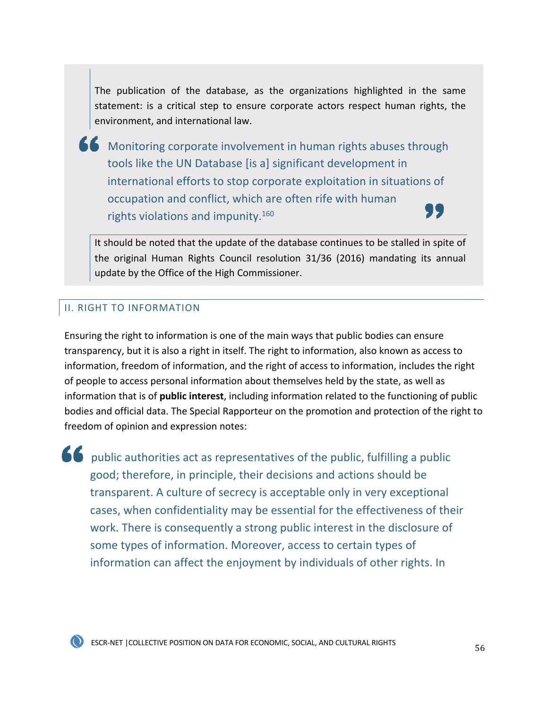The publication of the database, as the organizations highlighted in the same statement: is a critical step to ensure corporate actors respect human rights, the environment, and international law.

Monitoring corporate involvement in human rights abuses through tools like the UN Database [is a] significant development in international efforts to stop corporate exploitation in situations of occupation and conflict, which are often rife with human rights violations and impunity.160

It should be noted that the update of the database continues to be stalled in spite of the original Human Rights Council resolution 31/36 (2016) mandating its annual update by the Office of the High Commissioner.

#### II. RIGHT TO INFORMATION

Ensuring the right to information is one of the main ways that public bodies can ensure transparency, but it is also a right in itself. The right to information, also known as access to information, freedom of information, and the right of access to information, includes the right of people to access personal information about themselves held by the state, as well as information that is of **public interest**, including information related to the functioning of public bodies and official data. The Special Rapporteur on the promotion and protection of the right to freedom of opinion and expression notes:

public authorities act as representatives of the public, fulfilling a public good; therefore, in principle, their decisions and actions should be transparent. A culture of secrecy is acceptable only in very exceptional cases, when confidentiality may be essential for the effectiveness of their work. There is consequently a strong public interest in the disclosure of some types of information. Moreover, access to certain types of information can affect the enjoyment by individuals of other rights. In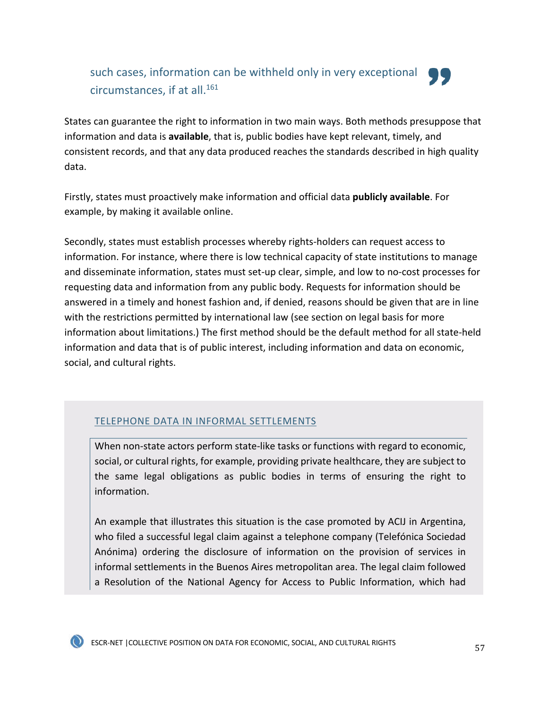## such cases, information can be withheld only in very exceptional circumstances, if at all. $^{161}$



States can guarantee the right to information in two main ways. Both methods presuppose that information and data is **available**, that is, public bodies have kept relevant, timely, and consistent records, and that any data produced reaches the standards described in high quality data.

Firstly, states must proactively make information and official data **publicly available**. For example, by making it available online.

Secondly, states must establish processes whereby rights-holders can request access to information. For instance, where there is low technical capacity of state institutions to manage and disseminate information, states must set-up clear, simple, and low to no-cost processes for requesting data and information from any public body. Requests for information should be answered in a timely and honest fashion and, if denied, reasons should be given that are in line with the restrictions permitted by international law (see section on legal basis for more information about limitations.) The first method should be the default method for all state-held information and data that is of public interest, including information and data on economic, social, and cultural rights.

### TELEPHONE DATA IN INFORMAL SETTLEMENTS

When non-state actors perform state-like tasks or functions with regard to economic, social, or cultural rights, for example, providing private healthcare, they are subject to the same legal obligations as public bodies in terms of ensuring the right to information.

An example that illustrates this situation is the case promoted by ACIJ in Argentina, who filed a successful legal claim against a telephone company (Telefónica Sociedad Anónima) ordering the disclosure of information on the provision of services in informal settlements in the Buenos Aires metropolitan area. The legal claim followed a Resolution of the National Agency for Access to Public Information, which had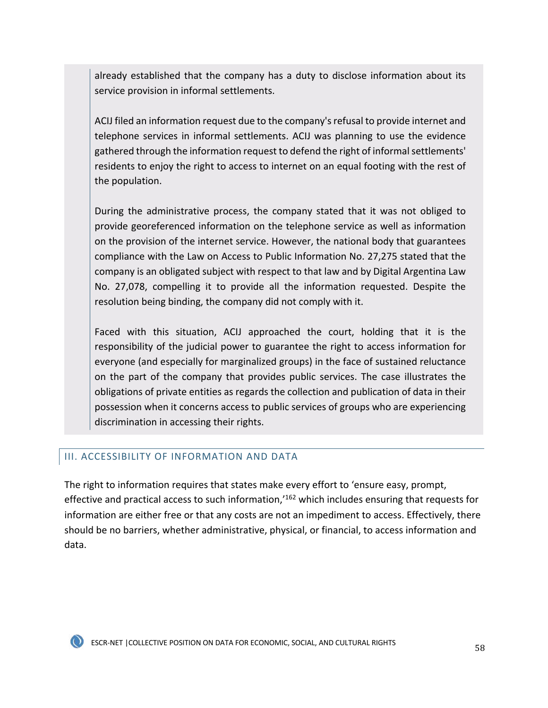already established that the company has a duty to disclose information about its service provision in informal settlements.

ACIJ filed an information request due to the company's refusal to provide internet and telephone services in informal settlements. ACIJ was planning to use the evidence gathered through the information request to defend the right of informal settlements' residents to enjoy the right to access to internet on an equal footing with the rest of the population.

During the administrative process, the company stated that it was not obliged to provide georeferenced information on the telephone service as well as information on the provision of the internet service. However, the national body that guarantees compliance with the Law on Access to Public Information No. 27,275 stated that the company is an obligated subject with respect to that law and by Digital Argentina Law No. 27,078, compelling it to provide all the information requested. Despite the resolution being binding, the company did not comply with it.

Faced with this situation, ACIJ approached the court, holding that it is the responsibility of the judicial power to guarantee the right to access information for everyone (and especially for marginalized groups) in the face of sustained reluctance on the part of the company that provides public services. The case illustrates the obligations of private entities as regards the collection and publication of data in their possession when it concerns access to public services of groups who are experiencing discrimination in accessing their rights.

#### III. ACCESSIBILITY OF INFORMATION AND DATA

The right to information requires that states make every effort to 'ensure easy, prompt, effective and practical access to such information,<sup>162</sup> which includes ensuring that requests for information are either free or that any costs are not an impediment to access. Effectively, there should be no barriers, whether administrative, physical, or financial, to access information and data.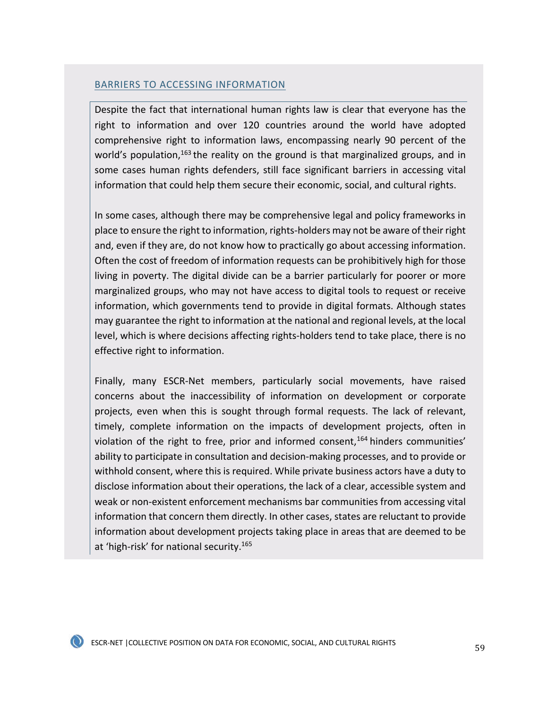#### BARRIERS TO ACCESSING INFORMATION

Despite the fact that international human rights law is clear that everyone has the right to information and over 120 countries around the world have adopted comprehensive right to information laws, encompassing nearly 90 percent of the world's population,  $163$  the reality on the ground is that marginalized groups, and in some cases human rights defenders, still face significant barriers in accessing vital information that could help them secure their economic, social, and cultural rights.

In some cases, although there may be comprehensive legal and policy frameworks in place to ensure the right to information, rights-holders may not be aware of their right and, even if they are, do not know how to practically go about accessing information. Often the cost of freedom of information requests can be prohibitively high for those living in poverty. The digital divide can be a barrier particularly for poorer or more marginalized groups, who may not have access to digital tools to request or receive information, which governments tend to provide in digital formats. Although states may guarantee the right to information at the national and regional levels, at the local level, which is where decisions affecting rights-holders tend to take place, there is no effective right to information.

Finally, many ESCR-Net members, particularly social movements, have raised concerns about the inaccessibility of information on development or corporate projects, even when this is sought through formal requests. The lack of relevant, timely, complete information on the impacts of development projects, often in violation of the right to free, prior and informed consent,  $164$  hinders communities' ability to participate in consultation and decision-making processes, and to provide or withhold consent, where this is required. While private business actors have a duty to disclose information about their operations, the lack of a clear, accessible system and weak or non-existent enforcement mechanisms bar communities from accessing vital information that concern them directly. In other cases, states are reluctant to provide information about development projects taking place in areas that are deemed to be at 'high-risk' for national security.<sup>165</sup>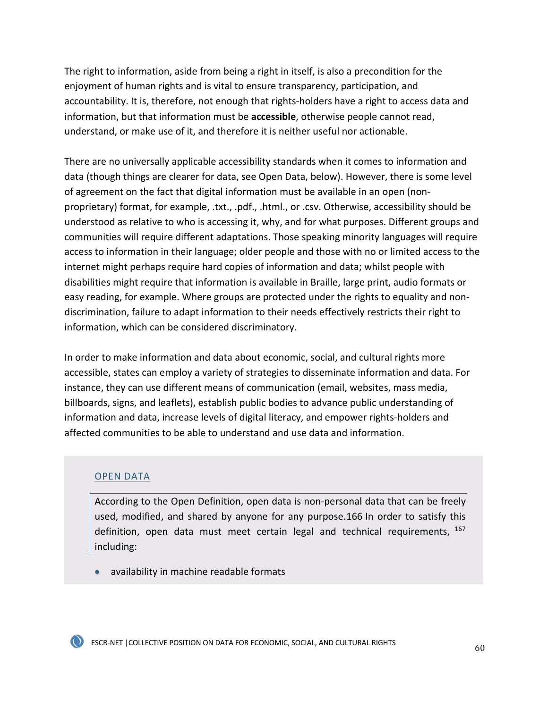The right to information, aside from being a right in itself, is also a precondition for the enjoyment of human rights and is vital to ensure transparency, participation, and accountability. It is, therefore, not enough that rights-holders have a right to access data and information, but that information must be **accessible**, otherwise people cannot read, understand, or make use of it, and therefore it is neither useful nor actionable.

There are no universally applicable accessibility standards when it comes to information and data (though things are clearer for data, see Open Data, below). However, there is some level of agreement on the fact that digital information must be available in an open (nonproprietary) format, for example, .txt., .pdf., .html., or .csv. Otherwise, accessibility should be understood as relative to who is accessing it, why, and for what purposes. Different groups and communities will require different adaptations. Those speaking minority languages will require access to information in their language; older people and those with no or limited access to the internet might perhaps require hard copies of information and data; whilst people with disabilities might require that information is available in Braille, large print, audio formats or easy reading, for example. Where groups are protected under the rights to equality and nondiscrimination, failure to adapt information to their needs effectively restricts their right to information, which can be considered discriminatory.

In order to make information and data about economic, social, and cultural rights more accessible, states can employ a variety of strategies to disseminate information and data. For instance, they can use different means of communication (email, websites, mass media, billboards, signs, and leaflets), establish public bodies to advance public understanding of information and data, increase levels of digital literacy, and empower rights-holders and affected communities to be able to understand and use data and information.

### OPEN DATA

According to the Open Definition, open data is non-personal data that can be freely used, modified, and shared by anyone for any purpose.166 In order to satisfy this definition, open data must meet certain legal and technical requirements,  $167$ including:

• availability in machine readable formats

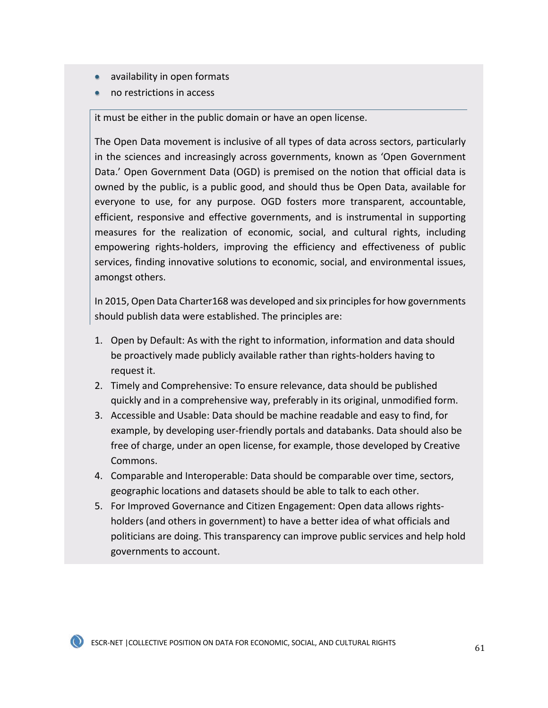- availability in open formats
- no restrictions in access

it must be either in the public domain or have an open license.

The Open Data movement is inclusive of all types of data across sectors, particularly in the sciences and increasingly across governments, known as 'Open Government Data.' Open Government Data (OGD) is premised on the notion that official data is owned by the public, is a public good, and should thus be Open Data, available for everyone to use, for any purpose. OGD fosters more transparent, accountable, efficient, responsive and effective governments, and is instrumental in supporting measures for the realization of economic, social, and cultural rights, including empowering rights-holders, improving the efficiency and effectiveness of public services, finding innovative solutions to economic, social, and environmental issues, amongst others.

In 2015, Open Data Charter168 was developed and six principles for how governments should publish data were established. The principles are:

- 1. Open by Default: As with the right to information, information and data should be proactively made publicly available rather than rights-holders having to request it.
- 2. Timely and Comprehensive: To ensure relevance, data should be published quickly and in a comprehensive way, preferably in its original, unmodified form.
- 3. Accessible and Usable: Data should be machine readable and easy to find, for example, by developing user-friendly portals and databanks. Data should also be free of charge, under an open license, for example, those developed by Creative Commons.
- 4. Comparable and Interoperable: Data should be comparable over time, sectors, geographic locations and datasets should be able to talk to each other.
- 5. For Improved Governance and Citizen Engagement: Open data allows rightsholders (and others in government) to have a better idea of what officials and politicians are doing. This transparency can improve public services and help hold governments to account.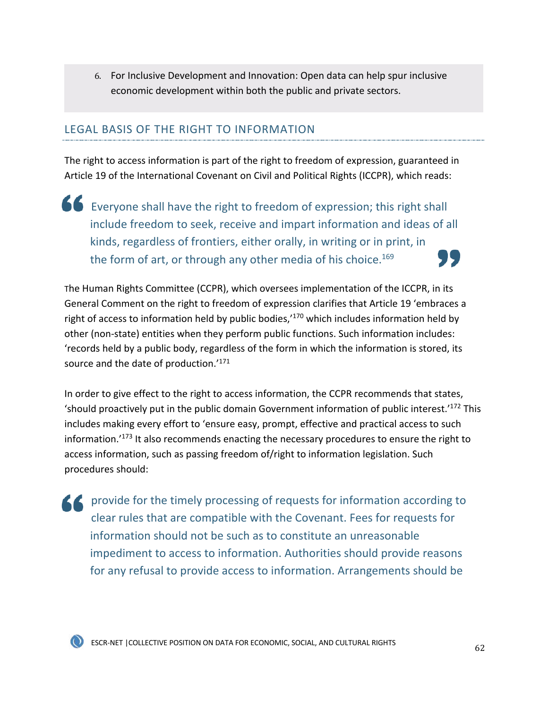6. For Inclusive Development and Innovation: Open data can help spur inclusive economic development within both the public and private sectors.

### LEGAL BASIS OF THE RIGHT TO INFORMATION

The right to access information is part of the right to freedom of expression, guaranteed in Article 19 of the International Covenant on Civil and Political Rights (ICCPR), which reads:

Everyone shall have the right to freedom of expression; this right shall include freedom to seek, receive and impart information and ideas of all kinds, regardless of frontiers, either orally, in writing or in print, in 77 the form of art, or through any other media of his choice.<sup>169</sup>

The Human Rights Committee (CCPR), which oversees implementation of the ICCPR, in its General Comment on the right to freedom of expression clarifies that Article 19 'embraces a right of access to information held by public bodies,<sup> $170$ </sup> which includes information held by other (non-state) entities when they perform public functions. Such information includes: 'records held by a public body, regardless of the form in which the information is stored, its source and the date of production.'<sup>171</sup>

In order to give effect to the right to access information, the CCPR recommends that states, 'should proactively put in the public domain Government information of public interest.' $172$  This includes making every effort to 'ensure easy, prompt, effective and practical access to such information.'173 It also recommends enacting the necessary procedures to ensure the right to access information, such as passing freedom of/right to information legislation. Such procedures should:

**A provide for the timely processing of requests for information according to** clear rules that are compatible with the Covenant. Fees for requests for information should not be such as to constitute an unreasonable impediment to access to information. Authorities should provide reasons for any refusal to provide access to information. Arrangements should be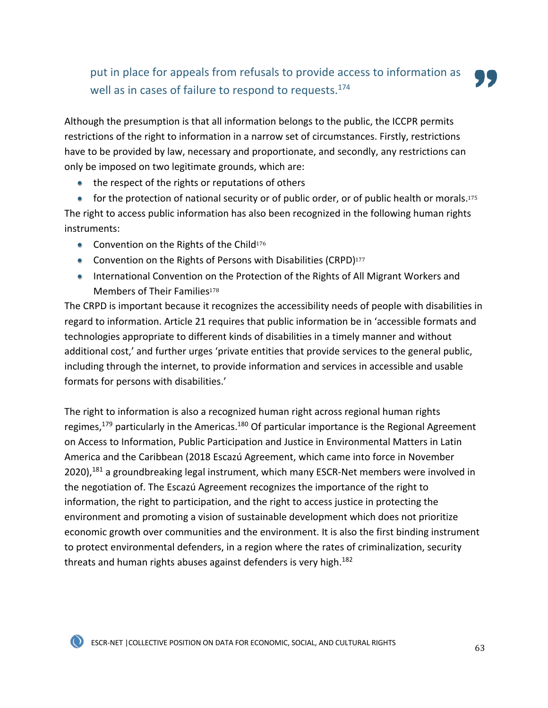# put in place for appeals from refusals to provide access to information as well as in cases of failure to respond to requests.<sup>174</sup>

Although the presumption is that all information belongs to the public, the ICCPR permits restrictions of the right to information in a narrow set of circumstances. Firstly, restrictions have to be provided by law, necessary and proportionate, and secondly, any restrictions can only be imposed on two legitimate grounds, which are:

• the respect of the rights or reputations of others

• for the protection of national security or of public order, or of public health or morals.<sup>175</sup> The right to access public information has also been recognized in the following human rights instruments:

- Convention on the Rights of the Child<sup>176</sup>
- Convention on the Rights of Persons with Disabilities (CRPD)<sup>177</sup>
- International Convention on the Protection of the Rights of All Migrant Workers and Members of Their Families<sup>178</sup>

The CRPD is important because it recognizes the accessibility needs of people with disabilities in regard to information. Article 21 requires that public information be in 'accessible formats and technologies appropriate to different kinds of disabilities in a timely manner and without additional cost,' and further urges 'private entities that provide services to the general public, including through the internet, to provide information and services in accessible and usable formats for persons with disabilities.'

The right to information is also a recognized human right across regional human rights regimes,<sup>179</sup> particularly in the Americas.<sup>180</sup> Of particular importance is the Regional Agreement on Access to Information, Public Participation and Justice in Environmental Matters in Latin America and the Caribbean (2018 Escazú Agreement, which came into force in November 2020),<sup>181</sup> a groundbreaking legal instrument, which many ESCR-Net members were involved in the negotiation of. The Escazú Agreement recognizes the importance of the right to information, the right to participation, and the right to access justice in protecting the environment and promoting a vision of sustainable development which does not prioritize economic growth over communities and the environment. It is also the first binding instrument to protect environmental defenders, in a region where the rates of criminalization, security threats and human rights abuses against defenders is very high.<sup>182</sup>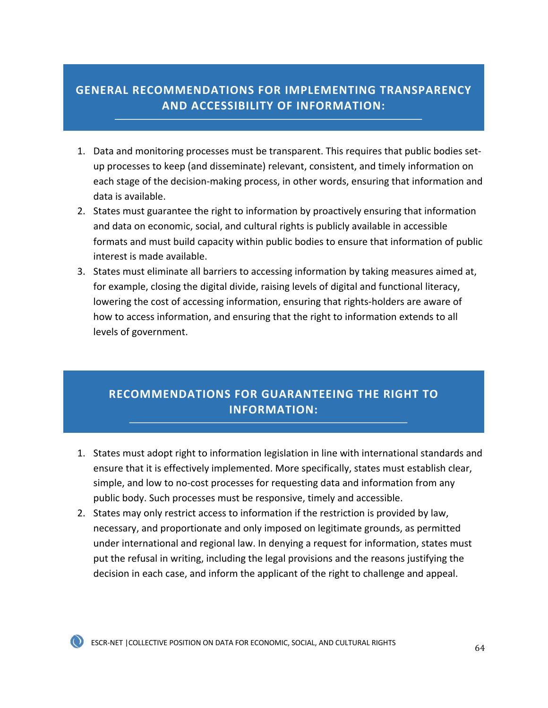## **GENERAL RECOMMENDATIONS FOR IMPLEMENTING TRANSPARENCY AND ACCESSIBILITY OF INFORMATION:**

- 1. Data and monitoring processes must be transparent. This requires that public bodies setup processes to keep (and disseminate) relevant, consistent, and timely information on each stage of the decision-making process, in other words, ensuring that information and data is available.
- 2. States must guarantee the right to information by proactively ensuring that information and data on economic, social, and cultural rights is publicly available in accessible formats and must build capacity within public bodies to ensure that information of public interest is made available.
- 3. States must eliminate all barriers to accessing information by taking measures aimed at, for example, closing the digital divide, raising levels of digital and functional literacy, lowering the cost of accessing information, ensuring that rights-holders are aware of how to access information, and ensuring that the right to information extends to all levels of government.

## **RECOMMENDATIONS FOR GUARANTEEING THE RIGHT TO INFORMATION:**

- 1. States must adopt right to information legislation in line with international standards and ensure that it is effectively implemented. More specifically, states must establish clear, simple, and low to no-cost processes for requesting data and information from any public body. Such processes must be responsive, timely and accessible.
- 2. States may only restrict access to information if the restriction is provided by law, necessary, and proportionate and only imposed on legitimate grounds, as permitted under international and regional law. In denying a request for information, states must put the refusal in writing, including the legal provisions and the reasons justifying the decision in each case, and inform the applicant of the right to challenge and appeal.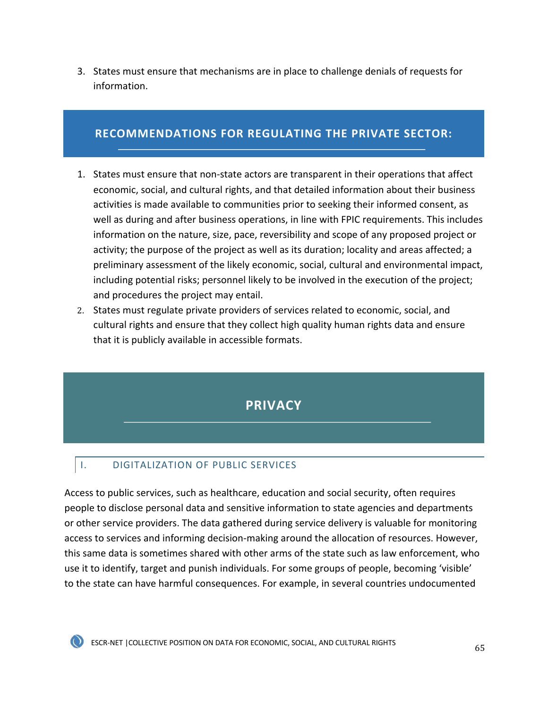3. States must ensure that mechanisms are in place to challenge denials of requests for information.

## **RECOMMENDATIONS FOR REGULATING THE PRIVATE SECTOR:**

- 1. States must ensure that non-state actors are transparent in their operations that affect economic, social, and cultural rights, and that detailed information about their business activities is made available to communities prior to seeking their informed consent, as well as during and after business operations, in line with FPIC requirements. This includes information on the nature, size, pace, reversibility and scope of any proposed project or activity; the purpose of the project as well as its duration; locality and areas affected; a preliminary assessment of the likely economic, social, cultural and environmental impact, including potential risks; personnel likely to be involved in the execution of the project; and procedures the project may entail.
- 2. States must regulate private providers of services related to economic, social, and cultural rights and ensure that they collect high quality human rights data and ensure that it is publicly available in accessible formats.

# **PRIVACY**

## I. DIGITALIZATION OF PUBLIC SERVICES

Access to public services, such as healthcare, education and social security, often requires people to disclose personal data and sensitive information to state agencies and departments or other service providers. The data gathered during service delivery is valuable for monitoring access to services and informing decision-making around the allocation of resources. However, this same data is sometimes shared with other arms of the state such as law enforcement, who use it to identify, target and punish individuals. For some groups of people, becoming 'visible' to the state can have harmful consequences. For example, in several countries undocumented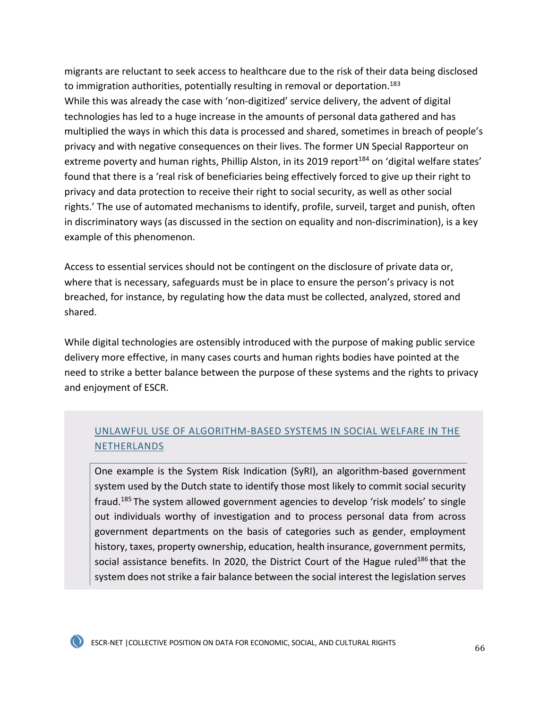migrants are reluctant to seek access to healthcare due to the risk of their data being disclosed to immigration authorities, potentially resulting in removal or deportation.<sup>183</sup> While this was already the case with 'non-digitized' service delivery, the advent of digital technologies has led to a huge increase in the amounts of personal data gathered and has multiplied the ways in which this data is processed and shared, sometimes in breach of people's privacy and with negative consequences on their lives. The former UN Special Rapporteur on extreme poverty and human rights, Phillip Alston, in its 2019 report<sup>184</sup> on 'digital welfare states' found that there is a 'real risk of beneficiaries being effectively forced to give up their right to privacy and data protection to receive their right to social security, as well as other social rights.' The use of automated mechanisms to identify, profile, surveil, target and punish, often in discriminatory ways (as discussed in the section on equality and non-discrimination), is a key example of this phenomenon.

Access to essential services should not be contingent on the disclosure of private data or, where that is necessary, safeguards must be in place to ensure the person's privacy is not breached, for instance, by regulating how the data must be collected, analyzed, stored and shared.

While digital technologies are ostensibly introduced with the purpose of making public service delivery more effective, in many cases courts and human rights bodies have pointed at the need to strike a better balance between the purpose of these systems and the rights to privacy and enjoyment of ESCR.

## UNLAWFUL USE OF ALGORITHM-BASED SYSTEMS IN SOCIAL WELFARE IN THE NETHERLANDS

One example is the System Risk Indication (SyRI), an algorithm-based government system used by the Dutch state to identify those most likely to commit social security fraud.185 The system allowed government agencies to develop 'risk models' to single out individuals worthy of investigation and to process personal data from across government departments on the basis of categories such as gender, employment history, taxes, property ownership, education, health insurance, government permits, social assistance benefits. In 2020, the District Court of the Hague ruled<sup>186</sup> that the system does not strike a fair balance between the social interest the legislation serves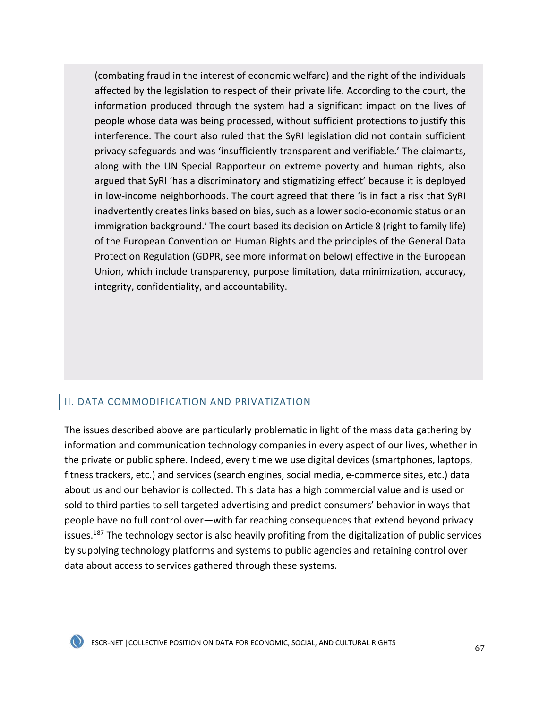(combating fraud in the interest of economic welfare) and the right of the individuals affected by the legislation to respect of their private life. According to the court, the information produced through the system had a significant impact on the lives of people whose data was being processed, without sufficient protections to justify this interference. The court also ruled that the SyRI legislation did not contain sufficient privacy safeguards and was 'insufficiently transparent and verifiable.' The claimants, along with the UN Special Rapporteur on extreme poverty and human rights, also argued that SyRI 'has a discriminatory and stigmatizing effect' because it is deployed in low-income neighborhoods. The court agreed that there 'is in fact a risk that SyRI inadvertently creates links based on bias, such as a lower socio-economic status or an immigration background.' The court based its decision on Article 8 (right to family life) of the European Convention on Human Rights and the principles of the General Data Protection Regulation (GDPR, see more information below) effective in the European Union, which include transparency, purpose limitation, data minimization, accuracy, integrity, confidentiality, and accountability.

### II. DATA COMMODIFICATION AND PRIVATIZATION

The issues described above are particularly problematic in light of the mass data gathering by information and communication technology companies in every aspect of our lives, whether in the private or public sphere. Indeed, every time we use digital devices (smartphones, laptops, fitness trackers, etc.) and services (search engines, social media, e-commerce sites, etc.) data about us and our behavior is collected. This data has a high commercial value and is used or sold to third parties to sell targeted advertising and predict consumers' behavior in ways that people have no full control over—with far reaching consequences that extend beyond privacy issues.<sup>187</sup> The technology sector is also heavily profiting from the digitalization of public services by supplying technology platforms and systems to public agencies and retaining control over data about access to services gathered through these systems.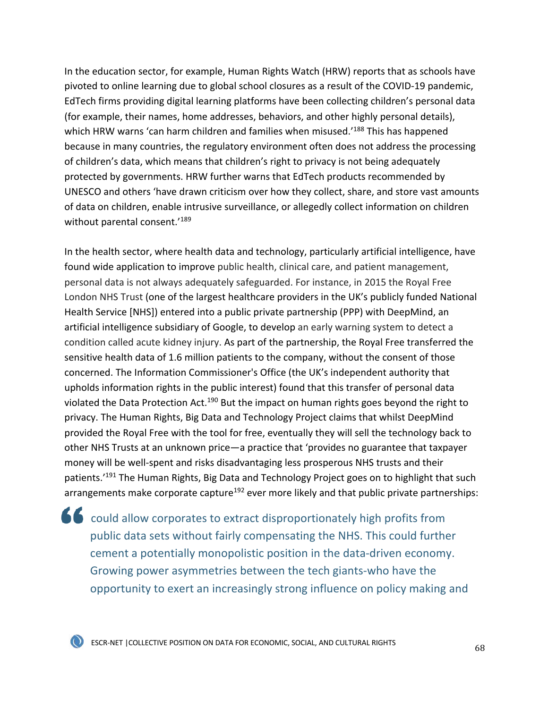In the education sector, for example, Human Rights Watch (HRW) reports that as schools have pivoted to online learning due to global school closures as a result of the COVID-19 pandemic, EdTech firms providing digital learning platforms have been collecting children's personal data (for example, their names, home addresses, behaviors, and other highly personal details), which HRW warns 'can harm children and families when misused.<sup>'188</sup> This has happened because in many countries, the regulatory environment often does not address the processing of children's data, which means that children's right to privacy is not being adequately protected by governments. HRW further warns that EdTech products recommended by UNESCO and others 'have drawn criticism over how they collect, share, and store vast amounts of data on children, enable intrusive surveillance, or allegedly collect information on children without parental consent.'<sup>189</sup>

In the health sector, where health data and technology, particularly artificial intelligence, have found wide application to improve public health, clinical care, and patient management, personal data is not always adequately safeguarded. For instance, in 2015 the Royal Free London NHS Trust (one of the largest healthcare providers in the UK's publicly funded National Health Service [NHS]) entered into a public private partnership (PPP) with DeepMind, an artificial intelligence subsidiary of Google, to develop an early warning system to detect a condition called acute kidney injury. As part of the partnership, the Royal Free transferred the sensitive health data of 1.6 million patients to the company, without the consent of those concerned. The Information Commissioner's Office (the UK's independent authority that upholds information rights in the public interest) found that this transfer of personal data violated the Data Protection Act.<sup>190</sup> But the impact on human rights goes beyond the right to privacy. The Human Rights, Big Data and Technology Project claims that whilst DeepMind provided the Royal Free with the tool for free, eventually they will sell the technology back to other NHS Trusts at an unknown price—a practice that 'provides no guarantee that taxpayer money will be well-spent and risks disadvantaging less prosperous NHS trusts and their patients.<sup>'191</sup> The Human Rights, Big Data and Technology Project goes on to highlight that such arrangements make corporate capture<sup>192</sup> ever more likely and that public private partnerships:

could allow corporates to extract disproportionately high profits from public data sets without fairly compensating the NHS. This could further cement a potentially monopolistic position in the data-driven economy. Growing power asymmetries between the tech giants-who have the opportunity to exert an increasingly strong influence on policy making and

 $\bullet$  ESCR-NET | COLLECTIVE POSITION ON DATA FOR ECONOMIC, SOCIAL, AND CULTURAL RIGHTS 68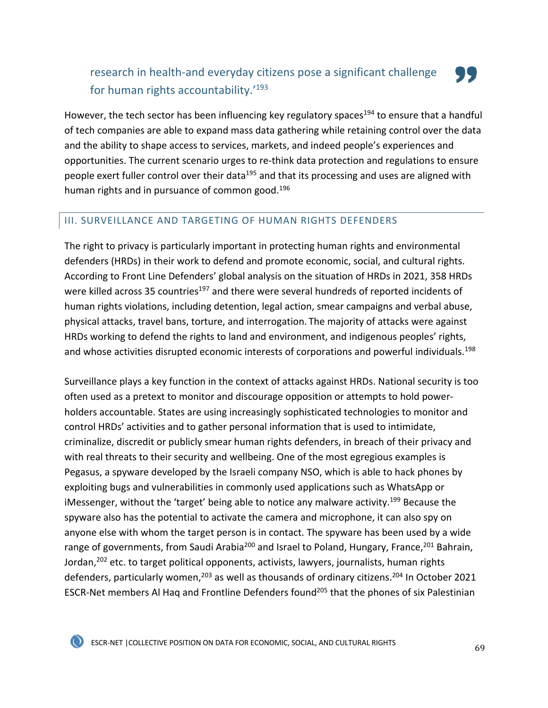## research in health-and everyday citizens pose a significant challenge for human rights accountability.'193

However, the tech sector has been influencing key regulatory spaces<sup>194</sup> to ensure that a handful of tech companies are able to expand mass data gathering while retaining control over the data and the ability to shape access to services, markets, and indeed people's experiences and opportunities. The current scenario urges to re-think data protection and regulations to ensure people exert fuller control over their data<sup>195</sup> and that its processing and uses are aligned with human rights and in pursuance of common good.<sup>196</sup>

### III. SURVEILLANCE AND TARGETING OF HUMAN RIGHTS DEFENDERS

The right to privacy is particularly important in protecting human rights and environmental defenders (HRDs) in their work to defend and promote economic, social, and cultural rights. According to Front Line Defenders' global analysis on the situation of HRDs in 2021, 358 HRDs were killed across 35 countries<sup>197</sup> and there were several hundreds of reported incidents of human rights violations, including detention, legal action, smear campaigns and verbal abuse, physical attacks, travel bans, torture, and interrogation. The majority of attacks were against HRDs working to defend the rights to land and environment, and indigenous peoples' rights, and whose activities disrupted economic interests of corporations and powerful individuals.<sup>198</sup>

Surveillance plays a key function in the context of attacks against HRDs. National security is too often used as a pretext to monitor and discourage opposition or attempts to hold powerholders accountable. States are using increasingly sophisticated technologies to monitor and control HRDs' activities and to gather personal information that is used to intimidate, criminalize, discredit or publicly smear human rights defenders, in breach of their privacy and with real threats to their security and wellbeing. One of the most egregious examples is Pegasus, a spyware developed by the Israeli company NSO, which is able to hack phones by exploiting bugs and vulnerabilities in commonly used applications such as WhatsApp or iMessenger, without the 'target' being able to notice any malware activity.<sup>199</sup> Because the spyware also has the potential to activate the camera and microphone, it can also spy on anyone else with whom the target person is in contact. The spyware has been used by a wide range of governments, from Saudi Arabia<sup>200</sup> and Israel to Poland, Hungary, France, <sup>201</sup> Bahrain, Jordan,<sup>202</sup> etc. to target political opponents, activists, lawyers, journalists, human rights defenders, particularly women,<sup>203</sup> as well as thousands of ordinary citizens.<sup>204</sup> In October 2021 ESCR-Net members Al Haq and Frontline Defenders found<sup>205</sup> that the phones of six Palestinian



, 15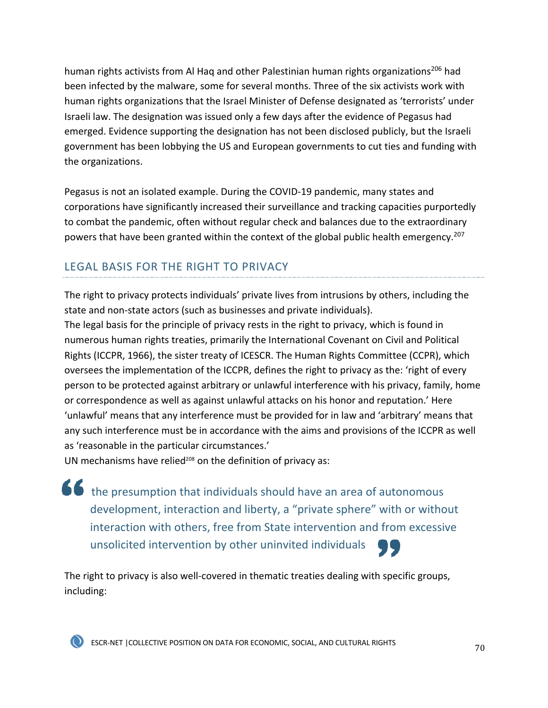human rights activists from Al Haq and other Palestinian human rights organizations<sup>206</sup> had been infected by the malware, some for several months. Three of the six activists work with human rights organizations that the Israel Minister of Defense designated as 'terrorists' under Israeli law. The designation was issued only a few days after the evidence of Pegasus had emerged. Evidence supporting the designation has not been disclosed publicly, but the Israeli government has been lobbying the US and European governments to cut ties and funding with the organizations.

Pegasus is not an isolated example. During the COVID-19 pandemic, many states and corporations have significantly increased their surveillance and tracking capacities purportedly to combat the pandemic, often without regular check and balances due to the extraordinary powers that have been granted within the context of the global public health emergency.<sup>207</sup>

# LEGAL BASIS FOR THE RIGHT TO PRIVACY

The right to privacy protects individuals' private lives from intrusions by others, including the state and non-state actors (such as businesses and private individuals).

The legal basis for the principle of privacy rests in the right to privacy, which is found in numerous human rights treaties, primarily the International Covenant on Civil and Political Rights (ICCPR, 1966), the sister treaty of ICESCR. The Human Rights Committee (CCPR), which oversees the implementation of the ICCPR, defines the right to privacy as the: 'right of every person to be protected against arbitrary or unlawful interference with his privacy, family, home or correspondence as well as against unlawful attacks on his honor and reputation.' Here 'unlawful' means that any interference must be provided for in law and 'arbitrary' means that any such interference must be in accordance with the aims and provisions of the ICCPR as well as 'reasonable in the particular circumstances.'

UN mechanisms have relied<sup>208</sup> on the definition of privacy as:

the presumption that individuals should have an area of autonomous development, interaction and liberty, a "private sphere" with or without interaction with others, free from State intervention and from excessive unsolicited intervention by other uninvited individuals

The right to privacy is also well-covered in thematic treaties dealing with specific groups, including: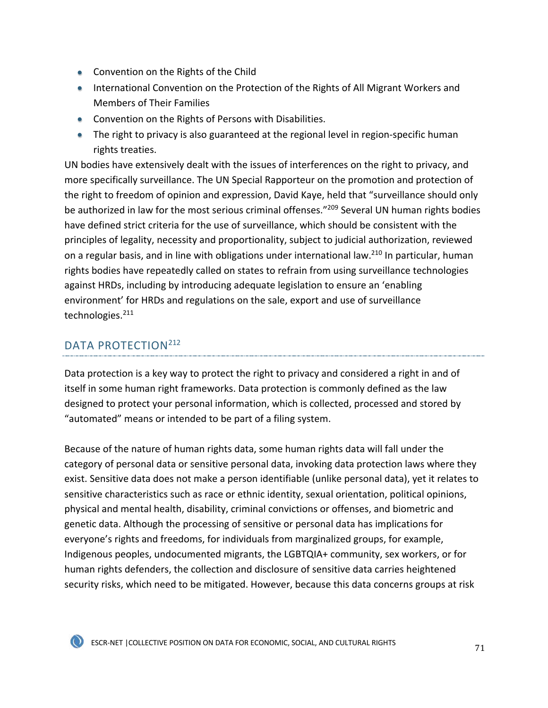- Convention on the Rights of the Child
- International Convention on the Protection of the Rights of All Migrant Workers and Members of Their Families
- Convention on the Rights of Persons with Disabilities.
- The right to privacy is also guaranteed at the regional level in region-specific human rights treaties.

UN bodies have extensively dealt with the issues of interferences on the right to privacy, and more specifically surveillance. The UN Special Rapporteur on the promotion and protection of the right to freedom of opinion and expression, David Kaye, held that "surveillance should only be authorized in law for the most serious criminal offenses."<sup>209</sup> Several UN human rights bodies have defined strict criteria for the use of surveillance, which should be consistent with the principles of legality, necessity and proportionality, subject to judicial authorization, reviewed on a regular basis, and in line with obligations under international law.<sup>210</sup> In particular, human rights bodies have repeatedly called on states to refrain from using surveillance technologies against HRDs, including by introducing adequate legislation to ensure an 'enabling environment' for HRDs and regulations on the sale, export and use of surveillance technologies.<sup>211</sup>

## DATA PROTECTION<sup>212</sup>

Data protection is a key way to protect the right to privacy and considered a right in and of itself in some human right frameworks. Data protection is commonly defined as the law designed to protect your personal information, which is collected, processed and stored by "automated" means or intended to be part of a filing system.

Because of the nature of human rights data, some human rights data will fall under the category of personal data or sensitive personal data, invoking data protection laws where they exist. Sensitive data does not make a person identifiable (unlike personal data), yet it relates to sensitive characteristics such as race or ethnic identity, sexual orientation, political opinions, physical and mental health, disability, criminal convictions or offenses, and biometric and genetic data. Although the processing of sensitive or personal data has implications for everyone's rights and freedoms, for individuals from marginalized groups, for example, Indigenous peoples, undocumented migrants, the LGBTQIA+ community, sex workers, or for human rights defenders, the collection and disclosure of sensitive data carries heightened security risks, which need to be mitigated. However, because this data concerns groups at risk



ESCR-NET | COLLECTIVE POSITION ON DATA FOR ECONOMIC, SOCIAL, AND CULTURAL RIGHTS 71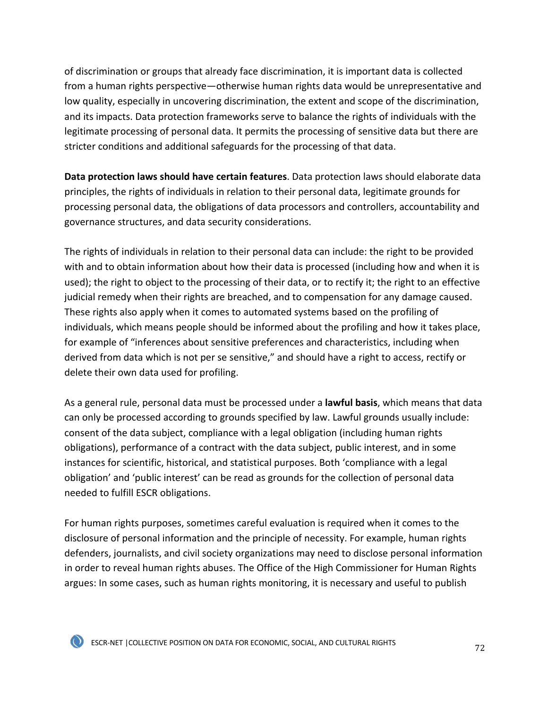of discrimination or groups that already face discrimination, it is important data is collected from a human rights perspective—otherwise human rights data would be unrepresentative and low quality, especially in uncovering discrimination, the extent and scope of the discrimination, and its impacts. Data protection frameworks serve to balance the rights of individuals with the legitimate processing of personal data. It permits the processing of sensitive data but there are stricter conditions and additional safeguards for the processing of that data.

**Data protection laws should have certain features**. Data protection laws should elaborate data principles, the rights of individuals in relation to their personal data, legitimate grounds for processing personal data, the obligations of data processors and controllers, accountability and governance structures, and data security considerations.

The rights of individuals in relation to their personal data can include: the right to be provided with and to obtain information about how their data is processed (including how and when it is used); the right to object to the processing of their data, or to rectify it; the right to an effective judicial remedy when their rights are breached, and to compensation for any damage caused. These rights also apply when it comes to automated systems based on the profiling of individuals, which means people should be informed about the profiling and how it takes place, for example of "inferences about sensitive preferences and characteristics, including when derived from data which is not per se sensitive," and should have a right to access, rectify or delete their own data used for profiling.

As a general rule, personal data must be processed under a **lawful basis**, which means that data can only be processed according to grounds specified by law. Lawful grounds usually include: consent of the data subject, compliance with a legal obligation (including human rights obligations), performance of a contract with the data subject, public interest, and in some instances for scientific, historical, and statistical purposes. Both 'compliance with a legal obligation' and 'public interest' can be read as grounds for the collection of personal data needed to fulfill ESCR obligations.

For human rights purposes, sometimes careful evaluation is required when it comes to the disclosure of personal information and the principle of necessity. For example, human rights defenders, journalists, and civil society organizations may need to disclose personal information in order to reveal human rights abuses. The Office of the High Commissioner for Human Rights argues: In some cases, such as human rights monitoring, it is necessary and useful to publish

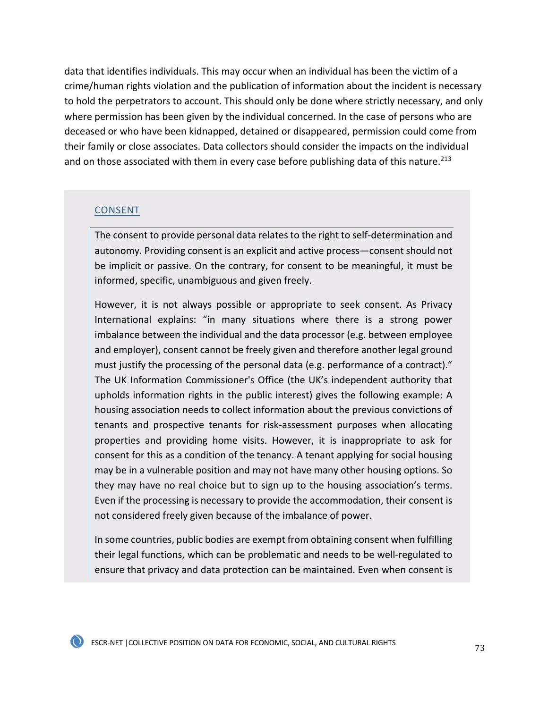data that identifies individuals. This may occur when an individual has been the victim of a crime/human rights violation and the publication of information about the incident is necessary to hold the perpetrators to account. This should only be done where strictly necessary, and only where permission has been given by the individual concerned. In the case of persons who are deceased or who have been kidnapped, detained or disappeared, permission could come from their family or close associates. Data collectors should consider the impacts on the individual and on those associated with them in every case before publishing data of this nature.<sup>213</sup>

#### CONSENT

The consent to provide personal data relates to the right to self-determination and autonomy. Providing consent is an explicit and active process—consent should not be implicit or passive. On the contrary, for consent to be meaningful, it must be informed, specific, unambiguous and given freely.

However, it is not always possible or appropriate to seek consent. As Privacy International explains: "in many situations where there is a strong power imbalance between the individual and the data processor (e.g. between employee and employer), consent cannot be freely given and therefore another legal ground must justify the processing of the personal data (e.g. performance of a contract)." The UK Information Commissioner's Office (the UK's independent authority that upholds information rights in the public interest) gives the following example: A housing association needs to collect information about the previous convictions of tenants and prospective tenants for risk-assessment purposes when allocating properties and providing home visits. However, it is inappropriate to ask for consent for this as a condition of the tenancy. A tenant applying for social housing may be in a vulnerable position and may not have many other housing options. So they may have no real choice but to sign up to the housing association's terms. Even if the processing is necessary to provide the accommodation, their consent is not considered freely given because of the imbalance of power.

In some countries, public bodies are exempt from obtaining consent when fulfilling their legal functions, which can be problematic and needs to be well-regulated to ensure that privacy and data protection can be maintained. Even when consent is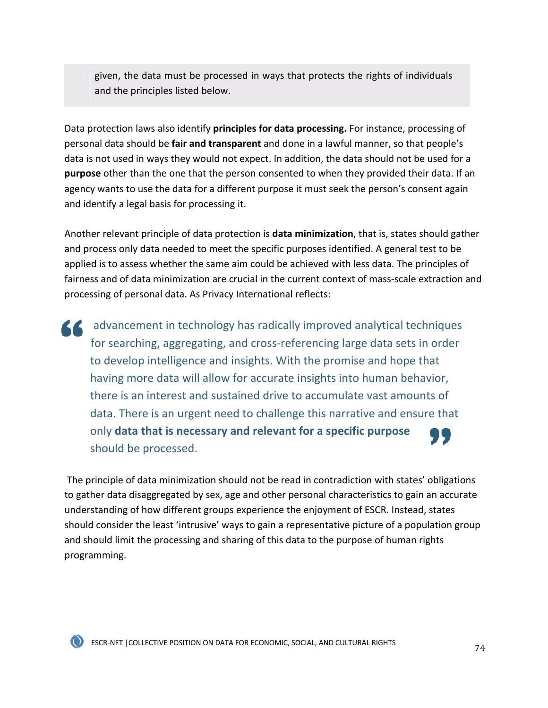given, the data must be processed in ways that protects the rights of individuals and the principles listed below.

Data protection laws also identify **principles for data processing.** For instance, processing of personal data should be **fair and transparent** and done in a lawful manner, so that people's data is not used in ways they would not expect. In addition, the data should not be used for a **purpose** other than the one that the person consented to when they provided their data. If an agency wants to use the data for a different purpose it must seek the person's consent again and identify a legal basis for processing it.

Another relevant principle of data protection is **data minimization**, that is, states should gather and process only data needed to meet the specific purposes identified. A general test to be applied is to assess whether the same aim could be achieved with less data. The principles of fairness and of data minimization are crucial in the current context of mass-scale extraction and processing of personal data. As Privacy International reflects:

advancement in technology has radically improved analytical techniques 66. for searching, aggregating, and cross-referencing large data sets in order to develop intelligence and insights. With the promise and hope that having more data will allow for accurate insights into human behavior, there is an interest and sustained drive to accumulate vast amounts of data. There is an urgent need to challenge this narrative and ensure that only **data that is necessary and relevant for a specific purpose** should be processed.

The principle of data minimization should not be read in contradiction with states' obligations to gather data disaggregated by sex, age and other personal characteristics to gain an accurate understanding of how different groups experience the enjoyment of ESCR. Instead, states should consider the least 'intrusive' ways to gain a representative picture of a population group and should limit the processing and sharing of this data to the purpose of human rights programming.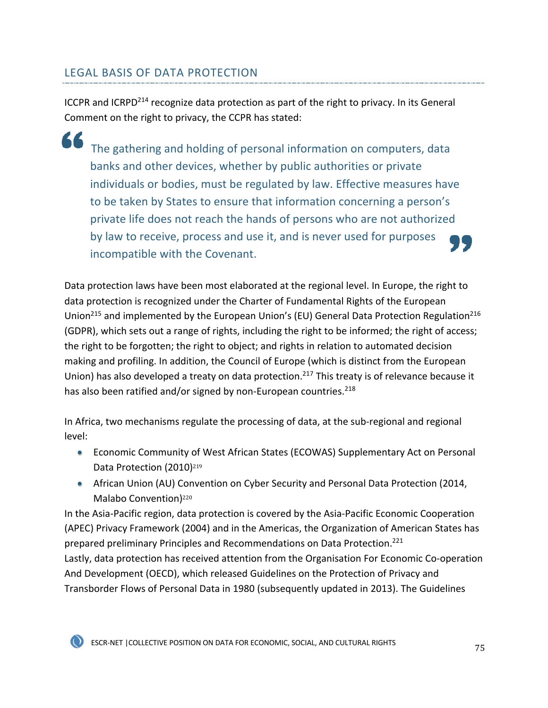## LEGAL BASIS OF DATA PROTECTION

ICCPR and ICRPD<sup>214</sup> recognize data protection as part of the right to privacy. In its General Comment on the right to privacy, the CCPR has stated:

66 The gathering and holding of personal information on computers, data banks and other devices, whether by public authorities or private individuals or bodies, must be regulated by law. Effective measures have to be taken by States to ensure that information concerning a person's private life does not reach the hands of persons who are not authorized by law to receive, process and use it, and is never used for purposes incompatible with the Covenant.

Data protection laws have been most elaborated at the regional level. In Europe, the right to data protection is recognized under the Charter of Fundamental Rights of the European Union<sup>215</sup> and implemented by the European Union's (EU) General Data Protection Regulation<sup>216</sup> (GDPR), which sets out a range of rights, including the right to be informed; the right of access; the right to be forgotten; the right to object; and rights in relation to automated decision making and profiling. In addition, the Council of Europe (which is distinct from the European Union) has also developed a treaty on data protection.<sup>217</sup> This treaty is of relevance because it has also been ratified and/or signed by non-European countries. $^{218}$ 

In Africa, two mechanisms regulate the processing of data, at the sub-regional and regional level:

- Economic Community of West African States (ECOWAS) Supplementary Act on Personal Data Protection (2010)<sup>219</sup>
- African Union (AU) Convention on Cyber Security and Personal Data Protection (2014, Malabo Convention)<sup>220</sup>

In the Asia-Pacific region, data protection is covered by the Asia-Pacific Economic Cooperation (APEC) Privacy Framework (2004) and in the Americas, the Organization of American States has prepared preliminary Principles and Recommendations on Data Protection.<sup>221</sup> Lastly, data protection has received attention from the Organisation For Economic Co-operation

And Development (OECD), which released Guidelines on the Protection of Privacy and Transborder Flows of Personal Data in 1980 (subsequently updated in 2013). The Guidelines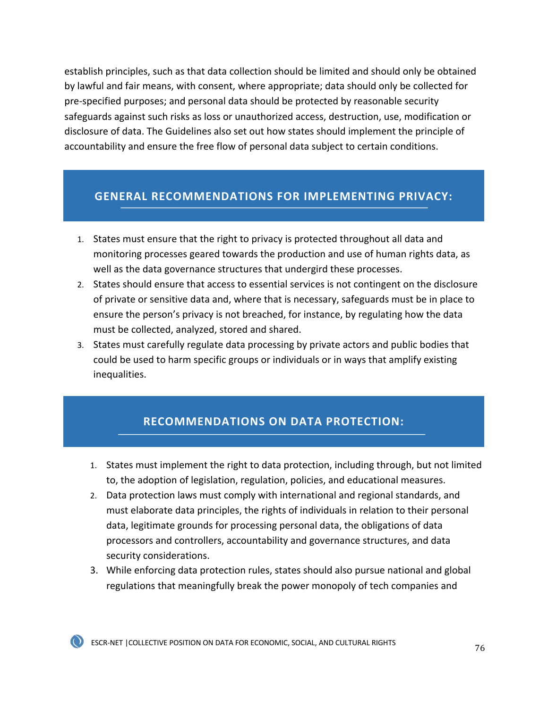establish principles, such as that data collection should be limited and should only be obtained by lawful and fair means, with consent, where appropriate; data should only be collected for pre-specified purposes; and personal data should be protected by reasonable security safeguards against such risks as loss or unauthorized access, destruction, use, modification or disclosure of data. The Guidelines also set out how states should implement the principle of accountability and ensure the free flow of personal data subject to certain conditions.

#### **GENERAL RECOMMENDATIONS FOR IMPLEMENTING PRIVACY:**

- 1. States must ensure that the right to privacy is protected throughout all data and monitoring processes geared towards the production and use of human rights data, as well as the data governance structures that undergird these processes.
- 2. States should ensure that access to essential services is not contingent on the disclosure of private or sensitive data and, where that is necessary, safeguards must be in place to ensure the person's privacy is not breached, for instance, by regulating how the data must be collected, analyzed, stored and shared.
- 3. States must carefully regulate data processing by private actors and public bodies that could be used to harm specific groups or individuals or in ways that amplify existing inequalities.

### **RECOMMENDATIONS ON DATA PROTECTION:**

- 1. States must implement the right to data protection, including through, but not limited to, the adoption of legislation, regulation, policies, and educational measures.
- 2. Data protection laws must comply with international and regional standards, and must elaborate data principles, the rights of individuals in relation to their personal data, legitimate grounds for processing personal data, the obligations of data processors and controllers, accountability and governance structures, and data security considerations.
- 3. While enforcing data protection rules, states should also pursue national and global regulations that meaningfully break the power monopoly of tech companies and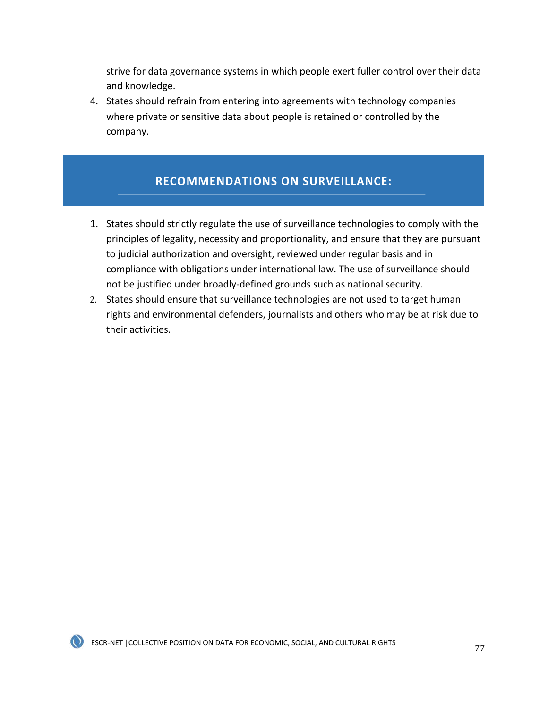strive for data governance systems in which people exert fuller control over their data and knowledge.

4. States should refrain from entering into agreements with technology companies where private or sensitive data about people is retained or controlled by the company.

## **RECOMMENDATIONS ON SURVEILLANCE:**

- 1. States should strictly regulate the use of surveillance technologies to comply with the principles of legality, necessity and proportionality, and ensure that they are pursuant to judicial authorization and oversight, reviewed under regular basis and in compliance with obligations under international law. The use of surveillance should not be justified under broadly-defined grounds such as national security.
- 2. States should ensure that surveillance technologies are not used to target human rights and environmental defenders, journalists and others who may be at risk due to their activities.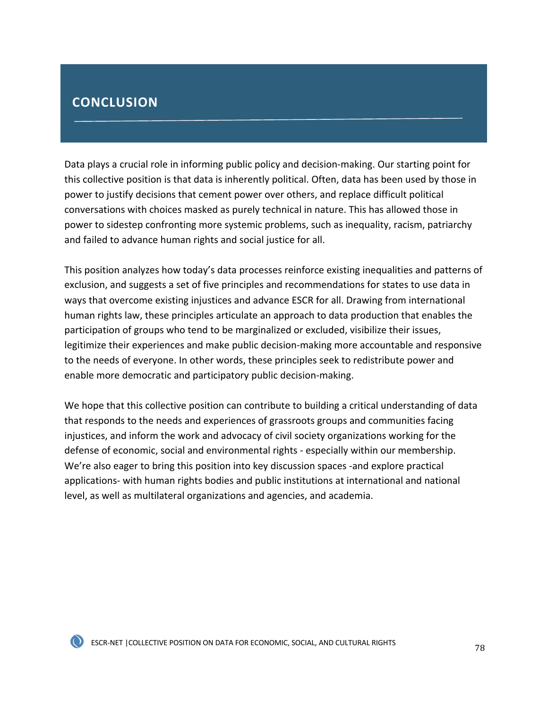# **CONCLUSION**

Data plays a crucial role in informing public policy and decision-making. Our starting point for this collective position is that data is inherently political. Often, data has been used by those in power to justify decisions that cement power over others, and replace difficult political conversations with choices masked as purely technical in nature. This has allowed those in power to sidestep confronting more systemic problems, such as inequality, racism, patriarchy and failed to advance human rights and social justice for all.

This position analyzes how today's data processes reinforce existing inequalities and patterns of exclusion, and suggests a set of five principles and recommendations for states to use data in ways that overcome existing injustices and advance ESCR for all. Drawing from international human rights law, these principles articulate an approach to data production that enables the participation of groups who tend to be marginalized or excluded, visibilize their issues, legitimize their experiences and make public decision-making more accountable and responsive to the needs of everyone. In other words, these principles seek to redistribute power and enable more democratic and participatory public decision-making.

We hope that this collective position can contribute to building a critical understanding of data that responds to the needs and experiences of grassroots groups and communities facing injustices, and inform the work and advocacy of civil society organizations working for the defense of economic, social and environmental rights - especially within our membership. We're also eager to bring this position into key discussion spaces -and explore practical applications- with human rights bodies and public institutions at international and national level, as well as multilateral organizations and agencies, and academia.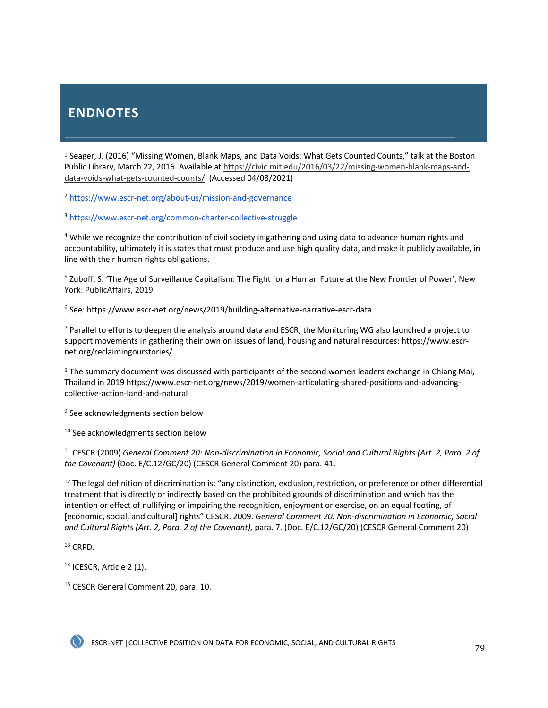# **ENDNOTES**

<sup>1</sup> Seager, J. (2016) "Missing Women, Blank Maps, and Data Voids: What Gets Counted Counts," talk at the Boston Public Library, March 22, 2016. Available at https://civic.mit.edu/2016/03/22/missing-women-blank-maps-anddata-voids-what-gets-counted-counts/. (Accessed 04/08/2021)

<sup>2</sup> https://www.escr-net.org/about-us/mission-and-governance

<sup>3</sup> https://www.escr-net.org/common-charter-collective-struggle

<sup>4</sup> While we recognize the contribution of civil society in gathering and using data to advance human rights and accountability, ultimately it is states that must produce and use high quality data, and make it publicly available, in line with their human rights obligations.

<sup>5</sup> Zuboff, S. 'The Age of Surveillance Capitalism: The Fight for a Human Future at the New Frontier of Power', New York: PublicAffairs, 2019.

<sup>6</sup> See: https://www.escr-net.org/news/2019/building-alternative-narrative-escr-data

 $7$  Parallel to efforts to deepen the analysis around data and ESCR, the Monitoring WG also launched a project to support movements in gathering their own on issues of land, housing and natural resources: https://www.escrnet.org/reclaimingourstories/

<sup>8</sup> The summary document was discussed with participants of the second women leaders exchange in Chiang Mai, Thailand in 2019 https://www.escr-net.org/news/2019/women-articulating-shared-positions-and-advancingcollective-action-land-and-natural

<sup>9</sup> See acknowledgments section below

<sup>10</sup> See acknowledgments section below

<sup>11</sup> CESCR (2009) *General Comment 20: Non-discrimination in Economic, Social and Cultural Rights (Art. 2, Para. 2 of the Covenant)* (Doc. E/C.12/GC/20) (CESCR General Comment 20) para. 41.

 $12$  The legal definition of discrimination is: "any distinction, exclusion, restriction, or preference or other differential treatment that is directly or indirectly based on the prohibited grounds of discrimination and which has the intention or effect of nullifying or impairing the recognition, enjoyment or exercise, on an equal footing, of [economic, social, and cultural] rights" CESCR. 2009. *General Comment 20: Non-discrimination in Economic, Social and Cultural Rights (Art. 2, Para. 2 of the Covenant),* para. 7. (Doc. E/C.12/GC/20) (CESCR General Comment 20)

<sup>13</sup> CRPD.

<sup>14</sup> ICESCR, Article 2 (1).

<sup>15</sup> CESCR General Comment 20, para. 10.

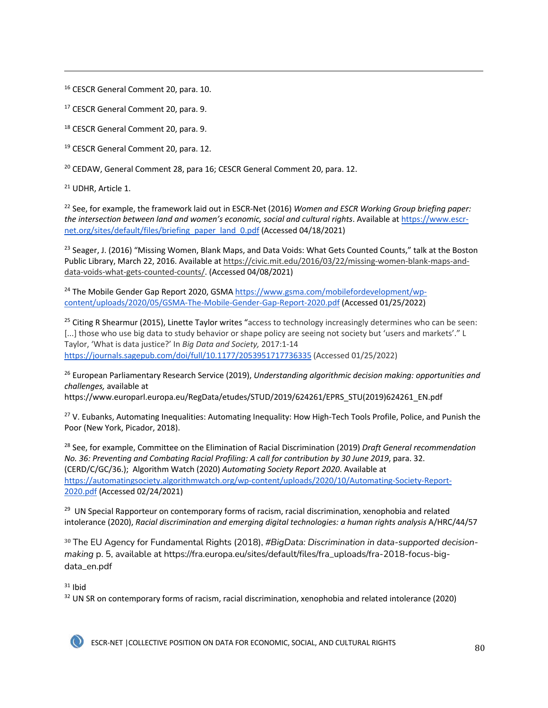<sup>16</sup> CESCR General Comment 20, para. 10.

<sup>17</sup> CESCR General Comment 20, para. 9.

<sup>18</sup> CESCR General Comment 20, para. 9.

<sup>19</sup> CESCR General Comment 20, para. 12.

<sup>20</sup> CEDAW, General Comment 28, para 16; CESCR General Comment 20, para. 12.

<sup>21</sup> UDHR. Article 1.

<sup>22</sup> See, for example, the framework laid out in ESCR-Net (2016) *Women and ESCR Working Group briefing paper: the intersection between land and women's economic, social and cultural rights*. Available at https://www.escrnet.org/sites/default/files/briefing\_paper\_land\_0.pdf (Accessed 04/18/2021)

<sup>23</sup> Seager, J. (2016) "Missing Women, Blank Maps, and Data Voids: What Gets Counted Counts," talk at the Boston Public Library, March 22, 2016. Available at https://civic.mit.edu/2016/03/22/missing-women-blank-maps-anddata-voids-what-gets-counted-counts/. (Accessed 04/08/2021)

<sup>24</sup> The Mobile Gender Gap Report 2020, GSMA https://www.gsma.com/mobilefordevelopment/wpcontent/uploads/2020/05/GSMA-The-Mobile-Gender-Gap-Report-2020.pdf (Accessed 01/25/2022)

<sup>25</sup> Citing R Shearmur (2015), Linette Taylor writes "access to technology increasingly determines who can be seen: [...] those who use big data to study behavior or shape policy are seeing not society but 'users and markets'." L Taylor, 'What is data justice?' In *Big Data and Society,* 2017:1-14 https://journals.sagepub.com/doi/full/10.1177/2053951717736335 (Accessed 01/25/2022)

<sup>26</sup> European Parliamentary Research Service (2019), *Understanding algorithmic decision making: opportunities and challenges,* available at

https://www.europarl.europa.eu/RegData/etudes/STUD/2019/624261/EPRS\_STU(2019)624261\_EN.pdf

<sup>27</sup> V. Eubanks, Automating Inequalities: Automating Inequality: How High-Tech Tools Profile, Police, and Punish the Poor (New York, Picador, 2018).

<sup>28</sup> See, for example, Committee on the Elimination of Racial Discrimination (2019) *Draft General recommendation No. 36: Preventing and Combating Racial Profiling: A call for contribution by 30 June 2019*, para. 32. (CERD/C/GC/36.); Algorithm Watch (2020) *Automating Society Report 2020*. Available at https://automatingsociety.algorithmwatch.org/wp-content/uploads/2020/10/Automating-Society-Report-2020.pdf (Accessed 02/24/2021)

<sup>29</sup> UN Special Rapporteur on contemporary forms of racism, racial discrimination, xenophobia and related intolerance (2020), *Racial discrimination and emerging digital technologies: a human rights analysis* A/HRC/44/57

<sup>30</sup> The EU Agency for Fundamental Rights (2018), *#BigData: Discrimination in data-supported decisionmaking* p. 5, available at https://fra.europa.eu/sites/default/files/fra\_uploads/fra-2018-focus-bigdata\_en.pdf

 $31$  Ibid

<sup>32</sup> UN SR on contemporary forms of racism, racial discrimination, xenophobia and related intolerance (2020)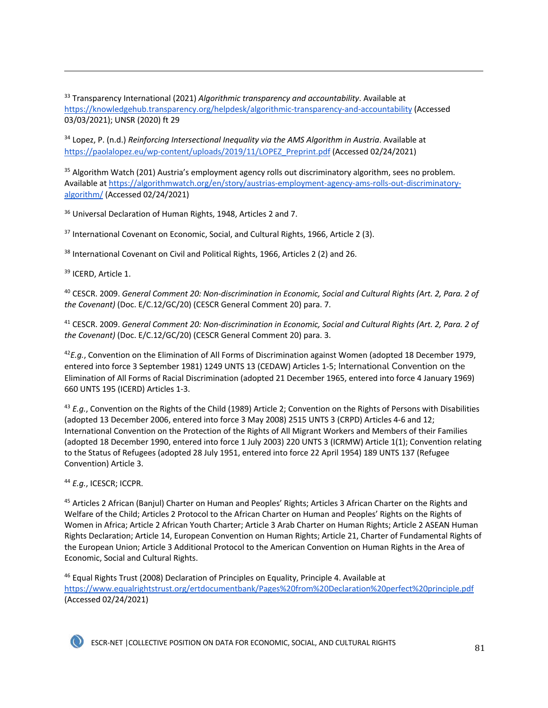<sup>33</sup> Transparency International (2021) *Algorithmic transparency and accountability*. Available at https://knowledgehub.transparency.org/helpdesk/algorithmic-transparency-and-accountability (Accessed 03/03/2021); UNSR (2020) ft 29

<sup>34</sup> Lopez, P. (n.d.) *Reinforcing Intersectional Inequality via the AMS Algorithm in Austria*. Available at https://paolalopez.eu/wp-content/uploads/2019/11/LOPEZ\_Preprint.pdf (Accessed 02/24/2021)

<sup>35</sup> Algorithm Watch (201) Austria's employment agency rolls out discriminatory algorithm, sees no problem. Available at https://algorithmwatch.org/en/story/austrias-employment-agency-ams-rolls-out-discriminatoryalgorithm/ (Accessed 02/24/2021)

<sup>36</sup> Universal Declaration of Human Rights, 1948, Articles 2 and 7.

<sup>37</sup> International Covenant on Economic, Social, and Cultural Rights, 1966, Article 2 (3).

<sup>38</sup> International Covenant on Civil and Political Rights, 1966, Articles 2 (2) and 26.

<sup>39</sup> ICERD, Article 1.

<sup>40</sup> CESCR. 2009. *General Comment 20: Non-discrimination in Economic, Social and Cultural Rights (Art. 2, Para. 2 of the Covenant)* (Doc. E/C.12/GC/20) (CESCR General Comment 20) para. 7.

<sup>41</sup> CESCR. 2009. *General Comment 20: Non-discrimination in Economic, Social and Cultural Rights (Art. 2, Para. 2 of the Covenant)* (Doc. E/C.12/GC/20) (CESCR General Comment 20) para. 3.

<sup>42</sup>*E.g.*, Convention on the Elimination of All Forms of Discrimination against Women (adopted 18 December 1979, entered into force 3 September 1981) 1249 UNTS 13 (CEDAW) Articles 1-5; International Convention on the Elimination of All Forms of Racial Discrimination (adopted 21 December 1965, entered into force 4 January 1969) 660 UNTS 195 (ICERD) Articles 1-3.

<sup>43</sup> *E.g.*, Convention on the Rights of the Child (1989) Article 2; Convention on the Rights of Persons with Disabilities (adopted 13 December 2006, entered into force 3 May 2008) 2515 UNTS 3 (CRPD) Articles 4-6 and 12; International Convention on the Protection of the Rights of All Migrant Workers and Members of their Families (adopted 18 December 1990, entered into force 1 July 2003) 220 UNTS 3 (ICRMW) Article 1(1); Convention relating to the Status of Refugees (adopted 28 July 1951, entered into force 22 April 1954) 189 UNTS 137 (Refugee Convention) Article 3.

<sup>44</sup> *E.g.*, ICESCR; ICCPR.

<sup>45</sup> Articles 2 African (Banjul) Charter on Human and Peoples' Rights; Articles 3 African Charter on the Rights and Welfare of the Child; Articles 2 Protocol to the African Charter on Human and Peoples' Rights on the Rights of Women in Africa; Article 2 African Youth Charter; Article 3 Arab Charter on Human Rights; Article 2 ASEAN Human Rights Declaration; Article 14, European Convention on Human Rights; Article 21, Charter of Fundamental Rights of the European Union; Article 3 Additional Protocol to the American Convention on Human Rights in the Area of Economic, Social and Cultural Rights.

<sup>46</sup> Equal Rights Trust (2008) Declaration of Principles on Equality, Principle 4. Available at https://www.equalrightstrust.org/ertdocumentbank/Pages%20from%20Declaration%20perfect%20principle.pdf (Accessed 02/24/2021)

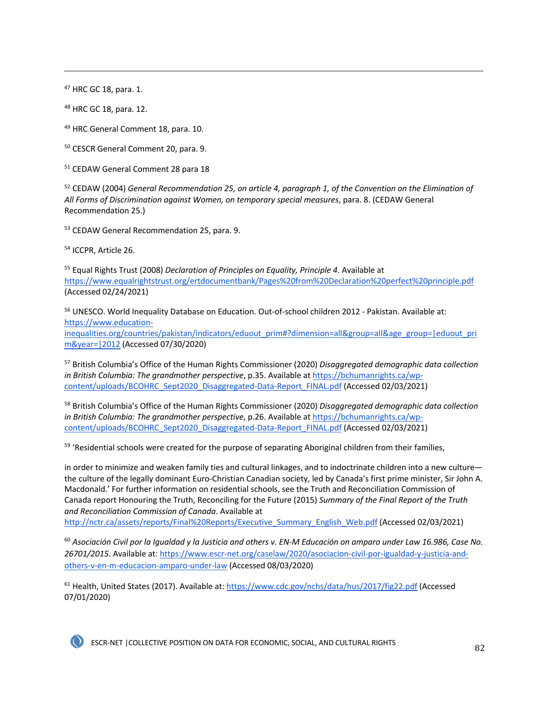<sup>47</sup> HRC GC 18, para. 1.

<sup>48</sup> HRC GC 18, para. 12.

<sup>49</sup> HRC General Comment 18, para. 10.

<sup>50</sup> CESCR General Comment 20, para. 9.

<sup>51</sup> CEDAW General Comment 28 para 18

<sup>52</sup> CEDAW (2004) *General Recommendation 25, on article 4, paragraph 1, of the Convention on the Elimination of All Forms of Discrimination against Women, on temporary special measures*, para. 8. (CEDAW General Recommendation 25.)

<sup>53</sup> CEDAW General Recommendation 25, para. 9.

<sup>54</sup> ICCPR, Article 26.

<sup>55</sup> Equal Rights Trust (2008) *Declaration of Principles on Equality, Principle 4*. Available at https://www.equalrightstrust.org/ertdocumentbank/Pages%20from%20Declaration%20perfect%20principle.pdf (Accessed 02/24/2021)

<sup>56</sup> UNESCO. World Inequality Database on Education. Out-of-school children 2012 - Pakistan. Available at: https://www.education-

inequalities.org/countries/pakistan/indicators/eduout\_prim#?dimension=all&group=all&age\_group=|eduout\_pri m&year=|2012 (Accessed 07/30/2020)

<sup>57</sup> British Columbia's Office of the Human Rights Commissioner (2020) *Disaggregated demographic data collection in British Columbia: The grandmother perspective*, p.35. Available at https://bchumanrights.ca/wpcontent/uploads/BCOHRC\_Sept2020\_Disaggregated-Data-Report\_FINAL.pdf (Accessed 02/03/2021)

<sup>58</sup> British Columbia's Office of the Human Rights Commissioner (2020) *Disaggregated demographic data collection in British Columbia: The grandmother perspective*, p.26. Available at https://bchumanrights.ca/wpcontent/uploads/BCOHRC\_Sept2020\_Disaggregated-Data-Report\_FINAL.pdf (Accessed 02/03/2021)

<sup>59</sup> 'Residential schools were created for the purpose of separating Aboriginal children from their families,

in order to minimize and weaken family ties and cultural linkages, and to indoctrinate children into a new culture the culture of the legally dominant Euro-Christian Canadian society, led by Canada's first prime minister, Sir John A. Macdonald.' For further information on residential schools, see the Truth and Reconciliation Commission of Canada report Honouring the Truth, Reconciling for the Future (2015) *Summary of the Final Report of the Truth and Reconciliation Commission of Canada*. Available at

http://nctr.ca/assets/reports/Final%20Reports/Executive\_Summary\_English\_Web.pdf (Accessed 02/03/2021)

<sup>60</sup> *Asociación Civil por la Igualdad y la Justicia and others v. EN-M Educación on amparo under Law 16.986, Case No. 26701/2015*. Available at: https://www.escr-net.org/caselaw/2020/asociacion-civil-por-igualdad-y-justicia-andothers-v-en-m-educacion-amparo-under-law (Accessed 08/03/2020)

<sup>61</sup> Health, United States (2017). Available at: https://www.cdc.gov/nchs/data/hus/2017/fig22.pdf (Accessed 07/01/2020)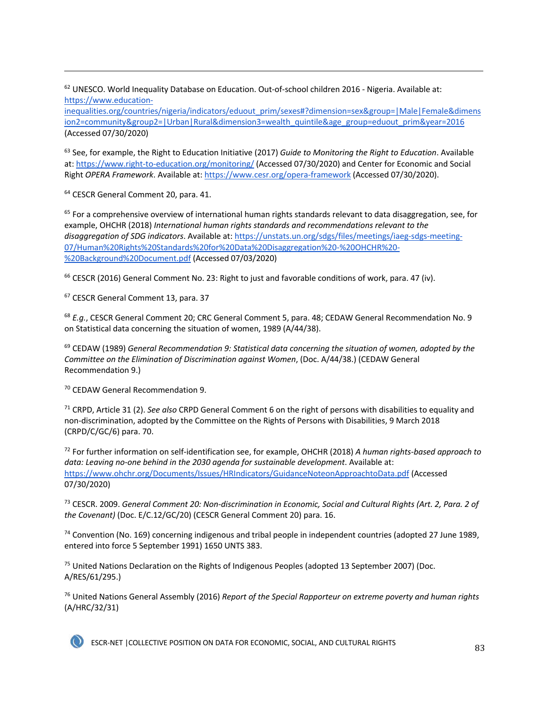$62$  UNESCO. World Inequality Database on Education. Out-of-school children 2016 - Nigeria. Available at: https://www.education-

inequalities.org/countries/nigeria/indicators/eduout\_prim/sexes#?dimension=sex&group=|Male|Female&dimens ion2=community&group2=|Urban|Rural&dimension3=wealth\_quintile&age\_group=eduout\_prim&year=2016 (Accessed 07/30/2020)

<sup>63</sup> See, for example, the Right to Education Initiative (2017) *Guide to Monitoring the Right to Education*. Available at: https://www.right-to-education.org/monitoring/ (Accessed 07/30/2020) and Center for Economic and Social Right *OPERA Framework*. Available at: https://www.cesr.org/opera-framework (Accessed 07/30/2020).

<sup>64</sup> CESCR General Comment 20, para. 41.

 $65$  For a comprehensive overview of international human rights standards relevant to data disaggregation, see, for example, OHCHR (2018) *International human rights standards and recommendations relevant to the disaggregation of SDG indicators*. Available at: https://unstats.un.org/sdgs/files/meetings/iaeg-sdgs-meeting-07/Human%20Rights%20Standards%20for%20Data%20Disaggregation%20-%20OHCHR%20- %20Background%20Document.pdf (Accessed 07/03/2020)

 $66$  CESCR (2016) General Comment No. 23: Right to just and favorable conditions of work, para. 47 (iv).

<sup>67</sup> CESCR General Comment 13, para. 37

<sup>68</sup> *E.g.*, CESCR General Comment 20; CRC General Comment 5, para. 48; CEDAW General Recommendation No. 9 on Statistical data concerning the situation of women, 1989 (A/44/38).

<sup>69</sup> CEDAW (1989) *General Recommendation 9: Statistical data concerning the situation of women, adopted by the Committee on the Elimination of Discrimination against Women*, (Doc. A/44/38.) (CEDAW General Recommendation 9.)

<sup>70</sup> CEDAW General Recommendation 9.

<sup>71</sup> CRPD, Article 31 (2). *See also* CRPD General Comment 6 on the right of persons with disabilities to equality and non-discrimination, adopted by the Committee on the Rights of Persons with Disabilities, 9 March 2018 (CRPD/C/GC/6) para. 70.

<sup>72</sup> For further information on self-identification see, for example, OHCHR (2018) *A human rights-based approach to data: Leaving no-one behind in the 2030 agenda for sustainable development*. Available at: https://www.ohchr.org/Documents/Issues/HRIndicators/GuidanceNoteonApproachtoData.pdf (Accessed 07/30/2020)

<sup>73</sup> CESCR. 2009. *General Comment 20: Non-discrimination in Economic, Social and Cultural Rights (Art. 2, Para. 2 of the Covenant)* (Doc. E/C.12/GC/20) (CESCR General Comment 20) para. 16.

<sup>74</sup> Convention (No. 169) concerning indigenous and tribal people in independent countries (adopted 27 June 1989, entered into force 5 September 1991) 1650 UNTS 383.

<sup>75</sup> United Nations Declaration on the Rights of Indigenous Peoples (adopted 13 September 2007) (Doc. A/RES/61/295.)

<sup>76</sup> United Nations General Assembly (2016) *Report of the Special Rapporteur on extreme poverty and human rights* (A/HRC/32/31)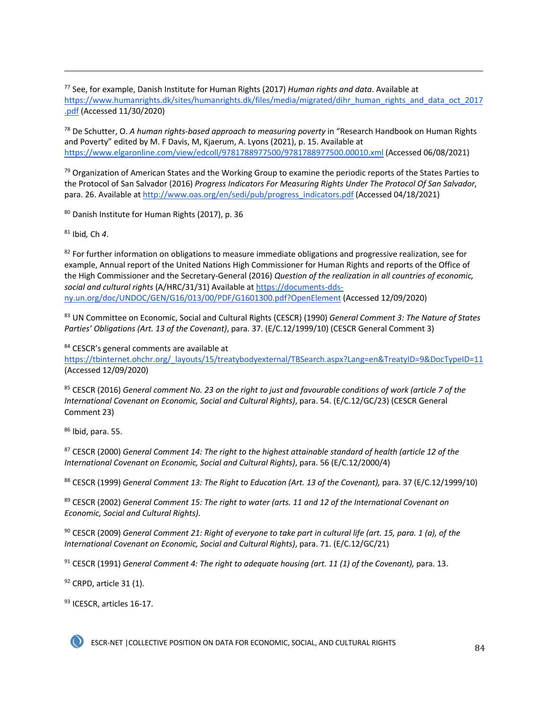<sup>77</sup> See, for example, Danish Institute for Human Rights (2017) *Human rights and data*. Available at https://www.humanrights.dk/sites/humanrights.dk/files/media/migrated/dihr\_human\_rights\_and\_data\_oct\_2017 .pdf (Accessed 11/30/2020)

<sup>78</sup> De Schutter, O. *A human rights-based approach to measuring poverty* in "Research Handbook on Human Rights and Poverty" edited by M. F Davis, M, Kjaerum, A. Lyons (2021), p. 15. Available at https://www.elgaronline.com/view/edcoll/9781788977500/9781788977500.00010.xml (Accessed 06/08/2021)

 $79$  Organization of American States and the Working Group to examine the periodic reports of the States Parties to the Protocol of San Salvador (2016) *Progress Indicators For Measuring Rights Under The Protocol Of San Salvador*, para. 26. Available at http://www.oas.org/en/sedi/pub/progress\_indicators.pdf (Accessed 04/18/2021)

<sup>80</sup> Danish Institute for Human Rights (2017), p. 36

<sup>81</sup> Ibid*,* Ch *4*.

 $82$  For further information on obligations to measure immediate obligations and progressive realization, see for example, Annual report of the United Nations High Commissioner for Human Rights and reports of the Office of the High Commissioner and the Secretary-General (2016) *Question of the realization in all countries of economic, social and cultural rights* (A/HRC/31/31) Available at https://documents-ddsny.un.org/doc/UNDOC/GEN/G16/013/00/PDF/G1601300.pdf?OpenElement (Accessed 12/09/2020)

<sup>83</sup> UN Committee on Economic, Social and Cultural Rights (CESCR) (1990) *General Comment 3: The Nature of States Parties' Obligations (Art. 13 of the Covenant)*, para. 37. (E/C.12/1999/10) (CESCR General Comment 3)

84 CESCR's general comments are available at

https://tbinternet.ohchr.org/\_layouts/15/treatybodyexternal/TBSearch.aspx?Lang=en&TreatyID=9&DocTypeID=11 (Accessed 12/09/2020)

<sup>85</sup> CESCR (2016) *General comment No. 23 on the right to just and favourable conditions of work (article 7 of the International Covenant on Economic, Social and Cultural Rights)*, para. 54. (E/C.12/GC/23) (CESCR General Comment 23)

<sup>86</sup> Ibid, para. 55.

<sup>87</sup> CESCR (2000) *General Comment 14: The right to the highest attainable standard of health (article 12 of the International Covenant on Economic, Social and Cultural Rights)*, para. 56 (E/C.12/2000/4)

<sup>88</sup> CESCR (1999) *General Comment 13: The Right to Education (Art. 13 of the Covenant),* para. 37 (E/C.12/1999/10)

<sup>89</sup> CESCR (2002) *General Comment 15: The right to water (arts. 11 and 12 of the International Covenant on Economic, Social and Cultural Rights)*.

<sup>90</sup> CESCR (2009) *General Comment 21: Right of everyone to take part in cultural life (art. 15, para. 1 (a), of the International Covenant on Economic, Social and Cultural Rights)*, para. 71. (E/C.12/GC/21)

<sup>91</sup> CESCR (1991) *General Comment 4: The right to adequate housing (art. 11 (1) of the Covenant),* para. 13.

 $92$  CRPD, article 31 (1).

93 ICESCR, articles 16-17.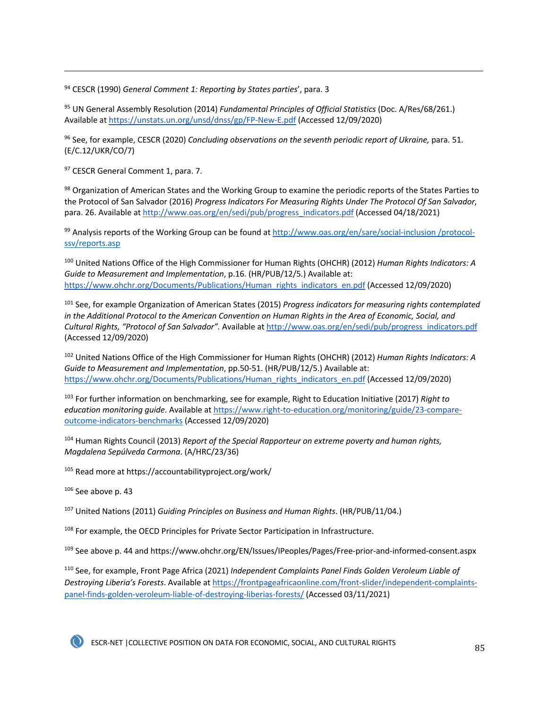<sup>94</sup> CESCR (1990) *General Comment 1: Reporting by States parties*', para. 3

<sup>95</sup> UN General Assembly Resolution (2014) *Fundamental Principles of Official Statistics* (Doc. A/Res/68/261.) Available at https://unstats.un.org/unsd/dnss/gp/FP-New-E.pdf (Accessed 12/09/2020)

<sup>96</sup> See, for example, CESCR (2020) *Concluding observations on the seventh periodic report of Ukraine*, para. 51. (E/C.12/UKR/CO/7)

97 CESCR General Comment 1, para. 7.

<sup>98</sup> Organization of American States and the Working Group to examine the periodic reports of the States Parties to the Protocol of San Salvador (2016) *Progress Indicators For Measuring Rights Under The Protocol Of San Salvador*, para. 26. Available at http://www.oas.org/en/sedi/pub/progress\_indicators.pdf (Accessed 04/18/2021)

99 Analysis reports of the Working Group can be found at http://www.oas.org/en/sare/social-inclusion /protocolssv/reports.asp

<sup>100</sup> United Nations Office of the High Commissioner for Human Rights (OHCHR) (2012) *Human Rights Indicators: A Guide to Measurement and Implementation*, p.16. (HR/PUB/12/5.) Available at: https://www.ohchr.org/Documents/Publications/Human\_rights\_indicators\_en.pdf (Accessed 12/09/2020)

<sup>101</sup> See, for example Organization of American States (2015) *Progress indicators for measuring rights contemplated in the Additional Protocol to the American Convention on Human Rights in the Area of Economic, Social, and Cultural Rights, "Protocol of San Salvador".* Available at http://www.oas.org/en/sedi/pub/progress\_indicators.pdf (Accessed 12/09/2020)

<sup>102</sup> United Nations Office of the High Commissioner for Human Rights (OHCHR) (2012) *Human Rights Indicators: A Guide to Measurement and Implementation*, pp.50-51. (HR/PUB/12/5.) Available at: https://www.ohchr.org/Documents/Publications/Human\_rights\_indicators\_en.pdf (Accessed 12/09/2020)

<sup>103</sup> For further information on benchmarking, see for example, Right to Education Initiative (2017) *Right to education monitoring guide*. Available at https://www.right-to-education.org/monitoring/guide/23-compareoutcome-indicators-benchmarks (Accessed 12/09/2020)

<sup>104</sup> Human Rights Council (2013) *Report of the Special Rapporteur on extreme poverty and human rights, Magdalena Sepúlveda Carmona*. (A/HRC/23/36)

<sup>105</sup> Read more at https://accountabilityproject.org/work/

 $106$  See above p. 43

<sup>107</sup> United Nations (2011) *Guiding Principles on Business and Human Rights*. (HR/PUB/11/04.)

<sup>108</sup> For example, the OECD Principles for Private Sector Participation in Infrastructure.

109 See above p. 44 and https://www.ohchr.org/EN/Issues/IPeoples/Pages/Free-prior-and-informed-consent.aspx

<sup>110</sup> See, for example, Front Page Africa (2021) *Independent Complaints Panel Finds Golden Veroleum Liable of Destroying Liberia's Forests*. Available at https://frontpageafricaonline.com/front-slider/independent-complaintspanel-finds-golden-veroleum-liable-of-destroying-liberias-forests/ (Accessed 03/11/2021)

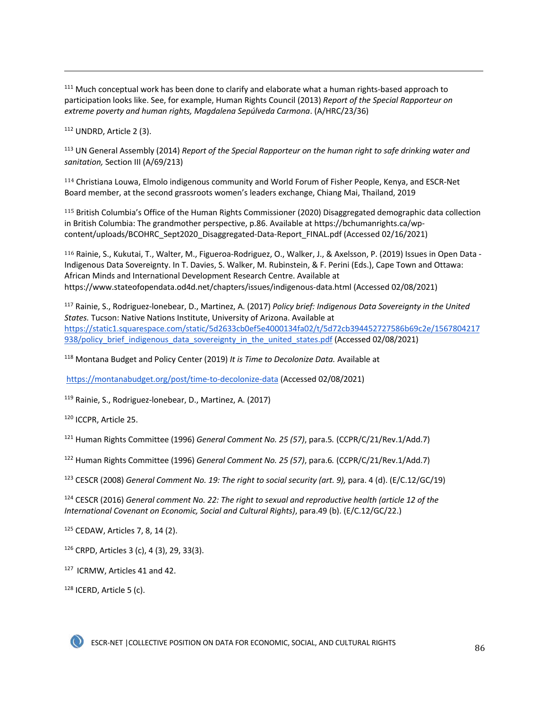<sup>111</sup> Much conceptual work has been done to clarify and elaborate what a human rights-based approach to participation looks like. See, for example, Human Rights Council (2013) *Report of the Special Rapporteur on extreme poverty and human rights, Magdalena Sepúlveda Carmona*. (A/HRC/23/36)

<sup>112</sup> UNDRD, Article 2 (3).

<sup>113</sup> UN General Assembly (2014) *Report of the Special Rapporteur on the human right to safe drinking water and sanitation,* Section III (A/69/213)

<sup>114</sup> Christiana Louwa, Elmolo indigenous community and World Forum of Fisher People, Kenya, and ESCR-Net Board member, at the second grassroots women's leaders exchange, Chiang Mai, Thailand, 2019

<sup>115</sup> British Columbia's Office of the Human Rights Commissioner (2020) Disaggregated demographic data collection in British Columbia: The grandmother perspective, p.86. Available at https://bchumanrights.ca/wpcontent/uploads/BCOHRC\_Sept2020\_Disaggregated-Data-Report\_FINAL.pdf (Accessed 02/16/2021)

<sup>116</sup> Rainie, S., Kukutai, T., Walter, M., Figueroa-Rodriguez, O., Walker, J., & Axelsson, P. (2019) Issues in Open Data - Indigenous Data Sovereignty. In T. Davies, S. Walker, M. Rubinstein, & F. Perini (Eds.), Cape Town and Ottawa: African Minds and International Development Research Centre. Available at https://www.stateofopendata.od4d.net/chapters/issues/indigenous-data.html (Accessed 02/08/2021)

<sup>117</sup> Rainie, S., Rodriguez-lonebear, D., Martinez, A. (2017) *Policy brief: Indigenous Data Sovereignty in the United States.* Tucson: Native Nations Institute, University of Arizona. Available at https://static1.squarespace.com/static/5d2633cb0ef5e4000134fa02/t/5d72cb394452727586b69c2e/1567804217 938/policy brief indigenous data sovereignty in the united states.pdf (Accessed 02/08/2021)

<sup>118</sup> Montana Budget and Policy Center (2019) *It is Time to Decolonize Data.* Available at

https://montanabudget.org/post/time-to-decolonize-data (Accessed 02/08/2021)

<sup>119</sup> Rainie, S., Rodriguez-lonebear, D., Martinez, A. (2017)

<sup>120</sup> ICCPR, Article 25.

<sup>121</sup> Human Rights Committee (1996) *General Comment No. 25 (57)*, para.5*.* (CCPR/C/21/Rev.1/Add.7)

<sup>122</sup> Human Rights Committee (1996) *General Comment No. 25 (57)*, para.6*.* (CCPR/C/21/Rev.1/Add.7)

<sup>123</sup> CESCR (2008) *General Comment No. 19: The right to social security (art. 9),* para. 4 (d). (E/C.12/GC/19)

<sup>124</sup> CESCR (2016) *General comment No. 22: The right to sexual and reproductive health (article 12 of the International Covenant on Economic, Social and Cultural Rights)*, para.49 (b). (E/C.12/GC/22.)

<sup>125</sup> CEDAW, Articles 7, 8, 14 (2).

<sup>126</sup> CRPD, Articles 3 (c), 4 (3), 29, 33(3).

<sup>127</sup> ICRMW, Articles 41 and 42.

128 ICERD, Article 5 (c).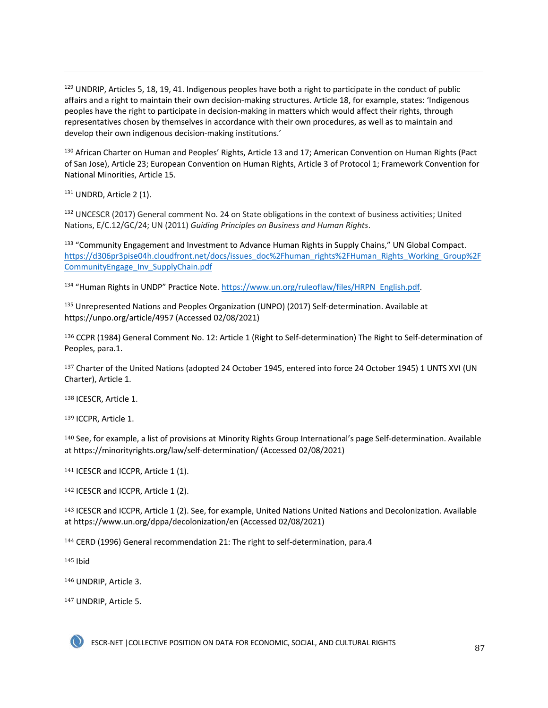$129$  UNDRIP, Articles 5, 18, 19, 41. Indigenous peoples have both a right to participate in the conduct of public affairs and a right to maintain their own decision-making structures. Article 18, for example, states: 'Indigenous peoples have the right to participate in decision-making in matters which would affect their rights, through representatives chosen by themselves in accordance with their own procedures, as well as to maintain and develop their own indigenous decision-making institutions.'

<sup>130</sup> African Charter on Human and Peoples' Rights, Article 13 and 17; American Convention on Human Rights (Pact of San Jose), Article 23; European Convention on Human Rights, Article 3 of Protocol 1; Framework Convention for National Minorities, Article 15.

<sup>131</sup> UNDRD, Article 2 (1).

132 UNCESCR (2017) General comment No. 24 on State obligations in the context of business activities; United Nations, E/C.12/GC/24; UN (2011) *Guiding Principles on Business and Human Rights*.

133 "Community Engagement and Investment to Advance Human Rights in Supply Chains," UN Global Compact. https://d306pr3pise04h.cloudfront.net/docs/issues\_doc%2Fhuman\_rights%2FHuman\_Rights\_Working\_Group%2F CommunityEngage\_Inv\_SupplyChain.pdf

<sup>134</sup> "Human Rights in UNDP" Practice Note. https://www.un.org/ruleoflaw/files/HRPN\_English.pdf.

<sup>135</sup> Unrepresented Nations and Peoples Organization (UNPO) (2017) Self-determination. Available at https://unpo.org/article/4957 (Accessed 02/08/2021)

<sup>136</sup> CCPR (1984) General Comment No. 12: Article 1 (Right to Self-determination) The Right to Self-determination of Peoples, para.1.

<sup>137</sup> Charter of the United Nations (adopted 24 October 1945, entered into force 24 October 1945) 1 UNTS XVI (UN Charter), Article 1.

<sup>138</sup> ICESCR, Article 1.

<sup>139</sup> ICCPR, Article 1.

<sup>140</sup> See, for example, a list of provisions at Minority Rights Group International's page Self-determination. Available at https://minorityrights.org/law/self-determination/ (Accessed 02/08/2021)

141 ICESCR and ICCPR, Article 1 (1).

142 ICESCR and ICCPR, Article 1 (2).

<sup>143</sup> ICESCR and ICCPR, Article 1 (2). See, for example, United Nations United Nations and Decolonization. Available at https://www.un.org/dppa/decolonization/en (Accessed 02/08/2021)

<sup>144</sup> CERD (1996) General recommendation 21: The right to self-determination, para.4

<sup>145</sup> Ibid

<sup>146</sup> UNDRIP, Article 3.

<sup>147</sup> UNDRIP, Article 5.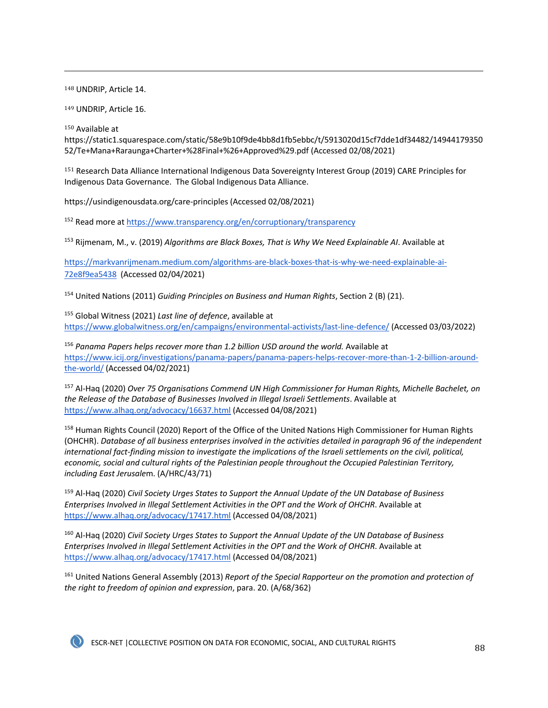<sup>148</sup> UNDRIP, Article 14.

<sup>149</sup> UNDRIP, Article 16.

<sup>150</sup> Available at

https://static1.squarespace.com/static/58e9b10f9de4bb8d1fb5ebbc/t/5913020d15cf7dde1df34482/14944179350 52/Te+Mana+Raraunga+Charter+%28Final+%26+Approved%29.pdf (Accessed 02/08/2021)

<sup>151</sup> Research Data Alliance International Indigenous Data Sovereignty Interest Group (2019) CARE Principles for Indigenous Data Governance. The Global Indigenous Data Alliance.

https://usindigenousdata.org/care-principles (Accessed 02/08/2021)

<sup>152</sup> Read more at https://www.transparency.org/en/corruptionary/transparency

<sup>153</sup> Rijmenam, M., v. (2019) *Algorithms are Black Boxes, That is Why We Need Explainable AI*. Available at

https://markvanrijmenam.medium.com/algorithms-are-black-boxes-that-is-why-we-need-explainable-ai-72e8f9ea5438 (Accessed 02/04/2021)

<sup>154</sup> United Nations (2011) *Guiding Principles on Business and Human Rights*, Section 2 (B) (21).

<sup>155</sup> Global Witness (2021) *Last line of defence*, available at https://www.globalwitness.org/en/campaigns/environmental-activists/last-line-defence/ (Accessed 03/03/2022)

<sup>156</sup> Panama Papers helps recover more than 1.2 billion USD around the world. Available at https://www.icij.org/investigations/panama-papers/panama-papers-helps-recover-more-than-1-2-billion-aroundthe-world/ (Accessed 04/02/2021)

<sup>157</sup> Al-Haq (2020) *Over 75 Organisations Commend UN High Commissioner for Human Rights, Michelle Bachelet, on the Release of the Database of Businesses Involved in Illegal Israeli Settlements*. Available at https://www.alhaq.org/advocacy/16637.html (Accessed 04/08/2021)

<sup>158</sup> Human Rights Council (2020) Report of the Office of the United Nations High Commissioner for Human Rights (OHCHR). *Database of all business enterprises involved in the activities detailed in paragraph 96 of the independent international fact-finding mission to investigate the implications of the Israeli settlements on the civil, political, economic, social and cultural rights of the Palestinian people throughout the Occupied Palestinian Territory, including East Jerusale*m. (A/HRC/43/71)

<sup>159</sup> Al-Haq (2020) *Civil Society Urges States to Support the Annual Update of the UN Database of Business Enterprises Involved in Illegal Settlement Activities in the OPT and the Work of OHCHR*. Available at https://www.alhaq.org/advocacy/17417.html (Accessed 04/08/2021)

<sup>160</sup> Al-Haq (2020) *Civil Society Urges States to Support the Annual Update of the UN Database of Business Enterprises Involved in Illegal Settlement Activities in the OPT and the Work of OHCHR*. Available at https://www.alhaq.org/advocacy/17417.html (Accessed 04/08/2021)

<sup>161</sup> United Nations General Assembly (2013) *Report of the Special Rapporteur on the promotion and protection of the right to freedom of opinion and expression*, para. 20. (A/68/362)

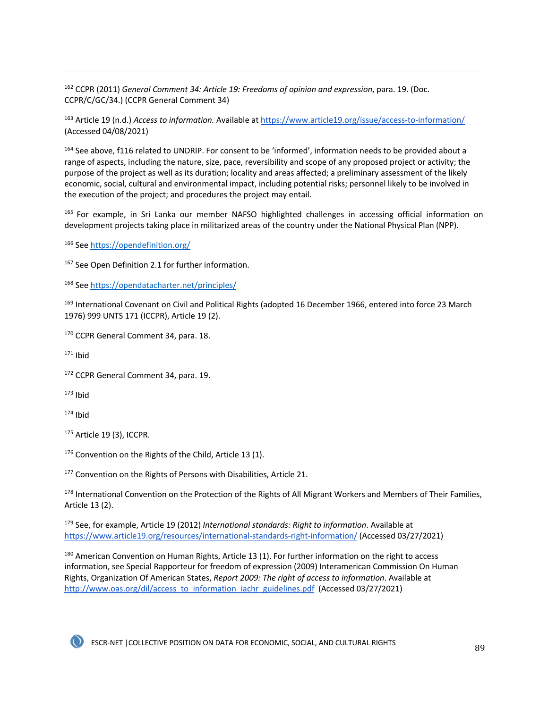<sup>162</sup> CCPR (2011) *General Comment 34: Article 19: Freedoms of opinion and expression*, para. 19. (Doc. CCPR/C/GC/34.) (CCPR General Comment 34)

<sup>163</sup> Article 19 (n.d.) *Access to information.* Available at https://www.article19.org/issue/access-to-information/ (Accessed 04/08/2021)

<sup>164</sup> See above, f116 related to UNDRIP. For consent to be 'informed', information needs to be provided about a range of aspects, including the nature, size, pace, reversibility and scope of any proposed project or activity; the purpose of the project as well as its duration; locality and areas affected; a preliminary assessment of the likely economic, social, cultural and environmental impact, including potential risks; personnel likely to be involved in the execution of the project; and procedures the project may entail.

165 For example, in Sri Lanka our member NAFSO highlighted challenges in accessing official information on development projects taking place in militarized areas of the country under the National Physical Plan (NPP).

<sup>166</sup> See https://opendefinition.org/

<sup>167</sup> See Open Definition 2.1 for further information.

<sup>168</sup> See https://opendatacharter.net/principles/

<sup>169</sup> International Covenant on Civil and Political Rights (adopted 16 December 1966, entered into force 23 March 1976) 999 UNTS 171 (ICCPR), Article 19 (2).

<sup>170</sup> CCPR General Comment 34, para. 18.

 $171$  Ibid

172 CCPR General Comment 34, para. 19.

 $173$  Ibid

 $174$  Ibid

<sup>175</sup> Article 19 (3), ICCPR.

176 Convention on the Rights of the Child, Article 13 (1).

<sup>177</sup> Convention on the Rights of Persons with Disabilities, Article 21.

<sup>178</sup> International Convention on the Protection of the Rights of All Migrant Workers and Members of Their Families, Article 13 (2).

<sup>179</sup> See, for example, Article 19 (2012) *International standards: Right to information*. Available at https://www.article19.org/resources/international-standards-right-information/ (Accessed 03/27/2021)

180 American Convention on Human Rights, Article 13 (1). For further information on the right to access information, see Special Rapporteur for freedom of expression (2009) Interamerican Commission On Human Rights, Organization Of American States, *Report 2009: The right of access to information*. Available at http://www.oas.org/dil/access\_to\_information\_iachr\_guidelines.pdf (Accessed 03/27/2021)

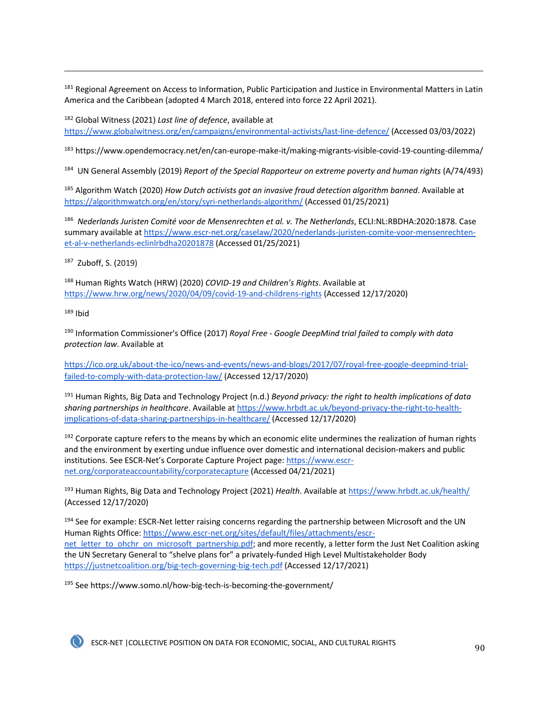<sup>181</sup> Regional Agreement on Access to Information, Public Participation and Justice in Environmental Matters in Latin America and the Caribbean (adopted 4 March 2018, entered into force 22 April 2021).

<sup>182</sup> Global Witness (2021) *Last line of defence*, available at

https://www.globalwitness.org/en/campaigns/environmental-activists/last-line-defence/ (Accessed 03/03/2022)

<sup>183</sup> https://www.opendemocracy.net/en/can-europe-make-it/making-migrants-visible-covid-19-counting-dilemma/

<sup>184</sup> UN General Assembly (2019) *Report of the Special Rapporteur on extreme poverty and human rights* (A/74/493)

<sup>185</sup> Algorithm Watch (2020) *How Dutch activists got an invasive fraud detection algorithm banned*. Available at https://algorithmwatch.org/en/story/syri-netherlands-algorithm/ (Accessed 01/25/2021)

<sup>186</sup> *Nederlands Juristen Comité voor de Mensenrechten et al. v. The Netherlands*, ECLI:NL:RBDHA:2020:1878. Case summary available at https://www.escr-net.org/caselaw/2020/nederlands-juristen-comite-voor-mensenrechtenet-al-v-netherlands-eclinlrbdha20201878 (Accessed 01/25/2021)

187 Zuboff, S. (2019)

<sup>188</sup> Human Rights Watch (HRW) (2020) *COVID-19 and Children's Rights*. Available at https://www.hrw.org/news/2020/04/09/covid-19-and-childrens-rights (Accessed 12/17/2020)

 $189$  Ibid

<sup>190</sup> Information Commissioner's Office (2017) *Royal Free - Google DeepMind trial failed to comply with data protection law*. Available at

https://ico.org.uk/about-the-ico/news-and-events/news-and-blogs/2017/07/royal-free-google-deepmind-trialfailed-to-comply-with-data-protection-law/ (Accessed 12/17/2020)

<sup>191</sup> Human Rights, Big Data and Technology Project (n.d.) *Beyond privacy: the right to health implications of data sharing partnerships in healthcare*. Available at https://www.hrbdt.ac.uk/beyond-privacy-the-right-to-healthimplications-of-data-sharing-partnerships-in-healthcare/ (Accessed 12/17/2020)

<sup>192</sup> Corporate capture refers to the means by which an economic elite undermines the realization of human rights and the environment by exerting undue influence over domestic and international decision-makers and public institutions. See ESCR-Net's Corporate Capture Project page: https://www.escrnet.org/corporateaccountability/corporatecapture (Accessed 04/21/2021)

<sup>193</sup> Human Rights, Big Data and Technology Project (2021) *Health*. Available at https://www.hrbdt.ac.uk/health/ (Accessed 12/17/2020)

<sup>194</sup> See for example: ESCR-Net letter raising concerns regarding the partnership between Microsoft and the UN Human Rights Office: https://www.escr-net.org/sites/default/files/attachments/escrnet\_letter\_to\_ohchr\_on\_microsoft\_partnership.pdf; and more recently, a letter form the Just Net Coalition asking the UN Secretary General to "shelve plans for" a privately-funded High Level Multistakeholder Body https://justnetcoalition.org/big-tech-governing-big-tech.pdf (Accessed 12/17/2021)

<sup>195</sup> See https://www.somo.nl/how-big-tech-is-becoming-the-government/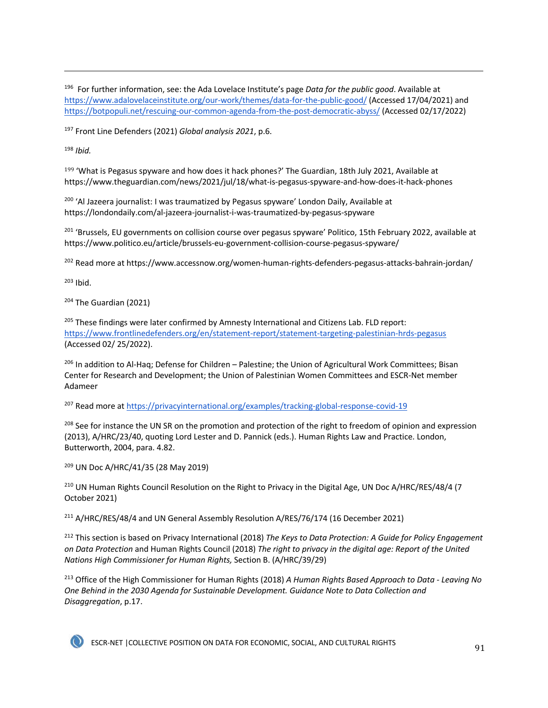<sup>196</sup> For further information, see: the Ada Lovelace Institute's page *Data for the public good*. Available at https://www.adalovelaceinstitute.org/our-work/themes/data-for-the-public-good/ (Accessed 17/04/2021) and https://botpopuli.net/rescuing-our-common-agenda-from-the-post-democratic-abyss/ (Accessed 02/17/2022)

<sup>197</sup> Front Line Defenders (2021) *Global analysis 2021*, p.6.

<sup>198</sup> *Ibid.*

199 'What is Pegasus spyware and how does it hack phones?' The Guardian, 18th July 2021, Available at https://www.theguardian.com/news/2021/jul/18/what-is-pegasus-spyware-and-how-does-it-hack-phones

<sup>200</sup> 'Al Jazeera journalist: I was traumatized by Pegasus spyware' London Daily, Available at https://londondaily.com/al-jazeera-journalist-i-was-traumatized-by-pegasus-spyware

<sup>201</sup> 'Brussels, EU governments on collision course over pegasus spyware' Politico, 15th February 2022, available at https://www.politico.eu/article/brussels-eu-government-collision-course-pegasus-spyware/

<sup>202</sup> Read more at https://www.accessnow.org/women-human-rights-defenders-pegasus-attacks-bahrain-jordan/

<sup>203</sup> Ibid.

204 The Guardian (2021)

<sup>205</sup> These findings were later confirmed by Amnesty International and Citizens Lab. FLD report: https://www.frontlinedefenders.org/en/statement-report/statement-targeting-palestinian-hrds-pegasus (Accessed 02/ 25/2022).

<sup>206</sup> In addition to Al-Haq; Defense for Children – Palestine; the Union of Agricultural Work Committees; Bisan Center for Research and Development; the Union of Palestinian Women Committees and ESCR-Net member Adameer

<sup>207</sup> Read more at https://privacyinternational.org/examples/tracking-global-response-covid-19

<sup>208</sup> See for instance the UN SR on the promotion and protection of the right to freedom of opinion and expression (2013), A/HRC/23/40, quoting Lord Lester and D. Pannick (eds.). Human Rights Law and Practice. London, Butterworth, 2004, para. 4.82.

<sup>209</sup> UN Doc A/HRC/41/35 (28 May 2019)

<sup>210</sup> UN Human Rights Council Resolution on the Right to Privacy in the Digital Age, UN Doc A/HRC/RES/48/4 (7 October 2021)

<sup>211</sup> A/HRC/RES/48/4 and UN General Assembly Resolution A/RES/76/174 (16 December 2021)

<sup>212</sup> This section is based on Privacy International (2018) *The Keys to Data Protection: A Guide for Policy Engagement on Data Protection* and Human Rights Council (2018) *The right to privacy in the digital age: Report of the United Nations High Commissioner for Human Rights,* Section B. (A/HRC/39/29)

<sup>213</sup> Office of the High Commissioner for Human Rights (2018) *A Human Rights Based Approach to Data - Leaving No One Behind in the 2030 Agenda for Sustainable Development. Guidance Note to Data Collection and Disaggregation*, p.17.